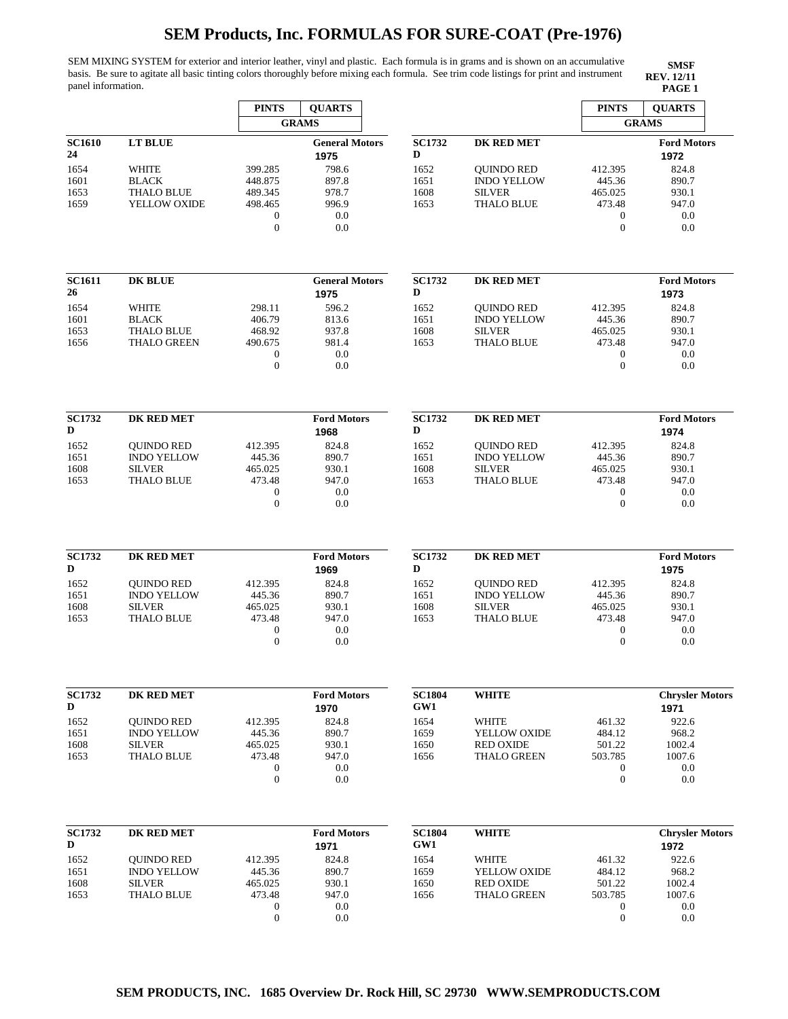SEM MIXING SYSTEM for exterior and interior leather, vinyl and plastic. Each formula is in grams and is shown on an accumulative basis. Be sure to agitate all basic tinting colors thoroughly before mixing each formula. See trim code listings for print and instrument panel information. **PAGE 1**

| <b>GRAMS</b><br><b>GRAMS</b><br><b>SC1732</b><br><b>SC1610</b><br><b>LT BLUE</b><br><b>General Motors</b><br>DK RED MET<br><b>Ford Motors</b><br>24<br>D<br>1975<br>1972<br>798.6<br>1654<br><b>WHITE</b><br><b>OUINDO RED</b><br>412.395<br>824.8<br>399.285<br>1652<br>1601<br>448.875<br>897.8<br>1651<br><b>INDO YELLOW</b><br>890.7<br><b>BLACK</b><br>445.36<br><b>THALO BLUE</b><br>978.7<br>1608<br><b>SILVER</b><br>930.1<br>1653<br>489.345<br>465.025<br>YELLOW OXIDE<br>996.9<br>1653<br><b>THALO BLUE</b><br>1659<br>498.465<br>473.48<br>947.0<br>0.0<br>$\boldsymbol{0}$<br>0.0<br>$\mathbf{0}$<br>$\overline{0}$<br>0.0<br>$\mathbf{0}$<br>0.0<br><b>SC1611</b><br><b>DK BLUE</b><br><b>General Motors</b><br><b>SC1732</b><br><b>DK RED MET</b><br><b>Ford Motors</b><br>26<br>D<br>1975<br>1973<br>596.2<br>1654<br><b>WHITE</b><br>298.11<br>824.8<br>1652<br><b>OUINDO RED</b><br>412.395<br>406.79<br>813.6<br>1651<br><b>INDO YELLOW</b><br>445.36<br>890.7<br>1601<br><b>BLACK</b><br><b>THALO BLUE</b><br>937.8<br><b>SILVER</b><br>930.1<br>1653<br>468.92<br>1608<br>465.025<br>981.4<br>947.0<br>1656<br><b>THALO GREEN</b><br>490.675<br>1653<br><b>THALO BLUE</b><br>473.48<br>0.0<br>$\boldsymbol{0}$<br>0.0<br>0<br>$\mathbf{0}$<br>0.0<br>$\mathbf{0}$<br>0.0<br><b>SC1732</b><br>DK RED MET<br><b>Ford Motors</b><br><b>SC1732</b><br><b>DK RED MET</b><br><b>Ford Motors</b><br>D<br>D<br>1968<br>1974<br>1652<br>824.8<br>824.8<br><b>OUINDO RED</b><br>412.395<br>1652<br><b>QUINDO RED</b><br>412.395<br><b>INDO YELLOW</b><br><b>INDO YELLOW</b><br>445.36<br>890.7<br>1651<br>445.36<br>890.7<br>1651<br><b>SILVER</b><br>465.025<br>1608<br><b>SILVER</b><br>930.1<br>1608<br>930.1<br>465.025<br>473.48<br>947.0<br>1653<br>473.48<br>947.0<br>1653<br><b>THALO BLUE</b><br><b>THALO BLUE</b><br>0.0<br>$\mathbf{0}$<br>0.0<br>0<br>$\overline{0}$<br>0.0<br>$\boldsymbol{0}$<br>0.0<br><b>SC1732</b><br><b>DK RED MET</b><br><b>Ford Motors</b><br><b>SC1732</b><br><b>DK RED MET</b><br><b>Ford Motors</b><br>D<br>D<br>1969<br>1975<br>1652<br>824.8<br>824.8<br><b>OUINDO RED</b><br>412.395<br>1652<br><b>OUINDO RED</b><br>412.395<br><b>INDO YELLOW</b><br>445.36<br>890.7<br><b>INDO YELLOW</b><br>890.7<br>1651<br>1651<br>445.36<br><b>SILVER</b><br><b>SILVER</b><br>1608<br>465.025<br>930.1<br>1608<br>465.025<br>930.1<br>473.48<br>947.0<br>947.0<br>1653<br><b>THALO BLUE</b><br>1653<br><b>THALO BLUE</b><br>473.48<br>$\boldsymbol{0}$<br>0.0<br>$\boldsymbol{0}$<br>0.0<br>$\mathbf{0}$<br>0.0<br>$\boldsymbol{0}$<br>0.0<br><b>SC1732</b><br><b>DK RED MET</b><br><b>Ford Motors</b><br><b>SC1804</b><br><b>WHITE</b><br><b>Chrysler Motors</b><br>D<br>GW1<br>1970<br>1971<br>1652<br>824.8<br>1654<br>922.6<br><b>OUINDO RED</b><br>412.395<br>WHITE<br>461.32<br>890.7<br>1659<br>968.2<br>1651<br><b>INDO YELLOW</b><br>445.36<br>YELLOW OXIDE<br>484.12<br>1608<br>465.025<br>930.1<br>1650<br><b>RED OXIDE</b><br>501.22<br>1002.4<br><b>SILVER</b><br>1653<br><b>THALO BLUE</b><br>473.48<br>947.0<br>1656<br><b>THALO GREEN</b><br>503.785<br>1007.6<br>$\boldsymbol{0}$<br>0.0<br>0.0<br>0<br>$\boldsymbol{0}$<br>0.0<br>$\boldsymbol{0}$<br>0.0<br><b>SC1804</b><br><b>SC1732</b><br><b>DK RED MET</b><br><b>Ford Motors</b><br><b>WHITE</b><br>D<br>GW1<br>1971<br>1972<br>1652<br>824.8<br>1654<br>461.32<br>922.6<br><b>QUINDO RED</b><br>412.395<br>WHITE<br><b>INDO YELLOW</b><br>890.7<br>1659<br>484.12<br>968.2<br>1651<br>445.36<br>YELLOW OXIDE<br>1608<br>930.1<br>1650<br><b>SILVER</b><br>465.025<br><b>RED OXIDE</b><br>501.22<br>1002.4 |      |                   | <b>PINTS</b> | <b>OUARTS</b> |      |                    | <b>PINTS</b> | <b>QUARTS</b>          |
|-------------------------------------------------------------------------------------------------------------------------------------------------------------------------------------------------------------------------------------------------------------------------------------------------------------------------------------------------------------------------------------------------------------------------------------------------------------------------------------------------------------------------------------------------------------------------------------------------------------------------------------------------------------------------------------------------------------------------------------------------------------------------------------------------------------------------------------------------------------------------------------------------------------------------------------------------------------------------------------------------------------------------------------------------------------------------------------------------------------------------------------------------------------------------------------------------------------------------------------------------------------------------------------------------------------------------------------------------------------------------------------------------------------------------------------------------------------------------------------------------------------------------------------------------------------------------------------------------------------------------------------------------------------------------------------------------------------------------------------------------------------------------------------------------------------------------------------------------------------------------------------------------------------------------------------------------------------------------------------------------------------------------------------------------------------------------------------------------------------------------------------------------------------------------------------------------------------------------------------------------------------------------------------------------------------------------------------------------------------------------------------------------------------------------------------------------------------------------------------------------------------------------------------------------------------------------------------------------------------------------------------------------------------------------------------------------------------------------------------------------------------------------------------------------------------------------------------------------------------------------------------------------------------------------------------------------------------------------------------------------------------------------------------------------------------------------------------------------------------------------------------------------------------------------------------------------------------------------------------------------------------------------------------------------------------------------------------------------------------------------------------------------------------------------------------------------------------------------------------------------------------------------------------------------------------------------------------------------------------------------------|------|-------------------|--------------|---------------|------|--------------------|--------------|------------------------|
|                                                                                                                                                                                                                                                                                                                                                                                                                                                                                                                                                                                                                                                                                                                                                                                                                                                                                                                                                                                                                                                                                                                                                                                                                                                                                                                                                                                                                                                                                                                                                                                                                                                                                                                                                                                                                                                                                                                                                                                                                                                                                                                                                                                                                                                                                                                                                                                                                                                                                                                                                                                                                                                                                                                                                                                                                                                                                                                                                                                                                                                                                                                                                                                                                                                                                                                                                                                                                                                                                                                                                                                                                               |      |                   |              |               |      |                    |              |                        |
|                                                                                                                                                                                                                                                                                                                                                                                                                                                                                                                                                                                                                                                                                                                                                                                                                                                                                                                                                                                                                                                                                                                                                                                                                                                                                                                                                                                                                                                                                                                                                                                                                                                                                                                                                                                                                                                                                                                                                                                                                                                                                                                                                                                                                                                                                                                                                                                                                                                                                                                                                                                                                                                                                                                                                                                                                                                                                                                                                                                                                                                                                                                                                                                                                                                                                                                                                                                                                                                                                                                                                                                                                               |      |                   |              |               |      |                    |              |                        |
|                                                                                                                                                                                                                                                                                                                                                                                                                                                                                                                                                                                                                                                                                                                                                                                                                                                                                                                                                                                                                                                                                                                                                                                                                                                                                                                                                                                                                                                                                                                                                                                                                                                                                                                                                                                                                                                                                                                                                                                                                                                                                                                                                                                                                                                                                                                                                                                                                                                                                                                                                                                                                                                                                                                                                                                                                                                                                                                                                                                                                                                                                                                                                                                                                                                                                                                                                                                                                                                                                                                                                                                                                               |      |                   |              |               |      |                    |              |                        |
|                                                                                                                                                                                                                                                                                                                                                                                                                                                                                                                                                                                                                                                                                                                                                                                                                                                                                                                                                                                                                                                                                                                                                                                                                                                                                                                                                                                                                                                                                                                                                                                                                                                                                                                                                                                                                                                                                                                                                                                                                                                                                                                                                                                                                                                                                                                                                                                                                                                                                                                                                                                                                                                                                                                                                                                                                                                                                                                                                                                                                                                                                                                                                                                                                                                                                                                                                                                                                                                                                                                                                                                                                               |      |                   |              |               |      |                    |              |                        |
|                                                                                                                                                                                                                                                                                                                                                                                                                                                                                                                                                                                                                                                                                                                                                                                                                                                                                                                                                                                                                                                                                                                                                                                                                                                                                                                                                                                                                                                                                                                                                                                                                                                                                                                                                                                                                                                                                                                                                                                                                                                                                                                                                                                                                                                                                                                                                                                                                                                                                                                                                                                                                                                                                                                                                                                                                                                                                                                                                                                                                                                                                                                                                                                                                                                                                                                                                                                                                                                                                                                                                                                                                               |      |                   |              |               |      |                    |              |                        |
|                                                                                                                                                                                                                                                                                                                                                                                                                                                                                                                                                                                                                                                                                                                                                                                                                                                                                                                                                                                                                                                                                                                                                                                                                                                                                                                                                                                                                                                                                                                                                                                                                                                                                                                                                                                                                                                                                                                                                                                                                                                                                                                                                                                                                                                                                                                                                                                                                                                                                                                                                                                                                                                                                                                                                                                                                                                                                                                                                                                                                                                                                                                                                                                                                                                                                                                                                                                                                                                                                                                                                                                                                               |      |                   |              |               |      |                    |              |                        |
|                                                                                                                                                                                                                                                                                                                                                                                                                                                                                                                                                                                                                                                                                                                                                                                                                                                                                                                                                                                                                                                                                                                                                                                                                                                                                                                                                                                                                                                                                                                                                                                                                                                                                                                                                                                                                                                                                                                                                                                                                                                                                                                                                                                                                                                                                                                                                                                                                                                                                                                                                                                                                                                                                                                                                                                                                                                                                                                                                                                                                                                                                                                                                                                                                                                                                                                                                                                                                                                                                                                                                                                                                               |      |                   |              |               |      |                    |              |                        |
|                                                                                                                                                                                                                                                                                                                                                                                                                                                                                                                                                                                                                                                                                                                                                                                                                                                                                                                                                                                                                                                                                                                                                                                                                                                                                                                                                                                                                                                                                                                                                                                                                                                                                                                                                                                                                                                                                                                                                                                                                                                                                                                                                                                                                                                                                                                                                                                                                                                                                                                                                                                                                                                                                                                                                                                                                                                                                                                                                                                                                                                                                                                                                                                                                                                                                                                                                                                                                                                                                                                                                                                                                               |      |                   |              |               |      |                    |              |                        |
|                                                                                                                                                                                                                                                                                                                                                                                                                                                                                                                                                                                                                                                                                                                                                                                                                                                                                                                                                                                                                                                                                                                                                                                                                                                                                                                                                                                                                                                                                                                                                                                                                                                                                                                                                                                                                                                                                                                                                                                                                                                                                                                                                                                                                                                                                                                                                                                                                                                                                                                                                                                                                                                                                                                                                                                                                                                                                                                                                                                                                                                                                                                                                                                                                                                                                                                                                                                                                                                                                                                                                                                                                               |      |                   |              |               |      |                    |              |                        |
|                                                                                                                                                                                                                                                                                                                                                                                                                                                                                                                                                                                                                                                                                                                                                                                                                                                                                                                                                                                                                                                                                                                                                                                                                                                                                                                                                                                                                                                                                                                                                                                                                                                                                                                                                                                                                                                                                                                                                                                                                                                                                                                                                                                                                                                                                                                                                                                                                                                                                                                                                                                                                                                                                                                                                                                                                                                                                                                                                                                                                                                                                                                                                                                                                                                                                                                                                                                                                                                                                                                                                                                                                               |      |                   |              |               |      |                    |              |                        |
|                                                                                                                                                                                                                                                                                                                                                                                                                                                                                                                                                                                                                                                                                                                                                                                                                                                                                                                                                                                                                                                                                                                                                                                                                                                                                                                                                                                                                                                                                                                                                                                                                                                                                                                                                                                                                                                                                                                                                                                                                                                                                                                                                                                                                                                                                                                                                                                                                                                                                                                                                                                                                                                                                                                                                                                                                                                                                                                                                                                                                                                                                                                                                                                                                                                                                                                                                                                                                                                                                                                                                                                                                               |      |                   |              |               |      |                    |              |                        |
|                                                                                                                                                                                                                                                                                                                                                                                                                                                                                                                                                                                                                                                                                                                                                                                                                                                                                                                                                                                                                                                                                                                                                                                                                                                                                                                                                                                                                                                                                                                                                                                                                                                                                                                                                                                                                                                                                                                                                                                                                                                                                                                                                                                                                                                                                                                                                                                                                                                                                                                                                                                                                                                                                                                                                                                                                                                                                                                                                                                                                                                                                                                                                                                                                                                                                                                                                                                                                                                                                                                                                                                                                               |      |                   |              |               |      |                    |              |                        |
|                                                                                                                                                                                                                                                                                                                                                                                                                                                                                                                                                                                                                                                                                                                                                                                                                                                                                                                                                                                                                                                                                                                                                                                                                                                                                                                                                                                                                                                                                                                                                                                                                                                                                                                                                                                                                                                                                                                                                                                                                                                                                                                                                                                                                                                                                                                                                                                                                                                                                                                                                                                                                                                                                                                                                                                                                                                                                                                                                                                                                                                                                                                                                                                                                                                                                                                                                                                                                                                                                                                                                                                                                               |      |                   |              |               |      |                    |              |                        |
|                                                                                                                                                                                                                                                                                                                                                                                                                                                                                                                                                                                                                                                                                                                                                                                                                                                                                                                                                                                                                                                                                                                                                                                                                                                                                                                                                                                                                                                                                                                                                                                                                                                                                                                                                                                                                                                                                                                                                                                                                                                                                                                                                                                                                                                                                                                                                                                                                                                                                                                                                                                                                                                                                                                                                                                                                                                                                                                                                                                                                                                                                                                                                                                                                                                                                                                                                                                                                                                                                                                                                                                                                               |      |                   |              |               |      |                    |              |                        |
|                                                                                                                                                                                                                                                                                                                                                                                                                                                                                                                                                                                                                                                                                                                                                                                                                                                                                                                                                                                                                                                                                                                                                                                                                                                                                                                                                                                                                                                                                                                                                                                                                                                                                                                                                                                                                                                                                                                                                                                                                                                                                                                                                                                                                                                                                                                                                                                                                                                                                                                                                                                                                                                                                                                                                                                                                                                                                                                                                                                                                                                                                                                                                                                                                                                                                                                                                                                                                                                                                                                                                                                                                               |      |                   |              |               |      |                    |              |                        |
|                                                                                                                                                                                                                                                                                                                                                                                                                                                                                                                                                                                                                                                                                                                                                                                                                                                                                                                                                                                                                                                                                                                                                                                                                                                                                                                                                                                                                                                                                                                                                                                                                                                                                                                                                                                                                                                                                                                                                                                                                                                                                                                                                                                                                                                                                                                                                                                                                                                                                                                                                                                                                                                                                                                                                                                                                                                                                                                                                                                                                                                                                                                                                                                                                                                                                                                                                                                                                                                                                                                                                                                                                               |      |                   |              |               |      |                    |              |                        |
|                                                                                                                                                                                                                                                                                                                                                                                                                                                                                                                                                                                                                                                                                                                                                                                                                                                                                                                                                                                                                                                                                                                                                                                                                                                                                                                                                                                                                                                                                                                                                                                                                                                                                                                                                                                                                                                                                                                                                                                                                                                                                                                                                                                                                                                                                                                                                                                                                                                                                                                                                                                                                                                                                                                                                                                                                                                                                                                                                                                                                                                                                                                                                                                                                                                                                                                                                                                                                                                                                                                                                                                                                               |      |                   |              |               |      |                    |              |                        |
|                                                                                                                                                                                                                                                                                                                                                                                                                                                                                                                                                                                                                                                                                                                                                                                                                                                                                                                                                                                                                                                                                                                                                                                                                                                                                                                                                                                                                                                                                                                                                                                                                                                                                                                                                                                                                                                                                                                                                                                                                                                                                                                                                                                                                                                                                                                                                                                                                                                                                                                                                                                                                                                                                                                                                                                                                                                                                                                                                                                                                                                                                                                                                                                                                                                                                                                                                                                                                                                                                                                                                                                                                               |      |                   |              |               |      |                    |              |                        |
|                                                                                                                                                                                                                                                                                                                                                                                                                                                                                                                                                                                                                                                                                                                                                                                                                                                                                                                                                                                                                                                                                                                                                                                                                                                                                                                                                                                                                                                                                                                                                                                                                                                                                                                                                                                                                                                                                                                                                                                                                                                                                                                                                                                                                                                                                                                                                                                                                                                                                                                                                                                                                                                                                                                                                                                                                                                                                                                                                                                                                                                                                                                                                                                                                                                                                                                                                                                                                                                                                                                                                                                                                               |      |                   |              |               |      |                    |              |                        |
|                                                                                                                                                                                                                                                                                                                                                                                                                                                                                                                                                                                                                                                                                                                                                                                                                                                                                                                                                                                                                                                                                                                                                                                                                                                                                                                                                                                                                                                                                                                                                                                                                                                                                                                                                                                                                                                                                                                                                                                                                                                                                                                                                                                                                                                                                                                                                                                                                                                                                                                                                                                                                                                                                                                                                                                                                                                                                                                                                                                                                                                                                                                                                                                                                                                                                                                                                                                                                                                                                                                                                                                                                               |      |                   |              |               |      |                    |              |                        |
|                                                                                                                                                                                                                                                                                                                                                                                                                                                                                                                                                                                                                                                                                                                                                                                                                                                                                                                                                                                                                                                                                                                                                                                                                                                                                                                                                                                                                                                                                                                                                                                                                                                                                                                                                                                                                                                                                                                                                                                                                                                                                                                                                                                                                                                                                                                                                                                                                                                                                                                                                                                                                                                                                                                                                                                                                                                                                                                                                                                                                                                                                                                                                                                                                                                                                                                                                                                                                                                                                                                                                                                                                               |      |                   |              |               |      |                    |              |                        |
|                                                                                                                                                                                                                                                                                                                                                                                                                                                                                                                                                                                                                                                                                                                                                                                                                                                                                                                                                                                                                                                                                                                                                                                                                                                                                                                                                                                                                                                                                                                                                                                                                                                                                                                                                                                                                                                                                                                                                                                                                                                                                                                                                                                                                                                                                                                                                                                                                                                                                                                                                                                                                                                                                                                                                                                                                                                                                                                                                                                                                                                                                                                                                                                                                                                                                                                                                                                                                                                                                                                                                                                                                               |      |                   |              |               |      |                    |              |                        |
|                                                                                                                                                                                                                                                                                                                                                                                                                                                                                                                                                                                                                                                                                                                                                                                                                                                                                                                                                                                                                                                                                                                                                                                                                                                                                                                                                                                                                                                                                                                                                                                                                                                                                                                                                                                                                                                                                                                                                                                                                                                                                                                                                                                                                                                                                                                                                                                                                                                                                                                                                                                                                                                                                                                                                                                                                                                                                                                                                                                                                                                                                                                                                                                                                                                                                                                                                                                                                                                                                                                                                                                                                               |      |                   |              |               |      |                    |              |                        |
|                                                                                                                                                                                                                                                                                                                                                                                                                                                                                                                                                                                                                                                                                                                                                                                                                                                                                                                                                                                                                                                                                                                                                                                                                                                                                                                                                                                                                                                                                                                                                                                                                                                                                                                                                                                                                                                                                                                                                                                                                                                                                                                                                                                                                                                                                                                                                                                                                                                                                                                                                                                                                                                                                                                                                                                                                                                                                                                                                                                                                                                                                                                                                                                                                                                                                                                                                                                                                                                                                                                                                                                                                               |      |                   |              |               |      |                    |              |                        |
|                                                                                                                                                                                                                                                                                                                                                                                                                                                                                                                                                                                                                                                                                                                                                                                                                                                                                                                                                                                                                                                                                                                                                                                                                                                                                                                                                                                                                                                                                                                                                                                                                                                                                                                                                                                                                                                                                                                                                                                                                                                                                                                                                                                                                                                                                                                                                                                                                                                                                                                                                                                                                                                                                                                                                                                                                                                                                                                                                                                                                                                                                                                                                                                                                                                                                                                                                                                                                                                                                                                                                                                                                               |      |                   |              |               |      |                    |              |                        |
|                                                                                                                                                                                                                                                                                                                                                                                                                                                                                                                                                                                                                                                                                                                                                                                                                                                                                                                                                                                                                                                                                                                                                                                                                                                                                                                                                                                                                                                                                                                                                                                                                                                                                                                                                                                                                                                                                                                                                                                                                                                                                                                                                                                                                                                                                                                                                                                                                                                                                                                                                                                                                                                                                                                                                                                                                                                                                                                                                                                                                                                                                                                                                                                                                                                                                                                                                                                                                                                                                                                                                                                                                               |      |                   |              |               |      |                    |              |                        |
|                                                                                                                                                                                                                                                                                                                                                                                                                                                                                                                                                                                                                                                                                                                                                                                                                                                                                                                                                                                                                                                                                                                                                                                                                                                                                                                                                                                                                                                                                                                                                                                                                                                                                                                                                                                                                                                                                                                                                                                                                                                                                                                                                                                                                                                                                                                                                                                                                                                                                                                                                                                                                                                                                                                                                                                                                                                                                                                                                                                                                                                                                                                                                                                                                                                                                                                                                                                                                                                                                                                                                                                                                               |      |                   |              |               |      |                    |              |                        |
|                                                                                                                                                                                                                                                                                                                                                                                                                                                                                                                                                                                                                                                                                                                                                                                                                                                                                                                                                                                                                                                                                                                                                                                                                                                                                                                                                                                                                                                                                                                                                                                                                                                                                                                                                                                                                                                                                                                                                                                                                                                                                                                                                                                                                                                                                                                                                                                                                                                                                                                                                                                                                                                                                                                                                                                                                                                                                                                                                                                                                                                                                                                                                                                                                                                                                                                                                                                                                                                                                                                                                                                                                               |      |                   |              |               |      |                    |              |                        |
|                                                                                                                                                                                                                                                                                                                                                                                                                                                                                                                                                                                                                                                                                                                                                                                                                                                                                                                                                                                                                                                                                                                                                                                                                                                                                                                                                                                                                                                                                                                                                                                                                                                                                                                                                                                                                                                                                                                                                                                                                                                                                                                                                                                                                                                                                                                                                                                                                                                                                                                                                                                                                                                                                                                                                                                                                                                                                                                                                                                                                                                                                                                                                                                                                                                                                                                                                                                                                                                                                                                                                                                                                               |      |                   |              |               |      |                    |              |                        |
|                                                                                                                                                                                                                                                                                                                                                                                                                                                                                                                                                                                                                                                                                                                                                                                                                                                                                                                                                                                                                                                                                                                                                                                                                                                                                                                                                                                                                                                                                                                                                                                                                                                                                                                                                                                                                                                                                                                                                                                                                                                                                                                                                                                                                                                                                                                                                                                                                                                                                                                                                                                                                                                                                                                                                                                                                                                                                                                                                                                                                                                                                                                                                                                                                                                                                                                                                                                                                                                                                                                                                                                                                               |      |                   |              |               |      |                    |              |                        |
|                                                                                                                                                                                                                                                                                                                                                                                                                                                                                                                                                                                                                                                                                                                                                                                                                                                                                                                                                                                                                                                                                                                                                                                                                                                                                                                                                                                                                                                                                                                                                                                                                                                                                                                                                                                                                                                                                                                                                                                                                                                                                                                                                                                                                                                                                                                                                                                                                                                                                                                                                                                                                                                                                                                                                                                                                                                                                                                                                                                                                                                                                                                                                                                                                                                                                                                                                                                                                                                                                                                                                                                                                               |      |                   |              |               |      |                    |              |                        |
|                                                                                                                                                                                                                                                                                                                                                                                                                                                                                                                                                                                                                                                                                                                                                                                                                                                                                                                                                                                                                                                                                                                                                                                                                                                                                                                                                                                                                                                                                                                                                                                                                                                                                                                                                                                                                                                                                                                                                                                                                                                                                                                                                                                                                                                                                                                                                                                                                                                                                                                                                                                                                                                                                                                                                                                                                                                                                                                                                                                                                                                                                                                                                                                                                                                                                                                                                                                                                                                                                                                                                                                                                               |      |                   |              |               |      |                    |              |                        |
|                                                                                                                                                                                                                                                                                                                                                                                                                                                                                                                                                                                                                                                                                                                                                                                                                                                                                                                                                                                                                                                                                                                                                                                                                                                                                                                                                                                                                                                                                                                                                                                                                                                                                                                                                                                                                                                                                                                                                                                                                                                                                                                                                                                                                                                                                                                                                                                                                                                                                                                                                                                                                                                                                                                                                                                                                                                                                                                                                                                                                                                                                                                                                                                                                                                                                                                                                                                                                                                                                                                                                                                                                               |      |                   |              |               |      |                    |              |                        |
|                                                                                                                                                                                                                                                                                                                                                                                                                                                                                                                                                                                                                                                                                                                                                                                                                                                                                                                                                                                                                                                                                                                                                                                                                                                                                                                                                                                                                                                                                                                                                                                                                                                                                                                                                                                                                                                                                                                                                                                                                                                                                                                                                                                                                                                                                                                                                                                                                                                                                                                                                                                                                                                                                                                                                                                                                                                                                                                                                                                                                                                                                                                                                                                                                                                                                                                                                                                                                                                                                                                                                                                                                               |      |                   |              |               |      |                    |              |                        |
|                                                                                                                                                                                                                                                                                                                                                                                                                                                                                                                                                                                                                                                                                                                                                                                                                                                                                                                                                                                                                                                                                                                                                                                                                                                                                                                                                                                                                                                                                                                                                                                                                                                                                                                                                                                                                                                                                                                                                                                                                                                                                                                                                                                                                                                                                                                                                                                                                                                                                                                                                                                                                                                                                                                                                                                                                                                                                                                                                                                                                                                                                                                                                                                                                                                                                                                                                                                                                                                                                                                                                                                                                               |      |                   |              |               |      |                    |              |                        |
|                                                                                                                                                                                                                                                                                                                                                                                                                                                                                                                                                                                                                                                                                                                                                                                                                                                                                                                                                                                                                                                                                                                                                                                                                                                                                                                                                                                                                                                                                                                                                                                                                                                                                                                                                                                                                                                                                                                                                                                                                                                                                                                                                                                                                                                                                                                                                                                                                                                                                                                                                                                                                                                                                                                                                                                                                                                                                                                                                                                                                                                                                                                                                                                                                                                                                                                                                                                                                                                                                                                                                                                                                               |      |                   |              |               |      |                    |              |                        |
|                                                                                                                                                                                                                                                                                                                                                                                                                                                                                                                                                                                                                                                                                                                                                                                                                                                                                                                                                                                                                                                                                                                                                                                                                                                                                                                                                                                                                                                                                                                                                                                                                                                                                                                                                                                                                                                                                                                                                                                                                                                                                                                                                                                                                                                                                                                                                                                                                                                                                                                                                                                                                                                                                                                                                                                                                                                                                                                                                                                                                                                                                                                                                                                                                                                                                                                                                                                                                                                                                                                                                                                                                               |      |                   |              |               |      |                    |              | <b>Chrysler Motors</b> |
|                                                                                                                                                                                                                                                                                                                                                                                                                                                                                                                                                                                                                                                                                                                                                                                                                                                                                                                                                                                                                                                                                                                                                                                                                                                                                                                                                                                                                                                                                                                                                                                                                                                                                                                                                                                                                                                                                                                                                                                                                                                                                                                                                                                                                                                                                                                                                                                                                                                                                                                                                                                                                                                                                                                                                                                                                                                                                                                                                                                                                                                                                                                                                                                                                                                                                                                                                                                                                                                                                                                                                                                                                               |      |                   |              |               |      |                    |              |                        |
|                                                                                                                                                                                                                                                                                                                                                                                                                                                                                                                                                                                                                                                                                                                                                                                                                                                                                                                                                                                                                                                                                                                                                                                                                                                                                                                                                                                                                                                                                                                                                                                                                                                                                                                                                                                                                                                                                                                                                                                                                                                                                                                                                                                                                                                                                                                                                                                                                                                                                                                                                                                                                                                                                                                                                                                                                                                                                                                                                                                                                                                                                                                                                                                                                                                                                                                                                                                                                                                                                                                                                                                                                               |      |                   |              |               |      |                    |              |                        |
|                                                                                                                                                                                                                                                                                                                                                                                                                                                                                                                                                                                                                                                                                                                                                                                                                                                                                                                                                                                                                                                                                                                                                                                                                                                                                                                                                                                                                                                                                                                                                                                                                                                                                                                                                                                                                                                                                                                                                                                                                                                                                                                                                                                                                                                                                                                                                                                                                                                                                                                                                                                                                                                                                                                                                                                                                                                                                                                                                                                                                                                                                                                                                                                                                                                                                                                                                                                                                                                                                                                                                                                                                               |      |                   |              |               |      |                    |              |                        |
|                                                                                                                                                                                                                                                                                                                                                                                                                                                                                                                                                                                                                                                                                                                                                                                                                                                                                                                                                                                                                                                                                                                                                                                                                                                                                                                                                                                                                                                                                                                                                                                                                                                                                                                                                                                                                                                                                                                                                                                                                                                                                                                                                                                                                                                                                                                                                                                                                                                                                                                                                                                                                                                                                                                                                                                                                                                                                                                                                                                                                                                                                                                                                                                                                                                                                                                                                                                                                                                                                                                                                                                                                               | 1653 | <b>THALO BLUE</b> | 473.48       | 947.0         | 1656 | <b>THALO GREEN</b> | 503.785      | 1007.6                 |
| $\boldsymbol{0}$<br>0.0<br>$\boldsymbol{0}$<br>0.0                                                                                                                                                                                                                                                                                                                                                                                                                                                                                                                                                                                                                                                                                                                                                                                                                                                                                                                                                                                                                                                                                                                                                                                                                                                                                                                                                                                                                                                                                                                                                                                                                                                                                                                                                                                                                                                                                                                                                                                                                                                                                                                                                                                                                                                                                                                                                                                                                                                                                                                                                                                                                                                                                                                                                                                                                                                                                                                                                                                                                                                                                                                                                                                                                                                                                                                                                                                                                                                                                                                                                                            |      |                   |              |               |      |                    |              |                        |
| $\boldsymbol{0}$<br>$\boldsymbol{0}$<br>0.0<br>0.0                                                                                                                                                                                                                                                                                                                                                                                                                                                                                                                                                                                                                                                                                                                                                                                                                                                                                                                                                                                                                                                                                                                                                                                                                                                                                                                                                                                                                                                                                                                                                                                                                                                                                                                                                                                                                                                                                                                                                                                                                                                                                                                                                                                                                                                                                                                                                                                                                                                                                                                                                                                                                                                                                                                                                                                                                                                                                                                                                                                                                                                                                                                                                                                                                                                                                                                                                                                                                                                                                                                                                                            |      |                   |              |               |      |                    |              |                        |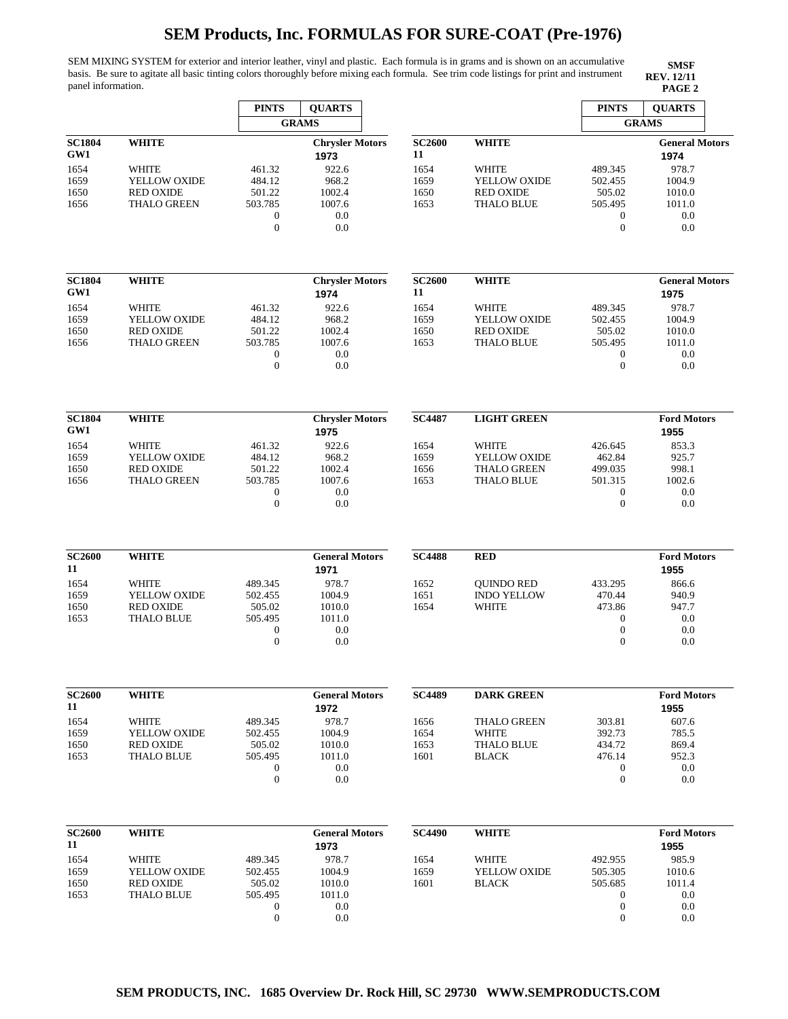SEM MIXING SYSTEM for exterior and interior leather, vinyl and plastic. Each formula is in grams and is shown on an accumulative basis. Be sure to agitate all basic tinting colors thoroughly before mixing each formula. See trim code listings for print and instrument panel information. **PAGE 2**

|                      |                                       | <b>PINTS</b>                     | <b>QUARTS</b>                  |                     |                    | <b>PINTS</b>                         | <b>QUARTS</b>                 |
|----------------------|---------------------------------------|----------------------------------|--------------------------------|---------------------|--------------------|--------------------------------------|-------------------------------|
|                      |                                       |                                  | <b>GRAMS</b>                   |                     |                    |                                      | <b>GRAMS</b>                  |
| <b>SC1804</b><br>GW1 | <b>WHITE</b>                          |                                  | <b>Chrysler Motors</b><br>1973 | <b>SC2600</b><br>11 | <b>WHITE</b>       |                                      | <b>General Motors</b><br>1974 |
| 1654                 | <b>WHITE</b>                          | 461.32                           | 922.6                          | 1654                | <b>WHITE</b>       | 489.345                              | 978.7                         |
| 1659                 | YELLOW OXIDE                          | 484.12                           | 968.2                          | 1659                | YELLOW OXIDE       | 502.455                              | 1004.9                        |
| 1650                 | <b>RED OXIDE</b>                      | 501.22                           | 1002.4                         | 1650                | <b>RED OXIDE</b>   | 505.02                               | 1010.0                        |
| 1656                 | <b>THALO GREEN</b>                    | 503.785<br>$\mathbf{0}$          | 1007.6<br>0.0                  | 1653                | <b>THALO BLUE</b>  | 505.495<br>$\mathbf{0}$              | 1011.0<br>0.0                 |
|                      |                                       | $\boldsymbol{0}$                 | 0.0                            |                     |                    | $\boldsymbol{0}$                     | 0.0                           |
| <b>SC1804</b>        | <b>WHITE</b>                          |                                  | <b>Chrysler Motors</b>         | <b>SC2600</b>       | <b>WHITE</b>       |                                      | <b>General Motors</b>         |
| GW1                  |                                       |                                  | 1974                           | 11                  |                    |                                      | 1975                          |
| 1654                 | <b>WHITE</b>                          | 461.32                           | 922.6                          | 1654                | <b>WHITE</b>       | 489.345                              | 978.7                         |
| 1659                 | YELLOW OXIDE                          | 484.12                           | 968.2                          | 1659                | YELLOW OXIDE       | 502.455                              | 1004.9                        |
| 1650                 | <b>RED OXIDE</b>                      | 501.22                           | 1002.4                         | 1650                | <b>RED OXIDE</b>   | 505.02                               | 1010.0                        |
| 1656                 | <b>THALO GREEN</b>                    | 503.785<br>$\boldsymbol{0}$      | 1007.6<br>0.0                  | 1653                | <b>THALO BLUE</b>  | 505.495<br>$\mathbf{0}$              | 1011.0<br>0.0                 |
|                      |                                       | $\mathbf{0}$                     | 0.0                            |                     |                    | $\theta$                             | 0.0                           |
| <b>SC1804</b>        | <b>WHITE</b>                          |                                  | <b>Chrysler Motors</b>         | <b>SC4487</b>       | <b>LIGHT GREEN</b> |                                      | <b>Ford Motors</b>            |
| GW1                  |                                       |                                  | 1975                           |                     |                    |                                      | 1955                          |
| 1654                 | <b>WHITE</b>                          | 461.32                           | 922.6                          | 1654                | <b>WHITE</b>       | 426.645                              | 853.3                         |
| 1659                 | YELLOW OXIDE                          | 484.12                           | 968.2                          | 1659                | YELLOW OXIDE       | 462.84                               | 925.7                         |
| 1650                 | <b>RED OXIDE</b>                      | 501.22                           | 1002.4                         | 1656                | <b>THALO GREEN</b> | 499.035                              | 998.1                         |
| 1656                 | <b>THALO GREEN</b>                    | 503.785                          | 1007.6                         | 1653                | <b>THALO BLUE</b>  | 501.315                              | 1002.6                        |
|                      |                                       | $\mathbf{0}$                     | 0.0                            |                     |                    | $\boldsymbol{0}$                     | 0.0                           |
|                      |                                       | $\overline{0}$                   | 0.0                            |                     |                    | $\mathbf{0}$                         | 0.0                           |
| <b>SC2600</b>        | <b>WHITE</b>                          |                                  | <b>General Motors</b>          | <b>SC4488</b>       | <b>RED</b>         |                                      | <b>Ford Motors</b>            |
| 11                   |                                       |                                  | 1971                           |                     |                    |                                      | 1955                          |
| 1654                 | WHITE                                 | 489.345                          | 978.7                          | 1652                | <b>QUINDO RED</b>  | 433.295                              | 866.6                         |
| 1659                 | YELLOW OXIDE                          | 502.455                          | 1004.9                         | 1651                | <b>INDO YELLOW</b> | 470.44                               | 940.9                         |
| 1650<br>1653         | <b>RED OXIDE</b><br><b>THALO BLUE</b> | 505.02<br>505.495                | 1010.0<br>1011.0               | 1654                | <b>WHITE</b>       | 473.86<br>$\mathbf{0}$               | 947.7<br>0.0                  |
|                      |                                       | $\mathbf{0}$                     | 0.0                            |                     |                    | $\boldsymbol{0}$                     | 0.0                           |
|                      |                                       | $\mathbf{0}$                     | 0.0                            |                     |                    | $\mathbf{0}$                         | 0.0                           |
| <b>SC2600</b>        | <b>WHITE</b>                          |                                  | <b>General Motors</b>          | <b>SC4489</b>       | <b>DARK GREEN</b>  |                                      | <b>Ford Motors</b>            |
| 11                   |                                       |                                  | 1972                           |                     |                    |                                      | 1955                          |
| 1654                 | <b>WHITE</b>                          | 489.345                          | 978.7                          | 1656                | <b>THALO GREEN</b> | 303.81                               | 607.6                         |
| 1659                 | YELLOW OXIDE                          | 502.455                          | 1004.9                         | 1654                | WHITE              | 392.73                               | 785.5                         |
| 1650                 | <b>RED OXIDE</b>                      | 505.02                           | 1010.0                         | 1653                | <b>THALO BLUE</b>  | 434.72                               | 869.4                         |
| 1653                 | <b>THALO BLUE</b>                     | 505.495                          | 1011.0                         | 1601                | <b>BLACK</b>       | 476.14                               | 952.3                         |
|                      |                                       | $\mathbf{0}$<br>$\boldsymbol{0}$ | 0.0<br>0.0                     |                     |                    | $\boldsymbol{0}$<br>$\boldsymbol{0}$ | 0.0<br>0.0                    |
| <b>SC2600</b>        | <b>WHITE</b>                          |                                  | <b>General Motors</b>          | <b>SC4490</b>       | <b>WHITE</b>       |                                      | <b>Ford Motors</b>            |
| 11                   |                                       |                                  | 1973                           |                     |                    |                                      | 1955                          |
| 1654                 | WHITE                                 | 489.345                          | 978.7                          | 1654                | <b>WHITE</b>       | 492.955                              | 985.9                         |
| 1659                 | YELLOW OXIDE                          | 502.455                          | 1004.9                         | 1659                | YELLOW OXIDE       | 505.305                              | 1010.6                        |
| 1650                 | <b>RED OXIDE</b><br><b>THALO BLUE</b> | 505.02<br>505.495                | 1010.0<br>1011.0               | 1601                | <b>BLACK</b>       | 505.685                              | 1011.4                        |
| 1653                 |                                       | $\boldsymbol{0}$                 | 0.0                            |                     |                    | 0<br>$\boldsymbol{0}$                | 0.0<br>0.0                    |
|                      |                                       | $\boldsymbol{0}$                 | 0.0                            |                     |                    | $\boldsymbol{0}$                     | 0.0                           |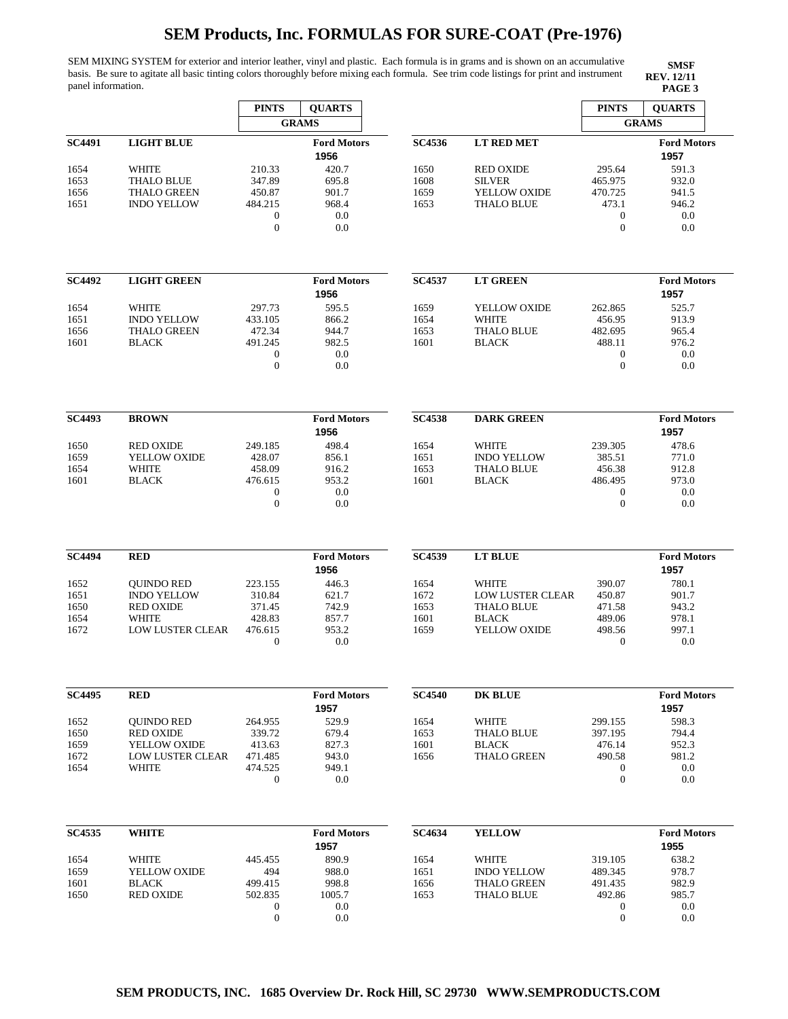SEM MIXING SYSTEM for exterior and interior leather, vinyl and plastic. Each formula is in grams and is shown on an accumulative basis. Be sure to agitate all basic tinting colors thoroughly before mixing each formula. See trim code listings for print and instrument panel information. **PAGE 3**

|               |                                  | <b>PINTS</b>                     | <b>QUARTS</b>              |               |                                         | <b>PINTS</b>                   | <b>QUARTS</b>              |
|---------------|----------------------------------|----------------------------------|----------------------------|---------------|-----------------------------------------|--------------------------------|----------------------------|
|               |                                  |                                  | <b>GRAMS</b>               |               |                                         |                                | <b>GRAMS</b>               |
| <b>SC4491</b> | <b>LIGHT BLUE</b>                |                                  | <b>Ford Motors</b><br>1956 | <b>SC4536</b> | <b>LT RED MET</b>                       |                                | <b>Ford Motors</b><br>1957 |
| 1654          | WHITE                            | 210.33                           | 420.7                      | 1650          | <b>RED OXIDE</b>                        | 295.64                         | 591.3                      |
| 1653          | <b>THALO BLUE</b>                | 347.89                           | 695.8                      | 1608          | <b>SILVER</b>                           | 465.975                        | 932.0                      |
| 1656          | <b>THALO GREEN</b>               | 450.87                           | 901.7                      | 1659          | YELLOW OXIDE                            | 470.725                        | 941.5                      |
| 1651          | <b>INDO YELLOW</b>               | 484.215<br>$\boldsymbol{0}$      | 968.4<br>0.0               | 1653          | <b>THALO BLUE</b>                       | 473.1<br>$\mathbf{0}$          | 946.2<br>0.0               |
|               |                                  | $\boldsymbol{0}$                 | 0.0                        |               |                                         | $\overline{0}$                 | 0.0                        |
| <b>SC4492</b> | <b>LIGHT GREEN</b>               |                                  | <b>Ford Motors</b>         | <b>SC4537</b> | <b>LT GREEN</b>                         |                                | <b>Ford Motors</b>         |
|               |                                  |                                  | 1956                       |               |                                         |                                | 1957                       |
| 1654          | <b>WHITE</b>                     | 297.73                           | 595.5                      | 1659          | YELLOW OXIDE                            | 262.865                        | 525.7                      |
| 1651          | <b>INDO YELLOW</b>               | 433.105                          | 866.2                      | 1654          | <b>WHITE</b>                            | 456.95                         | 913.9                      |
| 1656          | <b>THALO GREEN</b>               | 472.34                           | 944.7                      | 1653          | <b>THALO BLUE</b>                       | 482.695                        | 965.4                      |
| 1601          | <b>BLACK</b>                     | 491.245                          | 982.5                      | 1601          | <b>BLACK</b>                            | 488.11                         | 976.2                      |
|               |                                  | $\boldsymbol{0}$<br>$\mathbf{0}$ | 0.0<br>0.0                 |               |                                         | $\mathbf{0}$<br>$\overline{0}$ | 0.0<br>0.0                 |
| <b>SC4493</b> | <b>BROWN</b>                     |                                  | <b>Ford Motors</b>         | <b>SC4538</b> | <b>DARK GREEN</b>                       |                                | <b>Ford Motors</b>         |
|               |                                  |                                  | 1956                       |               |                                         |                                | 1957                       |
| 1650          | <b>RED OXIDE</b>                 | 249.185                          | 498.4                      | 1654          | <b>WHITE</b>                            | 239.305                        | 478.6                      |
| 1659          | YELLOW OXIDE                     | 428.07                           | 856.1                      | 1651          | <b>INDO YELLOW</b>                      | 385.51                         | 771.0                      |
| 1654          | WHITE                            | 458.09                           | 916.2                      | 1653          | <b>THALO BLUE</b>                       | 456.38                         | 912.8                      |
| 1601          | <b>BLACK</b>                     | 476.615                          | 953.2                      | 1601          | <b>BLACK</b>                            | 486.495                        | 973.0                      |
|               |                                  | $\boldsymbol{0}$                 | 0.0                        |               |                                         | $\mathbf{0}$                   | 0.0                        |
|               |                                  | $\mathbf{0}$                     | 0.0                        |               |                                         | $\overline{0}$                 | 0.0                        |
| <b>SC4494</b> | <b>RED</b>                       |                                  | <b>Ford Motors</b>         | <b>SC4539</b> | <b>LT BLUE</b>                          |                                | <b>Ford Motors</b>         |
|               |                                  |                                  | 1956                       |               |                                         |                                | 1957                       |
| 1652          | <b>QUINDO RED</b>                | 223.155                          | 446.3                      | 1654          | WHITE                                   | 390.07                         | 780.1                      |
| 1651          | <b>INDO YELLOW</b>               | 310.84                           | 621.7                      | 1672          | LOW LUSTER CLEAR                        | 450.87                         | 901.7                      |
| 1650          | <b>RED OXIDE</b><br>WHITE        | 371.45<br>428.83                 | 742.9<br>857.7             | 1653<br>1601  | <b>THALO BLUE</b><br><b>BLACK</b>       | 471.58                         | 943.2<br>978.1             |
| 1654<br>1672  | LOW LUSTER CLEAR                 | 476.615                          | 953.2                      | 1659          | YELLOW OXIDE                            | 489.06<br>498.56               | 997.1                      |
|               |                                  | $\mathbf{0}$                     | 0.0                        |               |                                         | $\theta$                       | 0.0                        |
| <b>SC4495</b> | <b>RED</b>                       |                                  | <b>Ford Motors</b>         | <b>SC4540</b> | <b>DK BLUE</b>                          |                                | <b>Ford Motors</b>         |
|               |                                  |                                  | 1957                       |               |                                         |                                | 1957                       |
| 1652          | <b>QUINDO RED</b>                | 264.955                          | 529.9                      | 1654          | WHITE                                   | 299.155                        | 598.3                      |
| 1650          | <b>RED OXIDE</b>                 | 339.72                           | 679.4                      | 1653          | <b>THALO BLUE</b>                       | 397.195                        | 794.4                      |
| 1659          | YELLOW OXIDE                     | 413.63                           | 827.3                      | 1601          | <b>BLACK</b>                            | 476.14                         | 952.3                      |
| 1672          | <b>LOW LUSTER CLEAR</b>          | 471.485                          | 943.0                      | 1656          | <b>THALO GREEN</b>                      | 490.58                         | 981.2                      |
| 1654          | <b>WHITE</b>                     | 474.525                          | 949.1                      |               |                                         | $\boldsymbol{0}$               | 0.0                        |
|               |                                  | $\boldsymbol{0}$                 | 0.0                        |               |                                         | $\mathbf{0}$                   | 0.0                        |
| <b>SC4535</b> | <b>WHITE</b>                     |                                  | <b>Ford Motors</b>         | <b>SC4634</b> | <b>YELLOW</b>                           |                                | <b>Ford Motors</b>         |
|               |                                  |                                  | 1957                       |               |                                         |                                | 1955                       |
| 1654          | WHITE                            | 445.455                          | 890.9                      | 1654          | WHITE                                   | 319.105                        | 638.2                      |
| 1659          | YELLOW OXIDE                     | 494                              | 988.0                      | 1651          | <b>INDO YELLOW</b>                      | 489.345                        | 978.7                      |
| 1601<br>1650  | <b>BLACK</b><br><b>RED OXIDE</b> | 499.415<br>502.835               | 998.8<br>1005.7            | 1656<br>1653  | <b>THALO GREEN</b><br><b>THALO BLUE</b> | 491.435<br>492.86              | 982.9<br>985.7             |
|               |                                  | 0                                | 0.0                        |               |                                         | $\mathbf 0$                    | 0.0                        |
|               |                                  | $\boldsymbol{0}$                 | 0.0                        |               |                                         | $\mathbf{0}$                   | 0.0                        |
|               |                                  |                                  |                            |               |                                         |                                |                            |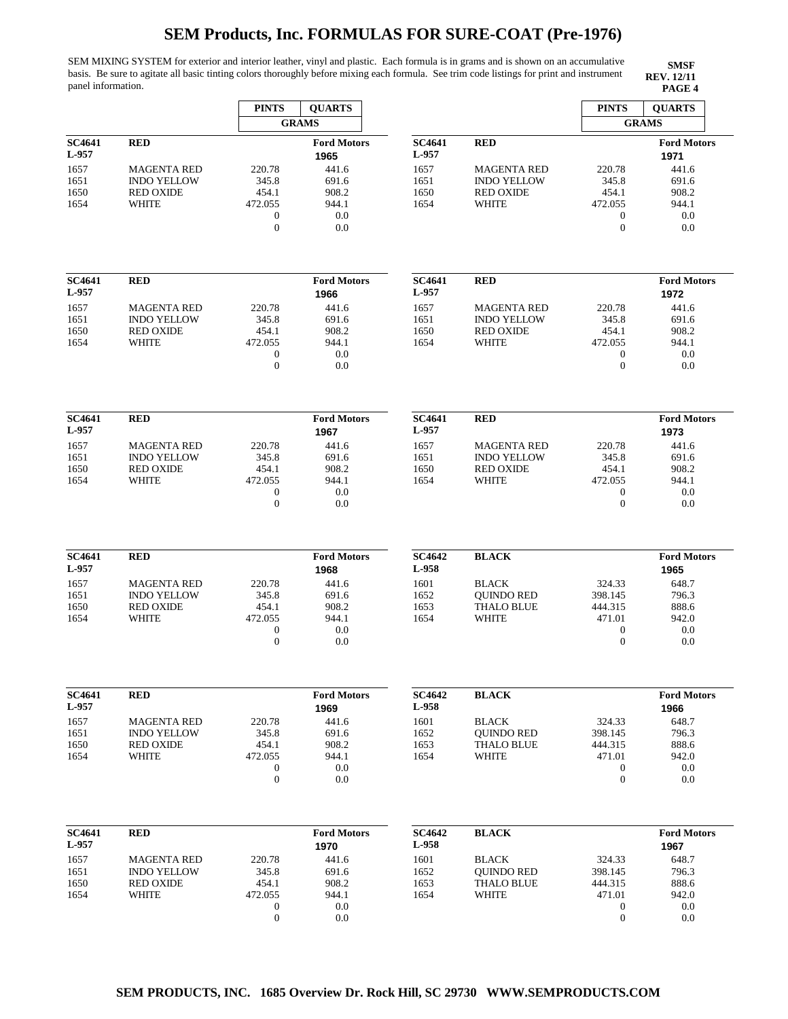SEM MIXING SYSTEM for exterior and interior leather, vinyl and plastic. Each formula is in grams and is shown on an accumulative basis. Be sure to agitate all basic tinting colors thoroughly before mixing each formula. See trim code listings for print and instrument panel information. **PAGE 4**

|                                                 |                                                                                     | <b>PINTS</b><br><b>QUARTS</b>                                               |                                                                              |                                                        |                                                                                 | <b>PINTS</b><br><b>QUARTS</b>                                                  |                                                                              |
|-------------------------------------------------|-------------------------------------------------------------------------------------|-----------------------------------------------------------------------------|------------------------------------------------------------------------------|--------------------------------------------------------|---------------------------------------------------------------------------------|--------------------------------------------------------------------------------|------------------------------------------------------------------------------|
|                                                 |                                                                                     |                                                                             | <b>GRAMS</b>                                                                 |                                                        |                                                                                 |                                                                                | <b>GRAMS</b>                                                                 |
| SC4641<br>L-957                                 | <b>RED</b>                                                                          |                                                                             | <b>Ford Motors</b><br>1965                                                   | <b>SC4641</b><br>L-957                                 | <b>RED</b>                                                                      |                                                                                | <b>Ford Motors</b><br>1971                                                   |
| 1657<br>1651<br>1650<br>1654                    | <b>MAGENTA RED</b><br><b>INDO YELLOW</b><br><b>RED OXIDE</b><br>WHITE               | 220.78<br>345.8<br>454.1<br>472.055<br>$\boldsymbol{0}$<br>$\overline{0}$   | 441.6<br>691.6<br>908.2<br>944.1<br>0.0<br>0.0                               | 1657<br>1651<br>1650<br>1654                           | <b>MAGENTA RED</b><br><b>INDO YELLOW</b><br><b>RED OXIDE</b><br><b>WHITE</b>    | 220.78<br>345.8<br>454.1<br>472.055<br>$\overline{0}$<br>$\theta$              | 441.6<br>691.6<br>908.2<br>944.1<br>0.0<br>0.0                               |
| <b>SC4641</b><br>L-957                          | <b>RED</b>                                                                          |                                                                             | <b>Ford Motors</b><br>1966                                                   | <b>SC4641</b><br>L-957                                 | <b>RED</b>                                                                      |                                                                                | <b>Ford Motors</b><br>1972                                                   |
| 1657<br>1651<br>1650<br>1654                    | <b>MAGENTA RED</b><br><b>INDO YELLOW</b><br><b>RED OXIDE</b><br>WHITE               | 220.78<br>345.8<br>454.1<br>472.055<br>$\boldsymbol{0}$<br>$\overline{0}$   | 441.6<br>691.6<br>908.2<br>944.1<br>0.0<br>0.0                               | 1657<br>1651<br>1650<br>1654                           | <b>MAGENTA RED</b><br><b>INDO YELLOW</b><br><b>RED OXIDE</b><br>WHITE           | 220.78<br>345.8<br>454.1<br>472.055<br>$\boldsymbol{0}$<br>$\overline{0}$      | 441.6<br>691.6<br>908.2<br>944.1<br>0.0<br>0.0                               |
| <b>SC4641</b><br>L-957                          | <b>RED</b>                                                                          |                                                                             | <b>Ford Motors</b><br>1967                                                   | <b>SC4641</b><br>L-957                                 | <b>RED</b>                                                                      |                                                                                | <b>Ford Motors</b><br>1973                                                   |
| 1657<br>1651<br>1650<br>1654                    | <b>MAGENTA RED</b><br><b>INDO YELLOW</b><br><b>RED OXIDE</b><br>WHITE               | 220.78<br>345.8<br>454.1<br>472.055<br>$\boldsymbol{0}$<br>$\overline{0}$   | 441.6<br>691.6<br>908.2<br>944.1<br>0.0<br>0.0                               | 1657<br>1651<br>1650<br>1654                           | <b>MAGENTA RED</b><br><b>INDO YELLOW</b><br><b>RED OXIDE</b><br>WHITE           | 220.78<br>345.8<br>454.1<br>472.055<br>$\boldsymbol{0}$<br>$\overline{0}$      | 441.6<br>691.6<br>908.2<br>944.1<br>0.0<br>0.0                               |
| <b>SC4641</b><br>L-957                          | <b>RED</b>                                                                          |                                                                             | <b>Ford Motors</b><br>1968                                                   | <b>SC4642</b><br>L-958                                 | <b>BLACK</b>                                                                    |                                                                                | <b>Ford Motors</b><br>1965                                                   |
| 1657<br>1651<br>1650<br>1654                    | <b>MAGENTA RED</b><br><b>INDO YELLOW</b><br><b>RED OXIDE</b><br><b>WHITE</b>        | 220.78<br>345.8<br>454.1<br>472.055<br>$\boldsymbol{0}$<br>$\boldsymbol{0}$ | 441.6<br>691.6<br>908.2<br>944.1<br>0.0<br>0.0                               | 1601<br>1652<br>1653<br>1654                           | <b>BLACK</b><br><b>OUINDO RED</b><br><b>THALO BLUE</b><br><b>WHITE</b>          | 324.33<br>398.145<br>444.315<br>471.01<br>$\boldsymbol{0}$<br>$\boldsymbol{0}$ | 648.7<br>796.3<br>888.6<br>942.0<br>0.0<br>0.0                               |
| <b>SC4641</b><br>L-957                          | <b>RED</b>                                                                          |                                                                             | <b>Ford Motors</b>                                                           | <b>SC4642</b><br>L-958                                 | <b>BLACK</b>                                                                    |                                                                                | <b>Ford Motors</b>                                                           |
| 1657<br>1651<br>1650<br>1654                    | <b>MAGENTA RED</b><br><b>INDO YELLOW</b><br><b>RED OXIDE</b><br><b>WHITE</b>        | 220.78<br>345.8<br>454.1<br>472.055<br>$\boldsymbol{0}$<br>$\boldsymbol{0}$ | 1969<br>441.6<br>691.6<br>908.2<br>944.1<br>0.0<br>0.0                       | 1601<br>1652<br>1653<br>1654                           | <b>BLACK</b><br><b>QUINDO RED</b><br><b>THALO BLUE</b><br><b>WHITE</b>          | 324.33<br>398.145<br>444.315<br>471.01<br>$\boldsymbol{0}$<br>$\boldsymbol{0}$ | 1966<br>648.7<br>796.3<br>888.6<br>942.0<br>0.0<br>0.0                       |
| SC4641<br>L-957<br>1657<br>1651<br>1650<br>1654 | <b>RED</b><br><b>MAGENTA RED</b><br><b>INDO YELLOW</b><br><b>RED OXIDE</b><br>WHITE | 220.78<br>345.8<br>454.1<br>472.055<br>$\boldsymbol{0}$<br>$\mathbf{0}$     | <b>Ford Motors</b><br>1970<br>441.6<br>691.6<br>908.2<br>944.1<br>0.0<br>0.0 | <b>SC4642</b><br>L-958<br>1601<br>1652<br>1653<br>1654 | <b>BLACK</b><br><b>BLACK</b><br><b>QUINDO RED</b><br><b>THALO BLUE</b><br>WHITE | 324.33<br>398.145<br>444.315<br>471.01<br>$\overline{0}$<br>$\boldsymbol{0}$   | <b>Ford Motors</b><br>1967<br>648.7<br>796.3<br>888.6<br>942.0<br>0.0<br>0.0 |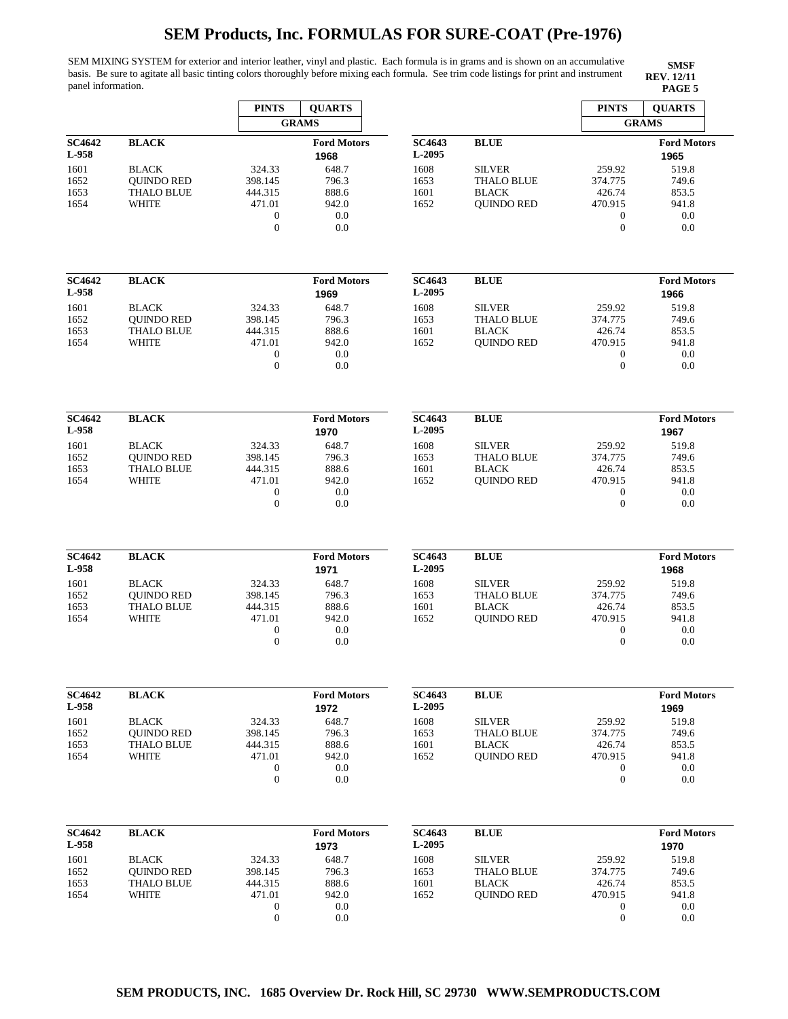SEM MIXING SYSTEM for exterior and interior leather, vinyl and plastic. Each formula is in grams and is shown on an accumulative basis. Be sure to agitate all basic tinting colors thoroughly before mixing each formula. See trim code listings for print and instrument panel information. **PAGE 5**

|                        |                                        | <b>PINTS</b>               | <b>QUARTS</b><br><b>GRAMS</b> |                         | <b>PINTS</b><br><b>GRAMS</b>       | <b>QUARTS</b>               |                            |
|------------------------|----------------------------------------|----------------------------|-------------------------------|-------------------------|------------------------------------|-----------------------------|----------------------------|
| <b>SC4642</b><br>L-958 | <b>BLACK</b>                           |                            | <b>Ford Motors</b><br>1968    | <b>SC4643</b><br>L-2095 | <b>BLUE</b>                        |                             | <b>Ford Motors</b><br>1965 |
| 1601<br>1652           | <b>BLACK</b><br><b>QUINDO RED</b>      | 324.33<br>398.145          | 648.7<br>796.3                | 1608<br>1653            | <b>SILVER</b><br><b>THALO BLUE</b> | 259.92<br>374.775           | 519.8<br>749.6             |
| 1653                   | <b>THALO BLUE</b>                      | 444.315                    | 888.6                         | 1601                    | <b>BLACK</b>                       | 426.74                      | 853.5                      |
| 1654                   | <b>WHITE</b>                           | 471.01                     | 942.0                         | 1652                    | <b>QUINDO RED</b>                  | 470.915                     | 941.8                      |
|                        |                                        | $\boldsymbol{0}$           | 0.0                           |                         |                                    | $\mathbf{0}$                | 0.0                        |
|                        |                                        | $\overline{0}$             | 0.0                           |                         |                                    | $\overline{0}$              | 0.0                        |
| <b>SC4642</b>          | <b>BLACK</b>                           |                            | <b>Ford Motors</b>            | <b>SC4643</b>           | <b>BLUE</b>                        |                             | <b>Ford Motors</b>         |
| L-958                  |                                        |                            | 1969                          | L-2095                  |                                    |                             | 1966                       |
| 1601                   | <b>BLACK</b>                           | 324.33                     | 648.7                         | 1608                    | <b>SILVER</b>                      | 259.92                      | 519.8                      |
| 1652<br>1653           | <b>OUINDO RED</b><br><b>THALO BLUE</b> | 398.145<br>444.315         | 796.3<br>888.6                | 1653<br>1601            | <b>THALO BLUE</b><br><b>BLACK</b>  | 374.775<br>426.74           | 749.6<br>853.5             |
| 1654                   | <b>WHITE</b>                           | 471.01                     | 942.0                         | 1652                    | <b>QUINDO RED</b>                  | 470.915                     | 941.8                      |
|                        |                                        | $\boldsymbol{0}$           | 0.0                           |                         |                                    | $\mathbf{0}$                | 0.0                        |
|                        |                                        | $\mathbf{0}$               | 0.0                           |                         |                                    | $\mathbf{0}$                | 0.0                        |
| <b>SC4642</b>          | <b>BLACK</b>                           |                            | <b>Ford Motors</b>            | <b>SC4643</b>           | <b>BLUE</b>                        |                             | <b>Ford Motors</b>         |
| L-958                  |                                        |                            | 1970                          | L-2095                  |                                    |                             | 1967                       |
| 1601                   | <b>BLACK</b>                           | 324.33                     | 648.7                         | 1608                    | <b>SILVER</b>                      | 259.92                      | 519.8                      |
| 1652                   | <b>OUINDO RED</b><br><b>THALO BLUE</b> | 398.145                    | 796.3<br>888.6                | 1653<br>1601            | <b>THALO BLUE</b><br><b>BLACK</b>  | 374.775                     | 749.6<br>853.5             |
| 1653<br>1654           | WHITE                                  | 444.315<br>471.01          | 942.0                         | 1652                    | <b>QUINDO RED</b>                  | 426.74<br>470.915           | 941.8                      |
|                        |                                        | $\boldsymbol{0}$           | 0.0                           |                         |                                    | $\mathbf{0}$                | 0.0                        |
|                        |                                        | $\overline{0}$             | 0.0                           |                         |                                    | $\mathbf{0}$                | 0.0                        |
| <b>SC4642</b>          | <b>BLACK</b>                           |                            | <b>Ford Motors</b>            | <b>SC4643</b>           | <b>BLUE</b>                        |                             | <b>Ford Motors</b>         |
| L-958                  |                                        |                            | 1971                          | L-2095                  |                                    |                             | 1968                       |
| 1601                   | <b>BLACK</b>                           | 324.33                     | 648.7                         | 1608                    | <b>SILVER</b>                      | 259.92                      | 519.8                      |
| 1652                   | <b>OUINDO RED</b><br><b>THALO BLUE</b> | 398.145                    | 796.3<br>888.6                | 1653<br>1601            | <b>THALO BLUE</b><br><b>BLACK</b>  | 374.775                     | 749.6<br>853.5             |
| 1653<br>1654           | <b>WHITE</b>                           | 444.315<br>471.01          | 942.0                         | 1652                    | <b>QUINDO RED</b>                  | 426.74<br>470.915           | 941.8                      |
|                        |                                        | $\boldsymbol{0}$           | 0.0                           |                         |                                    | $\boldsymbol{0}$            | 0.0                        |
|                        |                                        | $\overline{0}$             | 0.0                           |                         |                                    | $\mathbf{0}$                | 0.0                        |
| <b>SC4642</b>          | <b>BLACK</b>                           |                            | <b>Ford Motors</b>            | <b>SC4643</b>           | <b>BLUE</b>                        |                             | <b>Ford Motors</b>         |
| L-958                  |                                        |                            | 1972                          | L-2095                  |                                    |                             | 1969                       |
| 1601                   | <b>BLACK</b>                           | 324.33                     | 648.7                         | 1608                    | <b>SILVER</b>                      | 259.92                      | 519.8                      |
| 1652                   | <b>QUINDO RED</b>                      | 398.145                    | 796.3                         | 1653                    | <b>THALO BLUE</b>                  | 374.775                     | 749.6                      |
| 1653                   | <b>THALO BLUE</b>                      | 444.315                    | 888.6                         | 1601                    | <b>BLACK</b>                       | 426.74                      | 853.5                      |
| 1654                   | WHITE                                  | 471.01<br>$\boldsymbol{0}$ | 942.0<br>0.0                  | 1652                    | <b>QUINDO RED</b>                  | 470.915<br>$\boldsymbol{0}$ | 941.8<br>0.0               |
|                        |                                        | $\boldsymbol{0}$           | 0.0                           |                         |                                    | $\mathbf{0}$                | 0.0                        |
|                        |                                        |                            |                               |                         |                                    |                             |                            |
| SC4642<br>L-958        | <b>BLACK</b>                           |                            | <b>Ford Motors</b><br>1973    | <b>SC4643</b><br>L-2095 | <b>BLUE</b>                        |                             | <b>Ford Motors</b><br>1970 |
| 1601                   | <b>BLACK</b>                           | 324.33                     | 648.7                         | 1608                    | <b>SILVER</b>                      | 259.92                      | 519.8                      |
| 1652                   | <b>QUINDO RED</b>                      | 398.145                    | 796.3                         | 1653                    | <b>THALO BLUE</b>                  | 374.775                     | 749.6                      |
| 1653                   | <b>THALO BLUE</b>                      | 444.315                    | 888.6                         | 1601                    | <b>BLACK</b>                       | 426.74                      | 853.5                      |
| 1654                   | <b>WHITE</b>                           | 471.01                     | 942.0                         | 1652                    | <b>QUINDO RED</b>                  | 470.915                     | 941.8                      |
|                        |                                        | $\boldsymbol{0}$           | 0.0                           |                         |                                    | $\mathbf{0}$                | 0.0                        |
|                        |                                        | $\boldsymbol{0}$           | 0.0                           |                         |                                    | $\boldsymbol{0}$            | 0.0                        |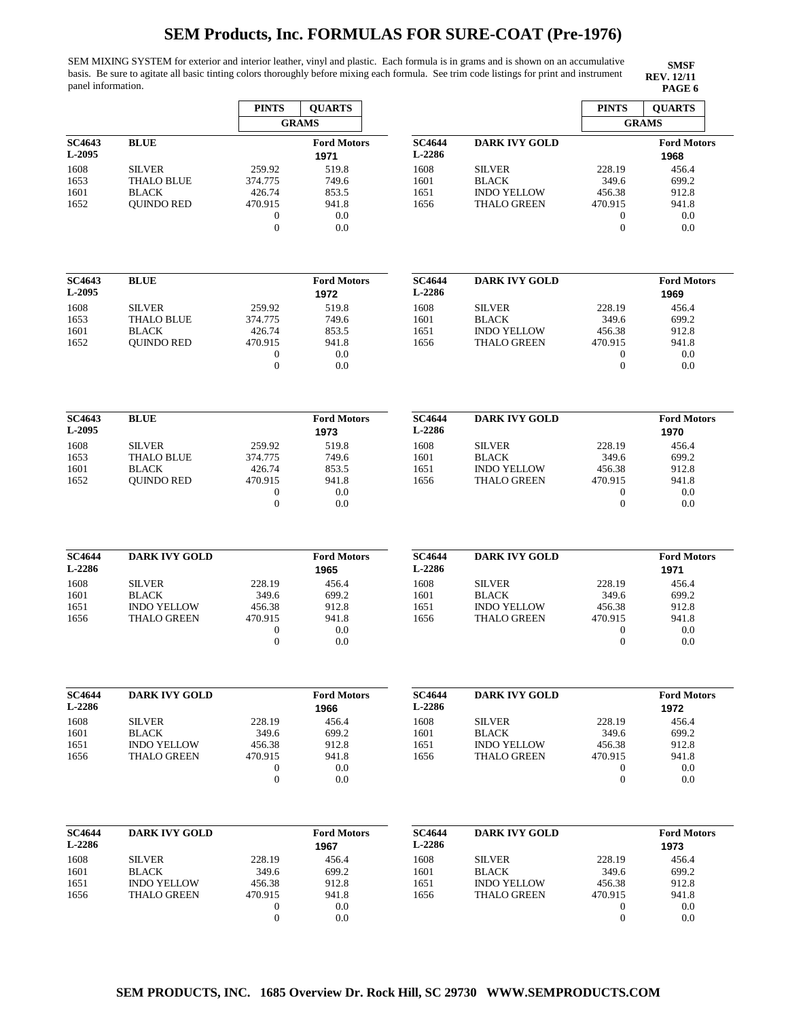SEM MIXING SYSTEM for exterior and interior leather, vinyl and plastic. Each formula is in grams and is shown on an accumulative basis. Be sure to agitate all basic tinting colors thoroughly before mixing each formula. See trim code listings for print and instrument panel information. **PAGE 6**

|                         |                                          | <b>PINTS</b>      | <b>QUARTS</b>              |                         |                                          | <b>PINTS</b>      | <b>QUARTS</b>              |
|-------------------------|------------------------------------------|-------------------|----------------------------|-------------------------|------------------------------------------|-------------------|----------------------------|
|                         |                                          |                   | <b>GRAMS</b>               |                         |                                          | <b>GRAMS</b>      |                            |
| <b>SC4643</b><br>L-2095 | <b>BLUE</b>                              |                   | <b>Ford Motors</b><br>1971 | <b>SC4644</b><br>L-2286 | <b>DARK IVY GOLD</b>                     |                   | <b>Ford Motors</b><br>1968 |
| 1608                    | <b>SILVER</b>                            | 259.92            | 519.8                      | 1608                    | <b>SILVER</b>                            | 228.19            | 456.4                      |
| 1653<br>1601            | <b>THALO BLUE</b><br><b>BLACK</b>        | 374.775<br>426.74 | 749.6<br>853.5             | 1601<br>1651            | <b>BLACK</b><br><b>INDO YELLOW</b>       | 349.6<br>456.38   | 699.2<br>912.8             |
| 1652                    | <b>QUINDO RED</b>                        | 470.915           | 941.8                      | 1656                    | <b>THALO GREEN</b>                       | 470.915           | 941.8                      |
|                         |                                          | $\boldsymbol{0}$  | 0.0                        |                         |                                          | $\boldsymbol{0}$  | 0.0                        |
|                         |                                          | $\overline{0}$    | 0.0                        |                         |                                          | $\Omega$          | 0.0                        |
| <b>SC4643</b>           | <b>BLUE</b>                              |                   | <b>Ford Motors</b>         | <b>SC4644</b>           | <b>DARK IVY GOLD</b>                     |                   | <b>Ford Motors</b>         |
| L-2095                  |                                          |                   | 1972                       | L-2286                  |                                          |                   | 1969                       |
| 1608                    | <b>SILVER</b>                            | 259.92            | 519.8                      | 1608                    | <b>SILVER</b>                            | 228.19            | 456.4                      |
| 1653                    | <b>THALO BLUE</b>                        | 374.775           | 749.6                      | 1601                    | <b>BLACK</b>                             | 349.6             | 699.2                      |
| 1601<br>1652            | <b>BLACK</b><br><b>QUINDO RED</b>        | 426.74<br>470.915 | 853.5<br>941.8             | 1651<br>1656            | <b>INDO YELLOW</b><br><b>THALO GREEN</b> | 456.38<br>470.915 | 912.8<br>941.8             |
|                         |                                          | $\boldsymbol{0}$  | $0.0\,$                    |                         |                                          | $\overline{0}$    | 0.0                        |
|                         |                                          | $\mathbf{0}$      | 0.0                        |                         |                                          | $\theta$          | 0.0                        |
| <b>SC4643</b>           | <b>BLUE</b>                              |                   | <b>Ford Motors</b>         | <b>SC4644</b>           | <b>DARK IVY GOLD</b>                     |                   | <b>Ford Motors</b>         |
| L-2095                  |                                          |                   | 1973                       | L-2286                  |                                          |                   | 1970                       |
| 1608                    | <b>SILVER</b>                            | 259.92            | 519.8                      | 1608                    | <b>SILVER</b>                            | 228.19            | 456.4                      |
| 1653<br>1601            | <b>THALO BLUE</b><br><b>BLACK</b>        | 374.775<br>426.74 | 749.6<br>853.5             | 1601<br>1651            | <b>BLACK</b><br><b>INDO YELLOW</b>       | 349.6<br>456.38   | 699.2<br>912.8             |
| 1652                    | <b>QUINDO RED</b>                        | 470.915           | 941.8                      | 1656                    | <b>THALO GREEN</b>                       | 470.915           | 941.8                      |
|                         |                                          | $\boldsymbol{0}$  | 0.0                        |                         |                                          | $\mathbf{0}$      | 0.0                        |
|                         |                                          | $\mathbf{0}$      | 0.0                        |                         |                                          | $\mathbf{0}$      | 0.0                        |
| <b>SC4644</b>           | <b>DARK IVY GOLD</b>                     |                   | <b>Ford Motors</b>         | <b>SC4644</b>           | <b>DARK IVY GOLD</b>                     |                   | <b>Ford Motors</b>         |
| L-2286                  |                                          |                   | 1965                       | L-2286                  |                                          |                   | 1971                       |
| 1608                    | <b>SILVER</b>                            | 228.19            | 456.4                      | 1608                    | <b>SILVER</b>                            | 228.19            | 456.4                      |
| 1601<br>1651            | <b>BLACK</b><br><b>INDO YELLOW</b>       | 349.6<br>456.38   | 699.2<br>912.8             | 1601<br>1651            | <b>BLACK</b><br><b>INDO YELLOW</b>       | 349.6<br>456.38   | 699.2<br>912.8             |
| 1656                    | <b>THALO GREEN</b>                       | 470.915           | 941.8                      | 1656                    | <b>THALO GREEN</b>                       | 470.915           | 941.8                      |
|                         |                                          | $\mathbf{0}$      | 0.0                        |                         |                                          | $\overline{0}$    | 0.0                        |
|                         |                                          | $\mathbf{0}$      | 0.0                        |                         |                                          | $\overline{0}$    | 0.0                        |
| <b>SC4644</b>           | <b>DARK IVY GOLD</b>                     |                   | <b>Ford Motors</b>         | <b>SC4644</b>           | <b>DARK IVY GOLD</b>                     |                   | <b>Ford Motors</b>         |
| L-2286                  |                                          |                   | 1966                       | L-2286                  |                                          |                   | 1972                       |
| 1608                    | <b>SILVER</b>                            | 228.19            | 456.4                      | 1608                    | <b>SILVER</b>                            | 228.19            | 456.4                      |
| 1601                    | <b>BLACK</b>                             | 349.6             | 699.2                      | 1601                    | <b>BLACK</b>                             | 349.6             | 699.2                      |
| 1651<br>1656            | <b>INDO YELLOW</b><br><b>THALO GREEN</b> | 456.38<br>470.915 | 912.8<br>941.8             | 1651<br>1656            | <b>INDO YELLOW</b><br><b>THALO GREEN</b> | 456.38<br>470.915 | 912.8<br>941.8             |
|                         |                                          | $\boldsymbol{0}$  | 0.0                        |                         |                                          | $\boldsymbol{0}$  | 0.0                        |
|                         |                                          | $\boldsymbol{0}$  | 0.0                        |                         |                                          | $\mathbf{0}$      | 0.0                        |
| <b>SC4644</b>           | <b>DARK IVY GOLD</b>                     |                   | <b>Ford Motors</b>         | <b>SC4644</b>           | <b>DARK IVY GOLD</b>                     |                   | <b>Ford Motors</b>         |
| L-2286                  |                                          |                   | 1967                       | L-2286                  |                                          |                   | 1973                       |
| 1608                    | <b>SILVER</b>                            | 228.19            | 456.4                      | 1608                    | <b>SILVER</b>                            | 228.19            | 456.4                      |
| 1601                    | <b>BLACK</b>                             | 349.6             | 699.2                      | 1601                    | <b>BLACK</b>                             | 349.6             | 699.2                      |
| 1651<br>1656            | <b>INDO YELLOW</b><br><b>THALO GREEN</b> | 456.38<br>470.915 | 912.8<br>941.8             | 1651<br>1656            | <b>INDO YELLOW</b><br><b>THALO GREEN</b> | 456.38<br>470.915 | 912.8<br>941.8             |
|                         |                                          | $\boldsymbol{0}$  | 0.0                        |                         |                                          | $\boldsymbol{0}$  | 0.0                        |
|                         |                                          | $\boldsymbol{0}$  | 0.0                        |                         |                                          | $\boldsymbol{0}$  | 0.0                        |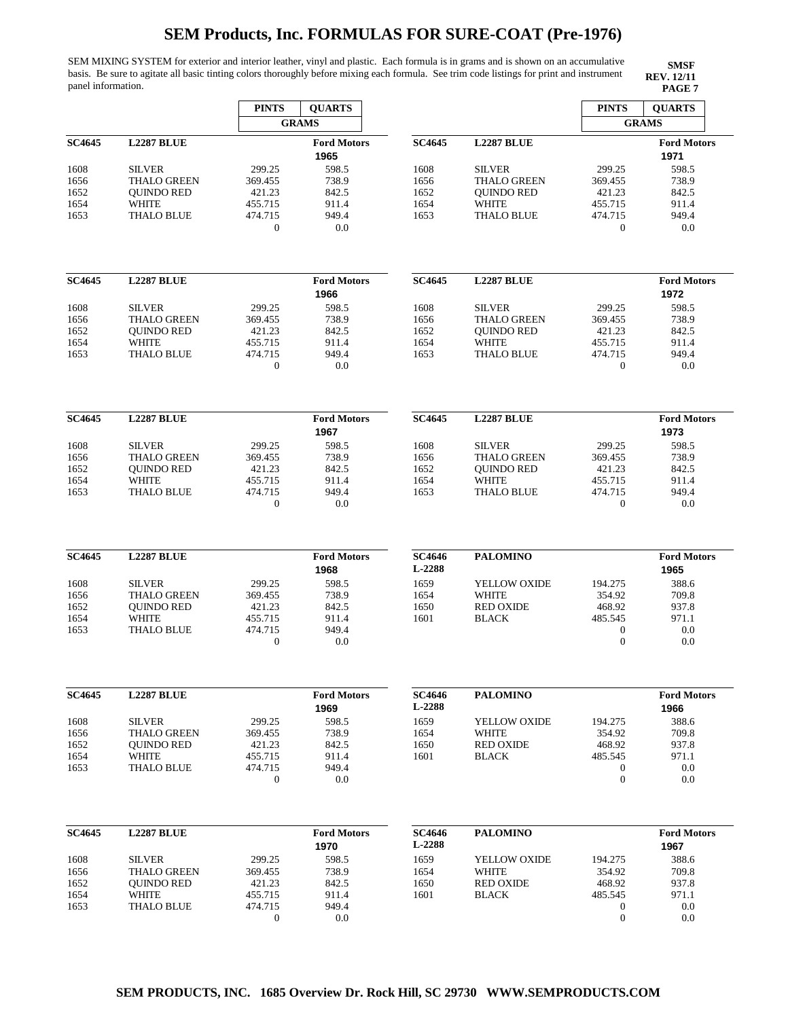SEM MIXING SYSTEM for exterior and interior leather, vinyl and plastic. Each formula is in grams and is shown on an accumulative basis. Be sure to agitate all basic tinting colors thoroughly before mixing each formula. See trim code listings for print and instrument panel information. **PAGE 7**

|               |                    | <b>PINTS</b>            | <b>QUARTS</b>              |                         |                    | <b>PINTS</b>                         | <b>OUARTS</b>              |
|---------------|--------------------|-------------------------|----------------------------|-------------------------|--------------------|--------------------------------------|----------------------------|
|               |                    |                         | <b>GRAMS</b>               |                         |                    |                                      | <b>GRAMS</b>               |
| <b>SC4645</b> | <b>L2287 BLUE</b>  |                         | <b>Ford Motors</b>         | <b>SC4645</b>           | <b>L2287 BLUE</b>  |                                      | <b>Ford Motors</b>         |
|               |                    |                         | 1965                       |                         |                    |                                      | 1971                       |
| 1608          | <b>SILVER</b>      | 299.25                  | 598.5                      | 1608                    | <b>SILVER</b>      | 299.25                               | 598.5                      |
| 1656          | <b>THALO GREEN</b> | 369.455                 | 738.9                      | 1656                    | <b>THALO GREEN</b> | 369.455                              | 738.9                      |
| 1652          | <b>QUINDO RED</b>  | 421.23                  | 842.5                      | 1652                    | <b>QUINDO RED</b>  | 421.23                               | 842.5                      |
| 1654          | WHITE              | 455.715                 | 911.4                      | 1654                    | <b>WHITE</b>       | 455.715                              | 911.4                      |
| 1653          | <b>THALO BLUE</b>  | 474.715                 | 949.4                      | 1653                    | <b>THALO BLUE</b>  | 474.715                              | 949.4                      |
|               |                    | $\boldsymbol{0}$        | 0.0                        |                         |                    | $\boldsymbol{0}$                     | 0.0                        |
|               |                    |                         |                            |                         |                    |                                      |                            |
| <b>SC4645</b> | <b>L2287 BLUE</b>  |                         | <b>Ford Motors</b><br>1966 | <b>SC4645</b>           | <b>L2287 BLUE</b>  |                                      | <b>Ford Motors</b><br>1972 |
| 1608          | <b>SILVER</b>      | 299.25                  | 598.5                      | 1608                    | <b>SILVER</b>      | 299.25                               | 598.5                      |
| 1656          | <b>THALO GREEN</b> | 369.455                 | 738.9                      | 1656                    | <b>THALO GREEN</b> | 369.455                              | 738.9                      |
| 1652          | <b>QUINDO RED</b>  | 421.23                  | 842.5                      | 1652                    | <b>OUINDO RED</b>  | 421.23                               | 842.5                      |
| 1654          | <b>WHITE</b>       | 455.715                 | 911.4                      | 1654                    | <b>WHITE</b>       | 455.715                              | 911.4                      |
| 1653          | <b>THALO BLUE</b>  | 474.715                 | 949.4                      | 1653                    | <b>THALO BLUE</b>  | 474.715                              | 949.4                      |
|               |                    | $\mathbf{0}$            | 0.0                        |                         |                    | $\mathbf{0}$                         | 0.0                        |
|               |                    |                         |                            |                         |                    |                                      |                            |
| <b>SC4645</b> | <b>L2287 BLUE</b>  |                         | <b>Ford Motors</b><br>1967 | <b>SC4645</b>           | <b>L2287 BLUE</b>  |                                      | <b>Ford Motors</b><br>1973 |
| 1608          | <b>SILVER</b>      | 299.25                  | 598.5                      | 1608                    | <b>SILVER</b>      | 299.25                               | 598.5                      |
| 1656          | <b>THALO GREEN</b> | 369.455                 | 738.9                      | 1656                    | <b>THALO GREEN</b> | 369.455                              | 738.9                      |
| 1652          | <b>OUINDO RED</b>  | 421.23                  | 842.5                      | 1652                    | <b>OUINDO RED</b>  | 421.23                               | 842.5                      |
| 1654          | <b>WHITE</b>       | 455.715                 | 911.4                      | 1654                    | <b>WHITE</b>       | 455.715                              | 911.4                      |
| 1653          | <b>THALO BLUE</b>  | 474.715                 | 949.4                      | 1653                    | <b>THALO BLUE</b>  | 474.715                              | 949.4                      |
|               |                    | $\mathbf{0}$            | 0.0                        |                         |                    | $\theta$                             | 0.0                        |
| <b>SC4645</b> | <b>L2287 BLUE</b>  |                         | <b>Ford Motors</b>         | <b>SC4646</b>           | <b>PALOMINO</b>    |                                      | <b>Ford Motors</b>         |
|               |                    |                         | 1968                       | L-2288                  |                    |                                      | 1965                       |
| 1608          | <b>SILVER</b>      | 299.25                  | 598.5                      | 1659                    | YELLOW OXIDE       | 194.275                              | 388.6                      |
| 1656          | <b>THALO GREEN</b> | 369.455                 | 738.9                      | 1654                    | WHITE              | 354.92                               | 709.8                      |
| 1652          | <b>QUINDO RED</b>  | 421.23                  | 842.5                      | 1650                    | <b>RED OXIDE</b>   | 468.92                               | 937.8                      |
| 1654          | WHITE              | 455.715                 | 911.4                      | 1601                    | <b>BLACK</b>       | 485.545                              | 971.1                      |
|               |                    |                         | 949.4                      |                         |                    |                                      |                            |
| 1653          | <b>THALO BLUE</b>  | 474.715<br>$\mathbf{0}$ | 0.0                        |                         |                    | $\boldsymbol{0}$<br>$\boldsymbol{0}$ | 0.0<br>0.0                 |
|               |                    |                         |                            |                         |                    |                                      |                            |
| <b>SC4645</b> | <b>L2287 BLUE</b>  |                         | <b>Ford Motors</b><br>1969 | <b>SC4646</b><br>L-2288 | <b>PALOMINO</b>    |                                      | <b>Ford Motors</b><br>1966 |
| 1608          | <b>SILVER</b>      | 299.25                  | 598.5                      | 1659                    | YELLOW OXIDE       | 194.275                              | 388.6                      |
| 1656          | THALO GREEN        | 369.455                 | 738.9                      | 1654                    | <b>WHITE</b>       | 354.92                               | 709.8                      |
| 1652          | <b>QUINDO RED</b>  | 421.23                  | 842.5                      | 1650                    | <b>RED OXIDE</b>   | 468.92                               | 937.8                      |
| 1654          | WHITE              | 455.715                 | 911.4                      | 1601                    | <b>BLACK</b>       | 485.545                              | 971.1                      |
| 1653          | <b>THALO BLUE</b>  | 474.715                 | 949.4                      |                         |                    | $\boldsymbol{0}$                     | 0.0                        |
|               |                    | $\boldsymbol{0}$        | 0.0                        |                         |                    | $\mathbf{0}$                         | 0.0                        |
| <b>SC4645</b> | <b>L2287 BLUE</b>  |                         | <b>Ford Motors</b>         | <b>SC4646</b>           | <b>PALOMINO</b>    |                                      | <b>Ford Motors</b>         |
|               |                    |                         | 1970                       | L-2288                  |                    |                                      | 1967                       |
| 1608          | <b>SILVER</b>      | 299.25                  | 598.5                      | 1659                    | YELLOW OXIDE       | 194.275                              | 388.6                      |
| 1656          | THALO GREEN        | 369.455                 | 738.9                      | 1654                    | <b>WHITE</b>       | 354.92                               | 709.8                      |
| 1652          | <b>QUINDO RED</b>  | 421.23                  | 842.5                      | 1650                    | <b>RED OXIDE</b>   | 468.92                               | 937.8                      |
| 1654          | WHITE              | 455.715                 | 911.4                      | 1601                    | <b>BLACK</b>       | 485.545                              | 971.1                      |
| 1653          | THALO BLUE         | 474.715                 | 949.4                      |                         |                    | 0                                    | 0.0                        |
|               |                    | $\boldsymbol{0}$        | 0.0                        |                         |                    | $\boldsymbol{0}$                     | 0.0                        |
|               |                    |                         |                            |                         |                    |                                      |                            |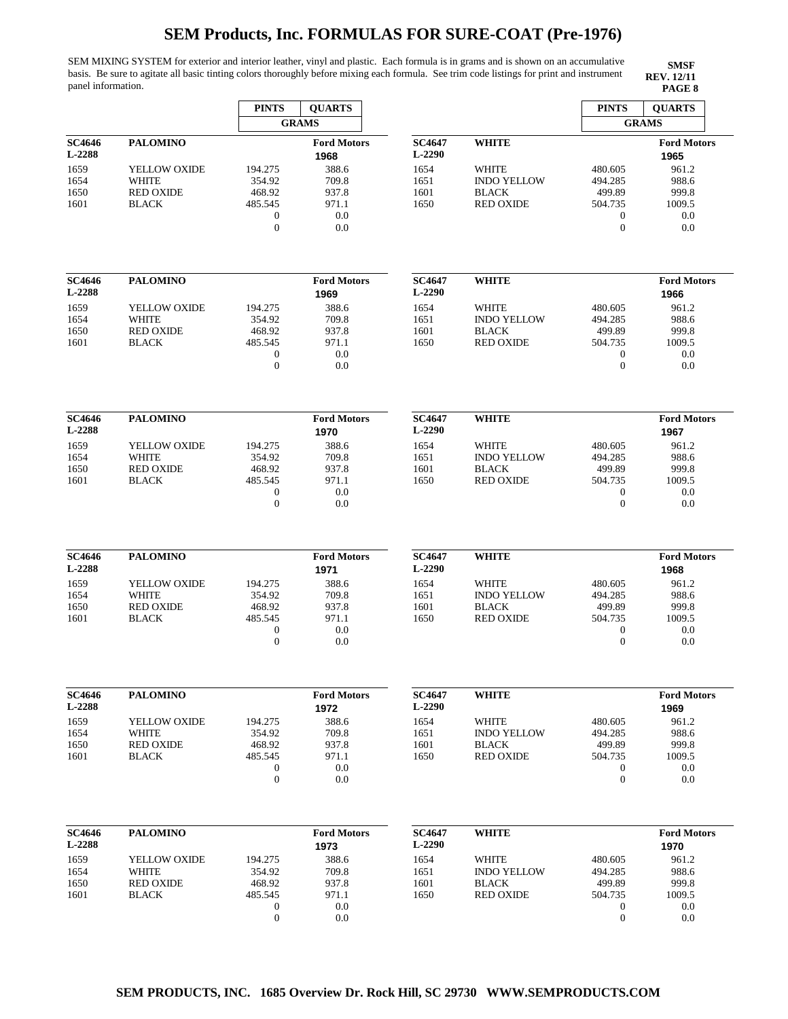SEM MIXING SYSTEM for exterior and interior leather, vinyl and plastic. Each formula is in grams and is shown on an accumulative basis. Be sure to agitate all basic tinting colors thoroughly before mixing each formula. See trim code listings for print and instrument panel information. **PAGE 8**

|                         |                           | <b>PINTS</b>                       | <b>QUARTS</b>              |                         |                                    | <b>PINTS</b>                     | <b>QUARTS</b>              |
|-------------------------|---------------------------|------------------------------------|----------------------------|-------------------------|------------------------------------|----------------------------------|----------------------------|
|                         |                           |                                    | <b>GRAMS</b>               |                         |                                    |                                  | <b>GRAMS</b>               |
| <b>SC4646</b>           | <b>PALOMINO</b>           |                                    | <b>Ford Motors</b>         | <b>SC4647</b>           | <b>WHITE</b>                       |                                  | <b>Ford Motors</b>         |
| L-2288                  |                           |                                    | 1968                       | L-2290                  |                                    |                                  | 1965                       |
| 1659                    | YELLOW OXIDE              | 194.275                            | 388.6                      | 1654                    | <b>WHITE</b>                       | 480.605                          | 961.2                      |
| 1654                    | <b>WHITE</b>              | 354.92                             | 709.8                      | 1651                    | <b>INDO YELLOW</b>                 | 494.285                          | 988.6                      |
| 1650                    | <b>RED OXIDE</b>          | 468.92                             | 937.8                      | 1601                    | <b>BLACK</b>                       | 499.89                           | 999.8                      |
| 1601                    | <b>BLACK</b>              | 485.545                            | 971.1                      | 1650                    | <b>RED OXIDE</b>                   | 504.735                          | 1009.5                     |
|                         |                           | $\boldsymbol{0}$                   | 0.0                        |                         |                                    | $\mathbf{0}$                     | 0.0                        |
|                         |                           | $\mathbf{0}$                       | 0.0                        |                         |                                    | $\theta$                         | 0.0                        |
|                         |                           |                                    |                            |                         |                                    |                                  |                            |
| <b>SC4646</b>           | <b>PALOMINO</b>           |                                    | <b>Ford Motors</b>         | <b>SC4647</b>           | <b>WHITE</b>                       |                                  | <b>Ford Motors</b>         |
| <b>L-2288</b>           |                           |                                    | 1969                       | L-2290                  |                                    |                                  | 1966                       |
| 1659                    | YELLOW OXIDE              | 194.275                            | 388.6                      | 1654                    | WHITE                              | 480.605                          | 961.2                      |
| 1654                    | <b>WHITE</b>              | 354.92                             | 709.8                      | 1651                    | <b>INDO YELLOW</b>                 | 494.285                          | 988.6                      |
| 1650                    | <b>RED OXIDE</b>          | 468.92                             | 937.8                      | 1601                    | <b>BLACK</b>                       | 499.89                           | 999.8                      |
| 1601                    | <b>BLACK</b>              | 485.545                            | 971.1                      | 1650                    | <b>RED OXIDE</b>                   | 504.735                          | 1009.5                     |
|                         |                           | $\boldsymbol{0}$                   | 0.0                        |                         |                                    | $\boldsymbol{0}$                 | 0.0                        |
|                         |                           | $\overline{0}$                     | 0.0                        |                         |                                    | $\overline{0}$                   | 0.0                        |
| <b>SC4646</b>           | <b>PALOMINO</b>           |                                    | <b>Ford Motors</b>         | <b>SC4647</b>           | <b>WHITE</b>                       |                                  | <b>Ford Motors</b>         |
| L-2288                  |                           |                                    | 1970                       | L-2290                  |                                    |                                  | 1967                       |
|                         |                           |                                    | 388.6                      |                         |                                    |                                  | 961.2                      |
| 1659                    | YELLOW OXIDE              | 194.275                            |                            | 1654                    | <b>WHITE</b>                       | 480.605                          |                            |
| 1654                    | <b>WHITE</b>              | 354.92                             | 709.8                      | 1651                    | <b>INDO YELLOW</b>                 | 494.285                          | 988.6                      |
| 1650                    | <b>RED OXIDE</b>          | 468.92                             | 937.8                      | 1601                    | <b>BLACK</b>                       | 499.89                           | 999.8                      |
| 1601                    | <b>BLACK</b>              | 485.545                            | 971.1                      | 1650                    | <b>RED OXIDE</b>                   | 504.735                          | 1009.5                     |
|                         |                           | $\boldsymbol{0}$<br>$\overline{0}$ | 0.0<br>0.0                 |                         |                                    | $\boldsymbol{0}$<br>$\theta$     | 0.0<br>0.0                 |
|                         |                           |                                    |                            |                         |                                    |                                  |                            |
| <b>SC4646</b><br>L-2288 | <b>PALOMINO</b>           |                                    | <b>Ford Motors</b><br>1971 | <b>SC4647</b><br>L-2290 | <b>WHITE</b>                       |                                  | <b>Ford Motors</b><br>1968 |
|                         |                           |                                    | 388.6                      |                         |                                    |                                  |                            |
| 1659                    | YELLOW OXIDE              | 194.275                            |                            | 1654                    | WHITE                              | 480.605                          | 961.2                      |
| 1654                    | WHITE<br><b>RED OXIDE</b> | 354.92                             | 709.8                      | 1651                    | <b>INDO YELLOW</b><br><b>BLACK</b> | 494.285                          | 988.6                      |
| 1650                    |                           | 468.92                             | 937.8                      | 1601                    |                                    | 499.89<br>504.735                | 999.8                      |
| 1601                    | <b>BLACK</b>              | 485.545                            | 971.1<br>0.0               | 1650                    | <b>RED OXIDE</b>                   |                                  | 1009.5<br>0.0              |
|                         |                           | $\boldsymbol{0}$<br>$\mathbf{0}$   | 0.0                        |                         |                                    | $\boldsymbol{0}$<br>$\mathbf{0}$ | 0.0                        |
|                         |                           |                                    |                            |                         |                                    |                                  |                            |
| SC4646<br>L-2288        | <b>PALOMINO</b>           |                                    | <b>Ford Motors</b><br>1972 | <b>SC4647</b><br>L-2290 | <b>WHITE</b>                       |                                  | <b>Ford Motors</b><br>1969 |
| 1659                    | YELLOW OXIDE              | 194.275                            | 388.6                      | 1654                    | <b>WHITE</b>                       | 480.605                          | 961.2                      |
| 1654                    | WHITE                     | 354.92                             | 709.8                      | 1651                    | <b>INDO YELLOW</b>                 | 494.285                          | 988.6                      |
| 1650                    | <b>RED OXIDE</b>          | 468.92                             | 937.8                      | 1601                    | <b>BLACK</b>                       | 499.89                           | 999.8                      |
| 1601                    | <b>BLACK</b>              | 485.545                            | 971.1                      | 1650                    | <b>RED OXIDE</b>                   | 504.735                          | 1009.5                     |
|                         |                           | $\boldsymbol{0}$                   | 0.0                        |                         |                                    | $\mathbf{0}$                     | 0.0                        |
|                         |                           | $\overline{0}$                     | 0.0                        |                         |                                    | $\theta$                         | 0.0                        |
|                         |                           |                                    |                            |                         |                                    |                                  |                            |
| <b>SC4646</b><br>L-2288 | <b>PALOMINO</b>           |                                    | <b>Ford Motors</b><br>1973 | <b>SC4647</b><br>L-2290 | <b>WHITE</b>                       |                                  | <b>Ford Motors</b><br>1970 |
| 1659                    | YELLOW OXIDE              | 194.275                            | 388.6                      | 1654                    | WHITE                              | 480.605                          | 961.2                      |
| 1654                    | WHITE                     | 354.92                             | 709.8                      | 1651                    | <b>INDO YELLOW</b>                 | 494.285                          | 988.6                      |
| 1650                    | <b>RED OXIDE</b>          | 468.92                             | 937.8                      | 1601                    | <b>BLACK</b>                       | 499.89                           | 999.8                      |
| 1601                    | <b>BLACK</b>              | 485.545                            | 971.1                      | 1650                    | <b>RED OXIDE</b>                   | 504.735                          | 1009.5                     |
|                         |                           | $\boldsymbol{0}$                   | 0.0                        |                         |                                    | 0                                | 0.0                        |
|                         |                           | $\mathbf{0}$                       | 0.0                        |                         |                                    | $\mathbf{0}$                     | 0.0                        |
|                         |                           |                                    |                            |                         |                                    |                                  |                            |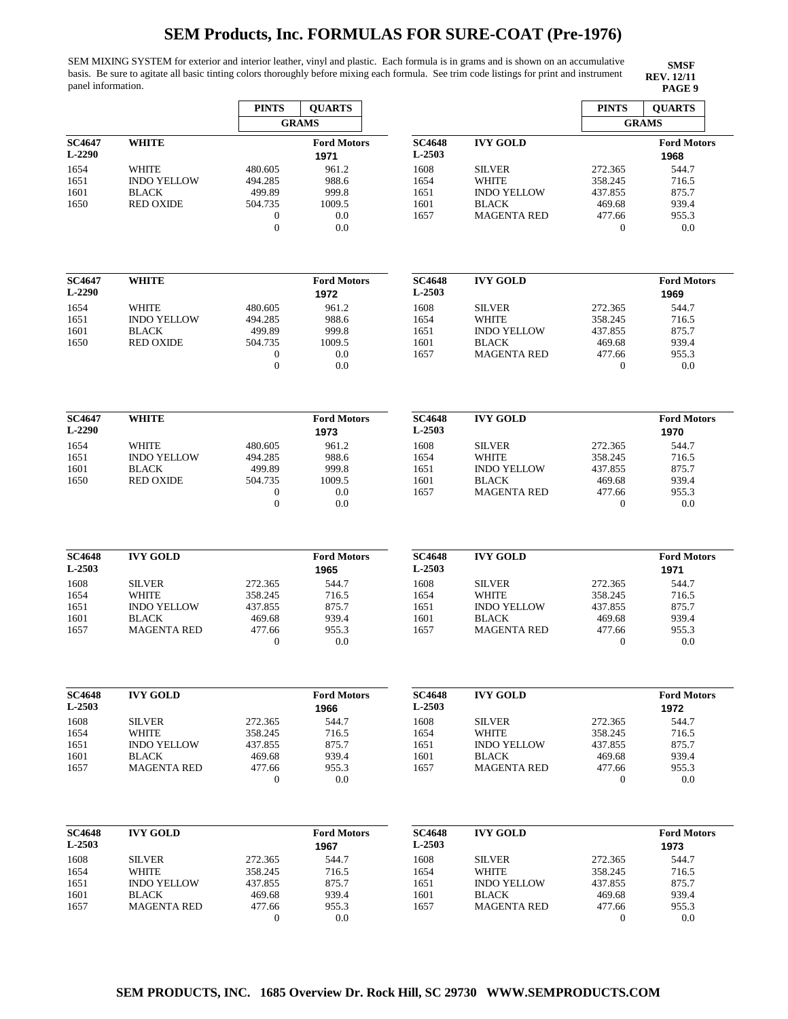SEM MIXING SYSTEM for exterior and interior leather, vinyl and plastic. Each formula is in grams and is shown on an accumulative basis. Be sure to agitate all basic tinting colors thoroughly before mixing each formula. See trim code listings for print and instrument panel information. **PAGE 9**

|                                |                                                                        | <b>PINTS</b><br><b>QUARTS</b>                                                   |                                                 |                                      |                                                                                           | <b>PINTS</b>                                                  | <b>QUARTS</b>                                    |
|--------------------------------|------------------------------------------------------------------------|---------------------------------------------------------------------------------|-------------------------------------------------|--------------------------------------|-------------------------------------------------------------------------------------------|---------------------------------------------------------------|--------------------------------------------------|
|                                |                                                                        |                                                                                 | <b>GRAMS</b>                                    |                                      |                                                                                           |                                                               | <b>GRAMS</b>                                     |
| <b>SC4647</b><br>$L-2290$      | <b>WHITE</b>                                                           |                                                                                 | <b>Ford Motors</b><br>1971                      | <b>SC4648</b><br>L-2503              | <b>IVY GOLD</b>                                                                           |                                                               | <b>Ford Motors</b><br>1968                       |
| 1654<br>1651<br>1601<br>1650   | <b>WHITE</b><br><b>INDO YELLOW</b><br><b>BLACK</b><br><b>RED OXIDE</b> | 480.605<br>494.285<br>499.89<br>504.735<br>$\boldsymbol{0}$<br>$\boldsymbol{0}$ | 961.2<br>988.6<br>999.8<br>1009.5<br>0.0<br>0.0 | 1608<br>1654<br>1651<br>1601<br>1657 | <b>SILVER</b><br><b>WHITE</b><br><b>INDO YELLOW</b><br><b>BLACK</b><br><b>MAGENTA RED</b> | 272.365<br>358.245<br>437.855<br>469.68<br>477.66<br>$\theta$ | 544.7<br>716.5<br>875.7<br>939.4<br>955.3<br>0.0 |
| <b>SC4647</b><br>$L-2290$      | <b>WHITE</b>                                                           |                                                                                 | <b>Ford Motors</b><br>1972                      | <b>SC4648</b><br>$L-2503$            | <b>IVY GOLD</b>                                                                           |                                                               | <b>Ford Motors</b><br>1969                       |
| 1654<br>1651<br>1601<br>1650   | <b>WHITE</b><br><b>INDO YELLOW</b><br><b>BLACK</b><br><b>RED OXIDE</b> | 480.605<br>494.285<br>499.89<br>504.735<br>$\mathbf{0}$<br>$\mathbf{0}$         | 961.2<br>988.6<br>999.8<br>1009.5<br>0.0<br>0.0 | 1608<br>1654<br>1651<br>1601<br>1657 | <b>SILVER</b><br><b>WHITE</b><br><b>INDO YELLOW</b><br><b>BLACK</b><br><b>MAGENTA RED</b> | 272.365<br>358.245<br>437.855<br>469.68<br>477.66<br>$\theta$ | 544.7<br>716.5<br>875.7<br>939.4<br>955.3<br>0.0 |
| <b>SC4647</b><br><b>L-2290</b> | <b>WHITE</b>                                                           |                                                                                 | <b>Ford Motors</b><br>1973                      | <b>SC4648</b><br>$L-2503$            | <b>IVY GOLD</b>                                                                           |                                                               | <b>Ford Motors</b><br>1970                       |
| 1654                           | WHITE                                                                  | 480.605                                                                         | 961.2                                           | 1608                                 | <b>SILVER</b>                                                                             | 272.365                                                       | 544.7                                            |
| 1651<br>1601                   | <b>INDO YELLOW</b><br><b>BLACK</b>                                     | 494.285<br>499.89                                                               | 988.6<br>999.8                                  | 1654<br>1651                         | <b>WHITE</b><br><b>INDO YELLOW</b>                                                        | 358.245<br>437.855                                            | 716.5<br>875.7                                   |
| 1650                           | <b>RED OXIDE</b>                                                       | 504.735                                                                         | 1009.5                                          | 1601                                 | <b>BLACK</b>                                                                              | 469.68                                                        | 939.4                                            |
|                                |                                                                        | $\boldsymbol{0}$<br>$\mathbf{0}$                                                | 0.0<br>0.0                                      | 1657                                 | <b>MAGENTA RED</b>                                                                        | 477.66<br>$\theta$                                            | 955.3<br>0.0                                     |
| <b>SC4648</b><br>L-2503        | <b>IVY GOLD</b>                                                        |                                                                                 | <b>Ford Motors</b><br>1965                      | <b>SC4648</b><br>$L-2503$            | <b>IVY GOLD</b>                                                                           |                                                               | <b>Ford Motors</b><br>1971                       |
| 1608                           | <b>SILVER</b>                                                          | 272.365                                                                         | 544.7                                           | 1608                                 | <b>SILVER</b>                                                                             | 272.365                                                       | 544.7                                            |
| 1654                           | <b>WHITE</b>                                                           | 358.245                                                                         | 716.5                                           | 1654                                 | <b>WHITE</b>                                                                              | 358.245                                                       | 716.5                                            |
| 1651<br>1601                   | <b>INDO YELLOW</b><br><b>BLACK</b>                                     | 437.855<br>469.68                                                               | 875.7<br>939.4                                  | 1651<br>1601                         | <b>INDO YELLOW</b><br><b>BLACK</b>                                                        | 437.855<br>469.68                                             | 875.7<br>939.4                                   |
| 1657                           | <b>MAGENTA RED</b>                                                     | 477.66<br>$\mathbf{0}$                                                          | 955.3<br>0.0                                    | 1657                                 | <b>MAGENTA RED</b>                                                                        | 477.66<br>$\theta$                                            | 955.3<br>0.0                                     |
| <b>SC4648</b><br>L-2503        | <b>IVY GOLD</b>                                                        |                                                                                 | <b>Ford Motors</b><br>1966                      | <b>SC4648</b><br>$L-2503$            | <b>IVY GOLD</b>                                                                           |                                                               | <b>Ford Motors</b><br>1972                       |
| 1608                           | <b>SILVER</b>                                                          | 272.365                                                                         | 544.7                                           | 1608                                 | <b>SILVER</b>                                                                             | 272.365                                                       | 544.7                                            |
| 1654                           | WHITE                                                                  | 358.245                                                                         | 716.5                                           | 1654                                 | <b>WHITE</b>                                                                              | 358.245                                                       | 716.5                                            |
| 1651<br>1601                   | <b>INDO YELLOW</b><br><b>BLACK</b>                                     | 437.855<br>469.68                                                               | 875.7<br>939.4                                  | 1651<br>1601                         | <b>INDO YELLOW</b><br><b>BLACK</b>                                                        | 437.855<br>469.68                                             | 875.7<br>939.4                                   |
| 1657                           | <b>MAGENTA RED</b>                                                     | 477.66<br>$\boldsymbol{0}$                                                      | 955.3<br>0.0                                    | 1657                                 | <b>MAGENTA RED</b>                                                                        | 477.66<br>$\boldsymbol{0}$                                    | 955.3<br>0.0                                     |
| <b>SC4648</b><br>L-2503        | <b>IVY GOLD</b>                                                        |                                                                                 | <b>Ford Motors</b><br>1967                      | <b>SC4648</b><br>L-2503              | <b>IVY GOLD</b>                                                                           |                                                               | <b>Ford Motors</b><br>1973                       |
| 1608                           | <b>SILVER</b>                                                          | 272.365                                                                         | 544.7                                           | 1608                                 | <b>SILVER</b>                                                                             | 272.365                                                       | 544.7                                            |
| 1654                           | <b>WHITE</b>                                                           | 358.245                                                                         | 716.5                                           | 1654                                 | <b>WHITE</b>                                                                              | 358.245                                                       | 716.5                                            |
| 1651<br>1601                   | <b>INDO YELLOW</b><br><b>BLACK</b>                                     | 437.855<br>469.68                                                               | 875.7<br>939.4                                  | 1651<br>1601                         | <b>INDO YELLOW</b><br><b>BLACK</b>                                                        | 437.855<br>469.68                                             | 875.7<br>939.4                                   |
| 1657                           | <b>MAGENTA RED</b>                                                     | 477.66                                                                          | 955.3                                           | 1657                                 | <b>MAGENTA RED</b>                                                                        | 477.66                                                        | 955.3                                            |
|                                |                                                                        | $\boldsymbol{0}$                                                                | 0.0                                             |                                      |                                                                                           | $\boldsymbol{0}$                                              | 0.0                                              |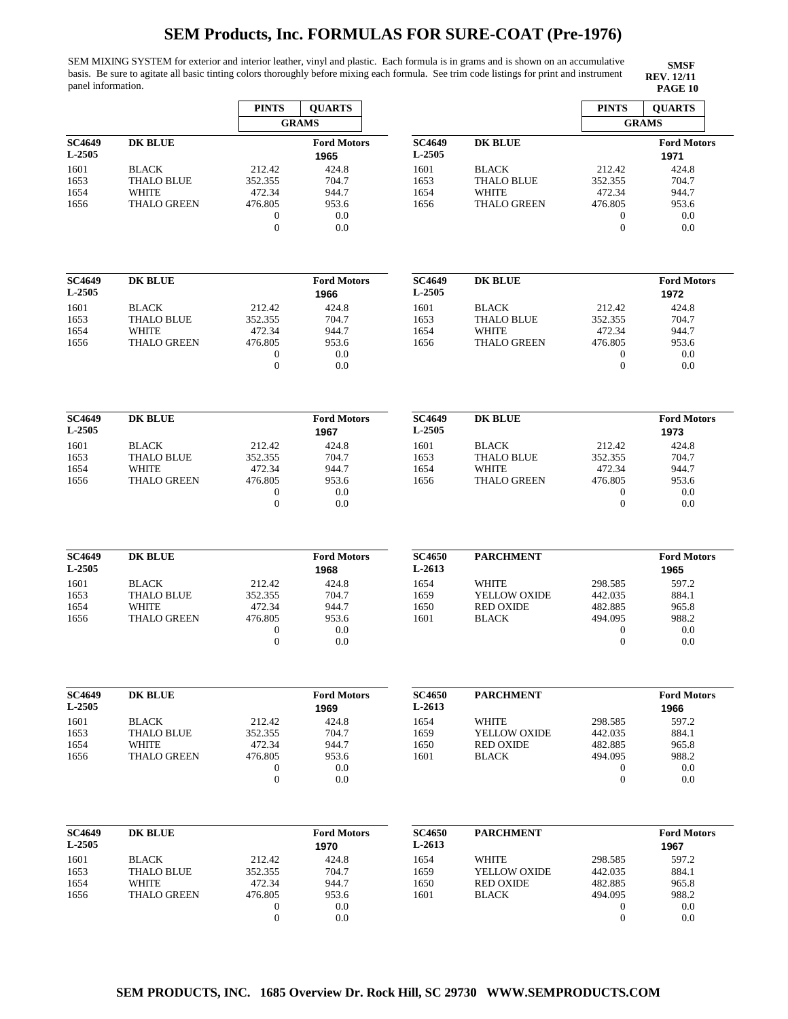SEM MIXING SYSTEM for exterior and interior leather, vinyl and plastic. Each formula is in grams and is shown on an accumulative basis. Be sure to agitate all basic tinting colors thoroughly before mixing each formula. See trim code listings for print and instrument panel information. **PAGE 10**

|                         |                             | <b>PINTS</b>                         | <b>QUARTS</b>              |                         |                                  | <b>PINTS</b>                     | <b>QUARTS</b>              |
|-------------------------|-----------------------------|--------------------------------------|----------------------------|-------------------------|----------------------------------|----------------------------------|----------------------------|
|                         |                             |                                      | <b>GRAMS</b>               |                         |                                  |                                  | <b>GRAMS</b>               |
| <b>SC4649</b><br>L-2505 | <b>DK BLUE</b>              |                                      | <b>Ford Motors</b><br>1965 | <b>SC4649</b><br>L-2505 | <b>DK BLUE</b>                   |                                  | <b>Ford Motors</b><br>1971 |
| 1601                    | <b>BLACK</b>                | 212.42                               | 424.8                      | 1601                    | <b>BLACK</b>                     | 212.42                           | 424.8                      |
| 1653                    | <b>THALO BLUE</b>           | 352.355                              | 704.7                      | 1653                    | <b>THALO BLUE</b>                | 352.355                          | 704.7                      |
| 1654                    | <b>WHITE</b>                | 472.34                               | 944.7                      | 1654                    | <b>WHITE</b>                     | 472.34                           | 944.7                      |
| 1656                    | <b>THALO GREEN</b>          | 476.805                              | 953.6                      | 1656                    | <b>THALO GREEN</b>               | 476.805                          | 953.6                      |
|                         |                             | $\mathbf{0}$<br>$\theta$             | 0.0                        |                         |                                  | $\mathbf{0}$<br>$\overline{0}$   | 0.0                        |
|                         |                             |                                      | 0.0                        |                         |                                  |                                  | 0.0                        |
| <b>SC4649</b>           | <b>DK BLUE</b>              |                                      | <b>Ford Motors</b>         | <b>SC4649</b>           | <b>DK BLUE</b>                   |                                  | <b>Ford Motors</b>         |
| L-2505                  |                             |                                      | 1966                       | L-2505                  |                                  |                                  | 1972                       |
| 1601                    | <b>BLACK</b>                | 212.42                               | 424.8                      | 1601                    | <b>BLACK</b>                     | 212.42                           | 424.8                      |
| 1653                    | <b>THALO BLUE</b>           | 352.355                              | 704.7                      | 1653                    | <b>THALO BLUE</b>                | 352.355                          | 704.7                      |
| 1654                    | <b>WHITE</b>                | 472.34                               | 944.7                      | 1654                    | <b>WHITE</b>                     | 472.34                           | 944.7                      |
| 1656                    | <b>THALO GREEN</b>          | 476.805                              | 953.6                      | 1656                    | <b>THALO GREEN</b>               | 476.805                          | 953.6                      |
|                         |                             | $\boldsymbol{0}$<br>$\boldsymbol{0}$ | 0.0<br>0.0                 |                         |                                  | $\mathbf{0}$<br>$\boldsymbol{0}$ | 0.0<br>0.0                 |
|                         |                             |                                      |                            |                         |                                  |                                  |                            |
| <b>SC4649</b>           | <b>DK BLUE</b>              |                                      | <b>Ford Motors</b>         | <b>SC4649</b>           | <b>DK BLUE</b>                   |                                  | <b>Ford Motors</b>         |
| L-2505                  |                             |                                      | 1967                       | L-2505                  |                                  |                                  | 1973                       |
| 1601                    | <b>BLACK</b>                | 212.42                               | 424.8                      | 1601                    | <b>BLACK</b>                     | 212.42                           | 424.8                      |
| 1653                    | <b>THALO BLUE</b>           | 352.355                              | 704.7                      | 1653                    | <b>THALO BLUE</b>                | 352.355                          | 704.7                      |
| 1654                    | <b>WHITE</b>                | 472.34<br>476.805                    | 944.7<br>953.6             | 1654<br>1656            | <b>WHITE</b>                     | 472.34<br>476.805                | 944.7<br>953.6             |
| 1656                    | <b>THALO GREEN</b>          | $\boldsymbol{0}$                     | 0.0                        |                         | <b>THALO GREEN</b>               | $\boldsymbol{0}$                 | 0.0                        |
|                         |                             | $\theta$                             | 0.0                        |                         |                                  | $\theta$                         | 0.0                        |
|                         |                             |                                      |                            |                         |                                  |                                  |                            |
| <b>SC4649</b><br>L-2505 | <b>DK BLUE</b>              |                                      | <b>Ford Motors</b>         | <b>SC4650</b><br>L-2613 | <b>PARCHMENT</b>                 |                                  | <b>Ford Motors</b>         |
|                         |                             |                                      | 1968                       |                         |                                  |                                  | 1965                       |
| 1601                    | <b>BLACK</b>                | 212.42                               | 424.8                      | 1654                    | WHITE                            | 298.585                          | 597.2                      |
| 1653<br>1654            | <b>THALO BLUE</b><br>WHITE  | 352.355<br>472.34                    | 704.7<br>944.7             | 1659<br>1650            | YELLOW OXIDE<br><b>RED OXIDE</b> | 442.035<br>482.885               | 884.1<br>965.8             |
| 1656                    | <b>THALO GREEN</b>          | 476.805                              | 953.6                      | 1601                    | <b>BLACK</b>                     | 494.095                          | 988.2                      |
|                         |                             | $\boldsymbol{0}$                     | 0.0                        |                         |                                  | $\bf{0}$                         | 0.0                        |
|                         |                             | $\boldsymbol{0}$                     | 0.0                        |                         |                                  | $\boldsymbol{0}$                 | 0.0                        |
|                         |                             |                                      |                            |                         |                                  |                                  |                            |
| <b>SC4649</b>           | <b>DK BLUE</b>              |                                      | <b>Ford Motors</b>         | <b>SC4650</b>           | <b>PARCHMENT</b>                 |                                  | <b>Ford Motors</b>         |
| L-2505                  |                             |                                      | 1969                       | L-2613                  |                                  |                                  | 1966                       |
| 1601                    | <b>BLACK</b>                | 212.42                               | 424.8                      | 1654                    | WHITE                            | 298.585                          | 597.2                      |
| 1653                    | <b>THALO BLUE</b>           | 352.355                              | 704.7                      | 1659                    | YELLOW OXIDE                     | 442.035                          | 884.1                      |
| 1654<br>1656            | WHITE<br><b>THALO GREEN</b> | 472.34<br>476.805                    | 944.7<br>953.6             | 1650<br>1601            | <b>RED OXIDE</b><br><b>BLACK</b> | 482.885<br>494.095               | 965.8<br>988.2             |
|                         |                             | $\boldsymbol{0}$                     | 0.0                        |                         |                                  | $\boldsymbol{0}$                 | 0.0                        |
|                         |                             | $\mathbf{0}$                         | 0.0                        |                         |                                  | $\mathbf{0}$                     | 0.0                        |
|                         |                             |                                      |                            |                         |                                  |                                  |                            |
| <b>SC4649</b>           | <b>DK BLUE</b>              |                                      | <b>Ford Motors</b>         | <b>SC4650</b>           | <b>PARCHMENT</b>                 |                                  | <b>Ford Motors</b>         |
| L-2505                  |                             |                                      | 1970                       | L-2613                  |                                  |                                  | 1967                       |
| 1601                    | <b>BLACK</b>                | 212.42                               | 424.8                      | 1654                    | WHITE                            | 298.585                          | 597.2                      |
| 1653                    | <b>THALO BLUE</b>           | 352.355                              | 704.7                      | 1659                    | YELLOW OXIDE                     | 442.035                          | 884.1                      |
| 1654                    | WHITE                       | 472.34                               | 944.7                      | 1650                    | <b>RED OXIDE</b>                 | 482.885                          | 965.8                      |
| 1656                    | <b>THALO GREEN</b>          | 476.805<br>$\mathbf{0}$              | 953.6<br>0.0               | 1601                    | <b>BLACK</b>                     | 494.095                          | 988.2<br>0.0               |
|                         |                             | $\boldsymbol{0}$                     | 0.0                        |                         |                                  | $\boldsymbol{0}$<br>$\mathbf{0}$ | 0.0                        |
|                         |                             |                                      |                            |                         |                                  |                                  |                            |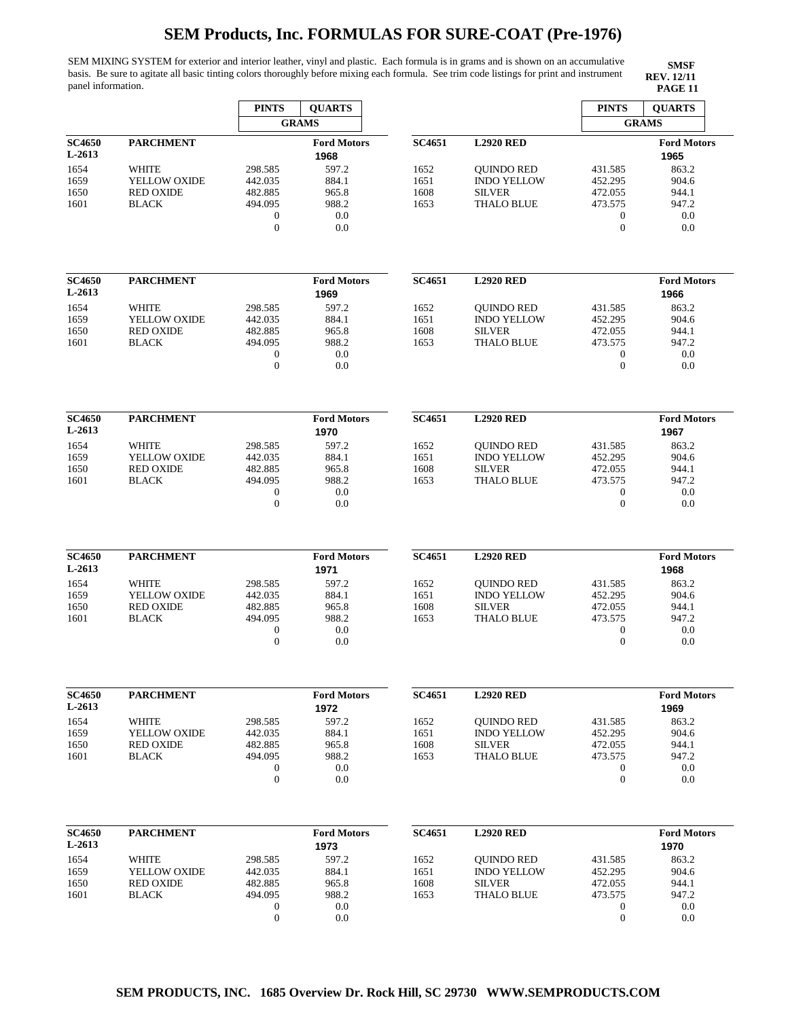SEM MIXING SYSTEM for exterior and interior leather, vinyl and plastic. Each formula is in grams and is shown on an accumulative basis. Be sure to agitate all basic tinting colors thoroughly before mixing each formula. See trim code listings for print and instrument panel information. **PAGE 11 PAGE 11** 

|                         |                                  | <b>PINTS</b>                         | <b>QUARTS</b>              |               |                                    | <b>PINTS</b>                         | <b>QUARTS</b>              |
|-------------------------|----------------------------------|--------------------------------------|----------------------------|---------------|------------------------------------|--------------------------------------|----------------------------|
|                         |                                  |                                      | <b>GRAMS</b>               |               |                                    |                                      | <b>GRAMS</b>               |
| <b>SC4650</b><br>L-2613 | <b>PARCHMENT</b>                 |                                      | <b>Ford Motors</b><br>1968 | <b>SC4651</b> | <b>L2920 RED</b>                   |                                      | <b>Ford Motors</b><br>1965 |
| 1654                    | <b>WHITE</b>                     | 298.585                              | 597.2                      | 1652          | <b>OUINDO RED</b>                  | 431.585                              | 863.2                      |
| 1659                    | YELLOW OXIDE                     | 442.035                              | 884.1                      | 1651          | <b>INDO YELLOW</b>                 | 452.295                              | 904.6                      |
| 1650<br>1601            | <b>RED OXIDE</b><br><b>BLACK</b> | 482.885<br>494.095                   | 965.8<br>988.2             | 1608<br>1653  | <b>SILVER</b><br><b>THALO BLUE</b> | 472.055<br>473.575                   | 944.1<br>947.2             |
|                         |                                  | $\mathbf{0}$                         | 0.0                        |               |                                    | $\boldsymbol{0}$                     | 0.0                        |
|                         |                                  | $\mathbf{0}$                         | 0.0                        |               |                                    | $\mathbf{0}$                         | 0.0                        |
| <b>SC4650</b>           | <b>PARCHMENT</b>                 |                                      | <b>Ford Motors</b>         | <b>SC4651</b> | <b>L2920 RED</b>                   |                                      | <b>Ford Motors</b>         |
| L-2613                  |                                  |                                      | 1969                       |               |                                    |                                      | 1966                       |
| 1654                    | WHITE                            | 298.585                              | 597.2                      | 1652          | <b>OUINDO RED</b>                  | 431.585                              | 863.2                      |
| 1659                    | YELLOW OXIDE                     | 442.035                              | 884.1                      | 1651          | <b>INDO YELLOW</b>                 | 452.295                              | 904.6                      |
| 1650                    | <b>RED OXIDE</b>                 | 482.885                              | 965.8                      | 1608          | <b>SILVER</b>                      | 472.055                              | 944.1                      |
| 1601                    | <b>BLACK</b>                     | 494.095                              | 988.2                      | 1653          | <b>THALO BLUE</b>                  | 473.575                              | 947.2                      |
|                         |                                  | $\boldsymbol{0}$                     | 0.0                        |               |                                    | $\boldsymbol{0}$                     | 0.0                        |
|                         |                                  | $\mathbf{0}$                         | 0.0                        |               |                                    | $\theta$                             | 0.0                        |
| <b>SC4650</b>           | <b>PARCHMENT</b>                 |                                      | <b>Ford Motors</b>         | SC4651        | <b>L2920 RED</b>                   |                                      | <b>Ford Motors</b>         |
| L-2613                  |                                  |                                      | 1970                       |               |                                    |                                      | 1967                       |
| 1654                    | WHITE                            | 298.585                              | 597.2                      | 1652          | <b>QUINDO RED</b>                  | 431.585                              | 863.2                      |
| 1659                    | YELLOW OXIDE                     | 442.035                              | 884.1                      | 1651          | <b>INDO YELLOW</b>                 | 452.295                              | 904.6                      |
| 1650                    | <b>RED OXIDE</b>                 | 482.885                              | 965.8                      | 1608          | <b>SILVER</b>                      | 472.055                              | 944.1                      |
| 1601                    | <b>BLACK</b>                     | 494.095                              | 988.2                      | 1653          | <b>THALO BLUE</b>                  | 473.575                              | 947.2                      |
|                         |                                  | $\boldsymbol{0}$                     | 0.0                        |               |                                    | $\mathbf{0}$                         | 0.0                        |
|                         |                                  | $\mathbf{0}$                         | 0.0                        |               |                                    | $\overline{0}$                       | 0.0                        |
| <b>SC4650</b>           | <b>PARCHMENT</b>                 |                                      | <b>Ford Motors</b>         | SC4651        | <b>L2920 RED</b>                   |                                      | <b>Ford Motors</b>         |
| L-2613                  |                                  |                                      | 1971                       |               |                                    |                                      | 1968                       |
| 1654                    | <b>WHITE</b>                     | 298.585                              | 597.2                      | 1652          | <b>OUINDO RED</b>                  | 431.585                              | 863.2                      |
| 1659                    | YELLOW OXIDE                     | 442.035                              | 884.1                      | 1651          | <b>INDO YELLOW</b>                 | 452.295                              | 904.6                      |
| 1650                    | <b>RED OXIDE</b>                 | 482.885                              | 965.8                      | 1608          | <b>SILVER</b>                      | 472.055                              | 944.1                      |
| 1601                    | <b>BLACK</b>                     | 494.095                              | 988.2                      | 1653          | <b>THALO BLUE</b>                  | 473.575                              | 947.2                      |
|                         |                                  | $\boldsymbol{0}$<br>$\mathbf{0}$     | 0.0<br>0.0                 |               |                                    | $\boldsymbol{0}$<br>$\theta$         | 0.0<br>0.0                 |
|                         |                                  |                                      |                            |               |                                    |                                      |                            |
| <b>SC4650</b>           | <b>PARCHMENT</b>                 |                                      | <b>Ford Motors</b>         | <b>SC4651</b> | <b>L2920 RED</b>                   |                                      | <b>Ford Motors</b>         |
| L-2613                  |                                  |                                      | 1972                       |               |                                    |                                      | 1969                       |
| 1654                    | <b>WHITE</b>                     | 298.585                              | 597.2                      | 1652          | <b>QUINDO RED</b>                  | 431.585                              | 863.2                      |
| 1659                    | YELLOW OXIDE                     | 442.035                              | 884.1                      | 1651          | <b>INDO YELLOW</b>                 | 452.295                              | 904.6                      |
| 1650                    | <b>RED OXIDE</b>                 | 482.885                              | 965.8                      | 1608          | <b>SILVER</b>                      | 472.055                              | 944.1                      |
| 1601                    | <b>BLACK</b>                     | 494.095                              | 988.2                      | 1653          | THALO BLUE                         | 473.575                              | 947.2                      |
|                         |                                  | $\boldsymbol{0}$<br>$\boldsymbol{0}$ | 0.0<br>$0.0\,$             |               |                                    | 0<br>$\overline{0}$                  | 0.0<br>0.0                 |
|                         |                                  |                                      |                            |               |                                    |                                      |                            |
| <b>SC4650</b>           | <b>PARCHMENT</b>                 |                                      | <b>Ford Motors</b>         | <b>SC4651</b> | <b>L2920 RED</b>                   |                                      | <b>Ford Motors</b>         |
| L-2613                  |                                  |                                      | 1973                       |               |                                    |                                      | 1970                       |
| 1654                    | <b>WHITE</b>                     | 298.585                              | 597.2                      | 1652          | <b>OUINDO RED</b>                  | 431.585                              | 863.2                      |
| 1659                    | YELLOW OXIDE                     | 442.035                              | 884.1                      | 1651          | <b>INDO YELLOW</b>                 | 452.295                              | 904.6                      |
| 1650                    | <b>RED OXIDE</b>                 | 482.885                              | 965.8                      | 1608          | <b>SILVER</b>                      | 472.055                              | 944.1                      |
| 1601                    | <b>BLACK</b>                     | 494.095                              | 988.2                      | 1653          | <b>THALO BLUE</b>                  | 473.575                              | 947.2                      |
|                         |                                  | $\boldsymbol{0}$<br>$\boldsymbol{0}$ | 0.0                        |               |                                    | $\boldsymbol{0}$<br>$\boldsymbol{0}$ | 0.0                        |
|                         |                                  |                                      | 0.0                        |               |                                    |                                      | 0.0                        |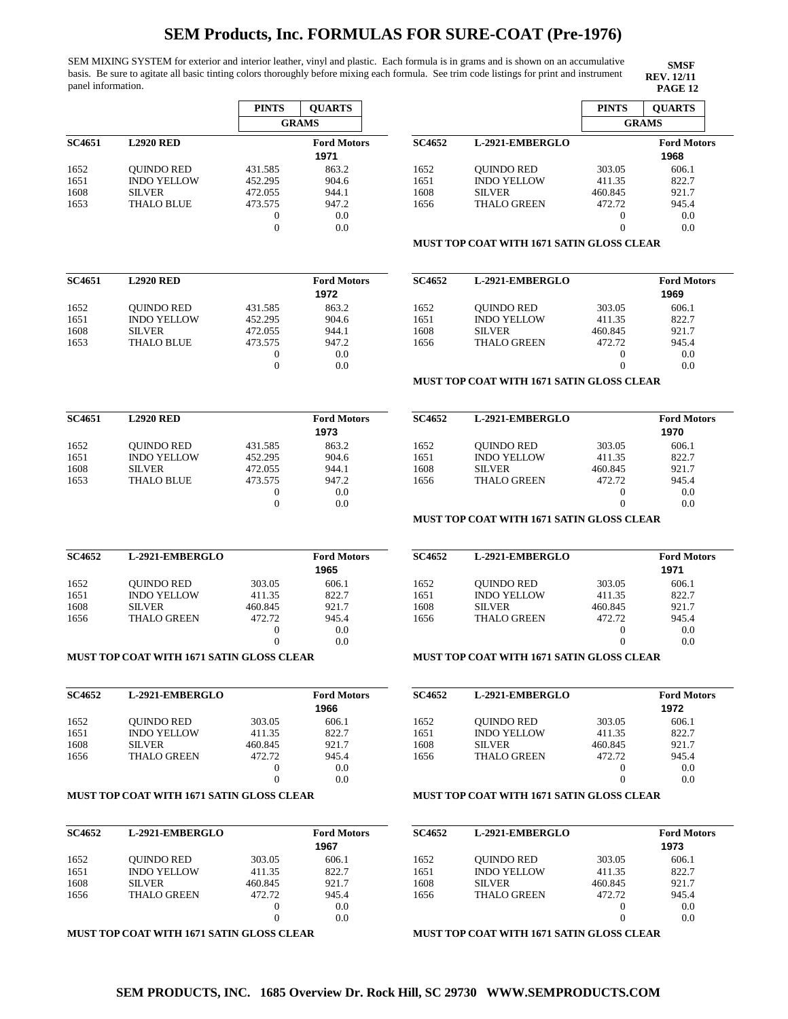SEM MIXING SYSTEM for exterior and interior leather, vinyl and plastic. Each formula is in grams and is shown on an accumulative basis. Be sure to agitate all basic tinting colors thoroughly before mixing each formula. See trim code listings for print and instrument panel information. **PAGE 12** 

| <b>SMSF</b>       |
|-------------------|
| <b>REV.</b> 12/11 |
| PACF 12           |

|               |                                                  | <b>PINTS</b>     | <b>QUARTS</b>              |               |                                                  | <b>PINTS</b>               | <b>QUARTS</b>              |
|---------------|--------------------------------------------------|------------------|----------------------------|---------------|--------------------------------------------------|----------------------------|----------------------------|
|               |                                                  |                  | <b>GRAMS</b>               |               |                                                  |                            | <b>GRAMS</b>               |
| <b>SC4651</b> | <b>L2920 RED</b>                                 |                  | <b>Ford Motors</b><br>1971 | <b>SC4652</b> | L-2921-EMBERGLO                                  |                            | <b>Ford Motors</b><br>1968 |
|               |                                                  | 431.585          | 863.2                      | 1652          |                                                  | 303.05                     | 606.1                      |
| 1652<br>1651  | <b>QUINDO RED</b><br><b>INDO YELLOW</b>          | 452.295          | 904.6                      | 1651          | <b>QUINDO RED</b><br><b>INDO YELLOW</b>          | 411.35                     | 822.7                      |
| 1608          | <b>SILVER</b>                                    | 472.055          | 944.1                      | 1608          | <b>SILVER</b>                                    | 460.845                    | 921.7                      |
| 1653          | <b>THALO BLUE</b>                                | 473.575          | 947.2                      | 1656          | <b>THALO GREEN</b>                               | 472.72                     | 945.4                      |
|               |                                                  | 0                | 0.0                        |               |                                                  | $\boldsymbol{0}$           | 0.0                        |
|               |                                                  | $\boldsymbol{0}$ | 0.0                        |               |                                                  | $\overline{0}$             | 0.0                        |
|               |                                                  |                  |                            |               | MUST TOP COAT WITH 1671 SATIN GLOSS CLEAR        |                            |                            |
|               |                                                  |                  |                            |               |                                                  |                            |                            |
| <b>SC4651</b> | <b>L2920 RED</b>                                 |                  | <b>Ford Motors</b><br>1972 | <b>SC4652</b> | L-2921-EMBERGLO                                  |                            | <b>Ford Motors</b><br>1969 |
| 1652          | <b>QUINDO RED</b>                                | 431.585          | 863.2                      | 1652          | <b>QUINDO RED</b>                                | 303.05                     | 606.1                      |
| 1651          | <b>INDO YELLOW</b>                               | 452.295          | 904.6                      | 1651          | <b>INDO YELLOW</b>                               | 411.35                     | 822.7                      |
| 1608          | <b>SILVER</b>                                    | 472.055          | 944.1                      | 1608          | <b>SILVER</b>                                    | 460.845                    | 921.7                      |
| 1653          | <b>THALO BLUE</b>                                | 473.575<br>0     | 947.2<br>0.0               | 1656          | <b>THALO GREEN</b>                               | 472.72<br>$\boldsymbol{0}$ | 945.4<br>0.0               |
|               |                                                  | $\mathbf{0}$     | 0.0                        |               |                                                  | $\overline{0}$             | 0.0                        |
|               |                                                  |                  |                            |               | <b>MUST TOP COAT WITH 1671 SATIN GLOSS CLEAR</b> |                            |                            |
|               |                                                  |                  |                            |               |                                                  |                            |                            |
| <b>SC4651</b> | <b>L2920 RED</b>                                 |                  | <b>Ford Motors</b><br>1973 | <b>SC4652</b> | L-2921-EMBERGLO                                  |                            | <b>Ford Motors</b><br>1970 |
| 1652          | <b>QUINDO RED</b>                                | 431.585          | 863.2                      | 1652          | <b>OUINDO RED</b>                                | 303.05                     | 606.1                      |
| 1651          | <b>INDO YELLOW</b>                               | 452.295          | 904.6                      | 1651          | <b>INDO YELLOW</b>                               | 411.35                     | 822.7                      |
| 1608          | <b>SILVER</b>                                    | 472.055          | 944.1                      | 1608          | <b>SILVER</b>                                    | 460.845                    | 921.7                      |
| 1653          | <b>THALO BLUE</b>                                | 473.575          | 947.2                      | 1656          | <b>THALO GREEN</b>                               | 472.72                     | 945.4                      |
|               |                                                  | 0                | 0.0                        |               |                                                  | $\boldsymbol{0}$           | 0.0                        |
|               |                                                  | $\boldsymbol{0}$ | 0.0                        |               |                                                  | $\overline{0}$             | 0.0                        |
|               |                                                  |                  |                            |               | <b>MUST TOP COAT WITH 1671 SATIN GLOSS CLEAR</b> |                            |                            |
| <b>SC4652</b> | L-2921-EMBERGLO                                  |                  | <b>Ford Motors</b><br>1965 | <b>SC4652</b> | L-2921-EMBERGLO                                  |                            | <b>Ford Motors</b><br>1971 |
| 1652          | <b>QUINDO RED</b>                                | 303.05           | 606.1                      | 1652          | <b>OUINDO RED</b>                                | 303.05                     | 606.1                      |
| 1651          | <b>INDO YELLOW</b>                               | 411.35           | 822.7                      | 1651          | <b>INDO YELLOW</b>                               | 411.35                     | 822.7                      |
| 1608          | <b>SILVER</b>                                    | 460.845          | 921.7                      | 1608          | <b>SILVER</b>                                    | 460.845                    | 921.7                      |
| 1656          | <b>THALO GREEN</b>                               | 472.72           | 945.4                      | 1656          | <b>THALO GREEN</b>                               | 472.72                     | 945.4                      |
|               |                                                  | $\boldsymbol{0}$ | 0.0                        |               |                                                  | $\boldsymbol{0}$           | 0.0                        |
|               |                                                  | $\theta$         | 0.0                        |               |                                                  | $\overline{0}$             | 0.0                        |
|               | <b>MUST TOP COAT WITH 1671 SATIN GLOSS CLEAR</b> |                  |                            |               | <b>MUST TOP COAT WITH 1671 SATIN GLOSS CLEAR</b> |                            |                            |
| <b>SC4652</b> | L-2921-EMBERGLO                                  |                  | <b>Ford Motors</b>         | <b>SC4652</b> | L-2921-EMBERGLO                                  |                            | <b>Ford Motors</b>         |
|               |                                                  |                  | 1966                       |               |                                                  |                            | 1972                       |
| 1652          | <b>QUINDO RED</b>                                | 303.05           | 606.1                      | 1652          | <b>QUINDO RED</b>                                | 303.05                     | 606.1                      |
| 1651          | <b>INDO YELLOW</b>                               | 411.35           | 822.7                      | 1651          | <b>INDO YELLOW</b>                               | 411.35                     | 822.7                      |
| 1608          | <b>SILVER</b>                                    | 460.845          | 921.7                      | 1608          | <b>SILVER</b>                                    | 460.845                    | 921.7                      |
| 1656          | <b>THALO GREEN</b>                               | 472.72           | 945.4                      | 1656          | <b>THALO GREEN</b>                               | 472.72                     | 945.4                      |
|               |                                                  | 0                | 0.0                        |               |                                                  | $\boldsymbol{0}$           | 0.0                        |
|               |                                                  | $\overline{0}$   | 0.0                        |               |                                                  | $\overline{0}$             | 0.0                        |
|               | <b>MUST TOP COAT WITH 1671 SATIN GLOSS CLEAR</b> |                  |                            |               | <b>MUST TOP COAT WITH 1671 SATIN GLOSS CLEAR</b> |                            |                            |
|               |                                                  |                  |                            |               |                                                  |                            |                            |
| <b>SC4652</b> | L-2921-EMBERGLO                                  |                  | <b>Ford Motors</b><br>1967 | <b>SC4652</b> | L-2921-EMBERGLO                                  |                            | <b>Ford Motors</b><br>1973 |
| 1652          | <b>OUINDO RED</b>                                | 303.05           | 606.1                      | 1652          | <b>QUINDO RED</b>                                | 303.05                     | 606.1                      |
| 1651          | <b>INDO YELLOW</b>                               | 411.35           | 822.7                      | 1651          | <b>INDO YELLOW</b>                               | 411.35                     | 822.7                      |
| 1608          | <b>SILVER</b>                                    | 460.845          | 921.7                      | 1608          | <b>SILVER</b>                                    | 460.845                    | 921.7                      |
| 1656          | <b>THALO GREEN</b>                               | 472.72           | 945.4                      | 1656          | <b>THALO GREEN</b>                               | 472.72                     | 945.4                      |
|               |                                                  | 0                | 0.0                        |               |                                                  | $\boldsymbol{0}$           | 0.0                        |
|               |                                                  | $\boldsymbol{0}$ | 0.0                        |               |                                                  | $\overline{0}$             | 0.0                        |

**MUST TOP COAT WITH 1671 SATIN GLOSS CLEAR** 

## **MUST TOP COAT WITH 1671 SATIN GLOSS CLEAR**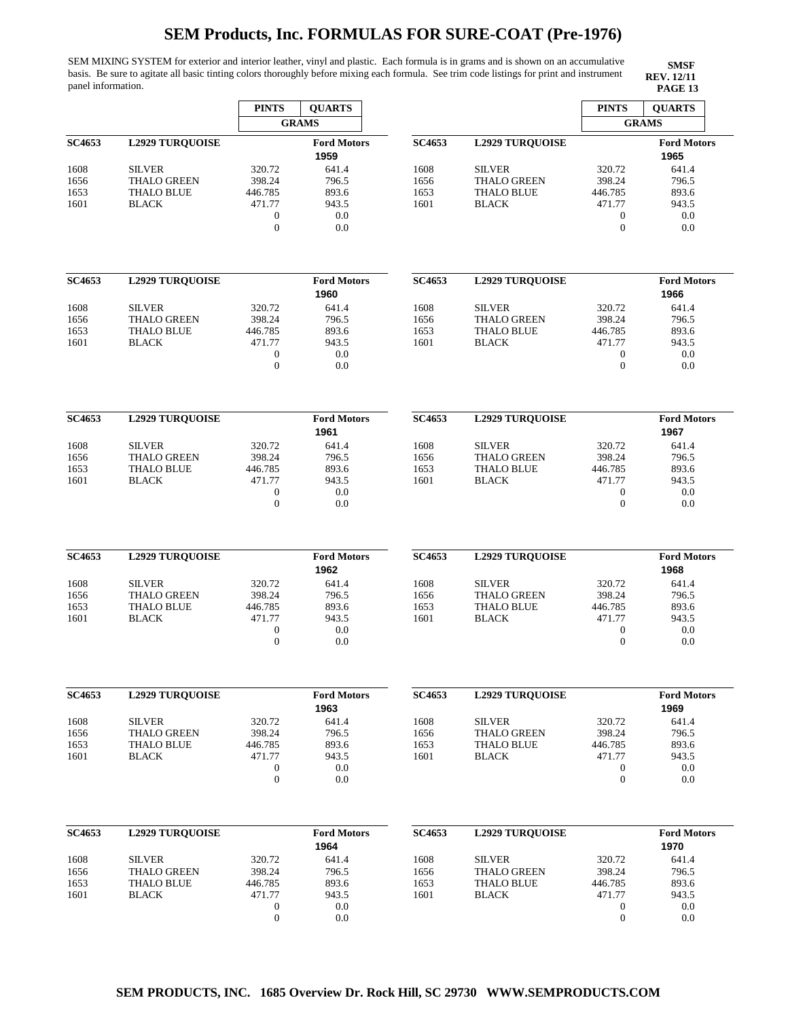SEM MIXING SYSTEM for exterior and interior leather, vinyl and plastic. Each formula is in grams and is shown on an accumulative basis. Be sure to agitate all basic tinting colors thoroughly before mixing each formula. See trim code listings for print and instrument panel information. **PAGE 13** 

|               |                                         | <b>PINTS</b>                     | <b>QUARTS</b>              |               |                                         | <b>PINTS</b>                         | <b>QUARTS</b>              |
|---------------|-----------------------------------------|----------------------------------|----------------------------|---------------|-----------------------------------------|--------------------------------------|----------------------------|
|               |                                         |                                  | <b>GRAMS</b>               |               |                                         |                                      | <b>GRAMS</b>               |
| <b>SC4653</b> | <b>L2929 TUROUOISE</b>                  |                                  | <b>Ford Motors</b><br>1959 | SC4653        | <b>L2929 TURQUOISE</b>                  |                                      | <b>Ford Motors</b><br>1965 |
| 1608          | <b>SILVER</b>                           | 320.72                           | 641.4                      | 1608          | <b>SILVER</b>                           | 320.72                               | 641.4                      |
| 1656          | <b>THALO GREEN</b>                      | 398.24<br>446.785                | 796.5                      | 1656          | <b>THALO GREEN</b>                      | 398.24                               | 796.5                      |
| 1653<br>1601  | <b>THALO BLUE</b><br><b>BLACK</b>       | 471.77                           | 893.6<br>943.5             | 1653<br>1601  | <b>THALO BLUE</b><br><b>BLACK</b>       | 446.785<br>471.77                    | 893.6<br>943.5             |
|               |                                         | $\boldsymbol{0}$                 | 0.0                        |               |                                         | $\mathbf{0}$                         | 0.0                        |
|               |                                         | $\boldsymbol{0}$                 | 0.0                        |               |                                         | $\mathbf{0}$                         | 0.0                        |
|               |                                         |                                  |                            |               |                                         |                                      |                            |
| <b>SC4653</b> | <b>L2929 TURQUOISE</b>                  |                                  | <b>Ford Motors</b>         | <b>SC4653</b> | <b>L2929 TURQUOISE</b>                  |                                      | <b>Ford Motors</b>         |
|               |                                         |                                  | 1960                       |               |                                         |                                      | 1966                       |
| 1608          | <b>SILVER</b>                           | 320.72                           | 641.4                      | 1608          | <b>SILVER</b>                           | 320.72                               | 641.4                      |
| 1656          | <b>THALO GREEN</b><br><b>THALO BLUE</b> | 398.24<br>446.785                | 796.5<br>893.6             | 1656<br>1653  | <b>THALO GREEN</b><br><b>THALO BLUE</b> | 398.24<br>446.785                    | 796.5<br>893.6             |
| 1653<br>1601  | <b>BLACK</b>                            | 471.77                           | 943.5                      | 1601          | <b>BLACK</b>                            | 471.77                               | 943.5                      |
|               |                                         | $\boldsymbol{0}$                 | 0.0                        |               |                                         | $\mathbf{0}$                         | 0.0                        |
|               |                                         | $\boldsymbol{0}$                 | 0.0                        |               |                                         | $\mathbf{0}$                         | 0.0                        |
|               |                                         |                                  |                            |               |                                         |                                      |                            |
| <b>SC4653</b> | <b>L2929 TURQUOISE</b>                  |                                  | <b>Ford Motors</b>         | SC4653        | <b>L2929 TURQUOISE</b>                  |                                      | <b>Ford Motors</b>         |
|               |                                         |                                  | 1961                       |               |                                         |                                      | 1967                       |
| 1608          | <b>SILVER</b>                           | 320.72                           | 641.4                      | 1608          | <b>SILVER</b>                           | 320.72                               | 641.4                      |
| 1656          | <b>THALO GREEN</b>                      | 398.24                           | 796.5                      | 1656          | THALO GREEN                             | 398.24                               | 796.5                      |
| 1653          | <b>THALO BLUE</b>                       | 446.785                          | 893.6                      | 1653          | <b>THALO BLUE</b>                       | 446.785                              | 893.6                      |
| 1601          | <b>BLACK</b>                            | 471.77                           | 943.5                      | 1601          | <b>BLACK</b>                            | 471.77                               | 943.5                      |
|               |                                         | $\boldsymbol{0}$<br>$\mathbf{0}$ | 0.0<br>0.0                 |               |                                         | $\boldsymbol{0}$<br>$\theta$         | 0.0                        |
|               |                                         |                                  |                            |               |                                         |                                      | 0.0                        |
| <b>SC4653</b> | <b>L2929 TURQUOISE</b>                  |                                  | <b>Ford Motors</b>         | SC4653        | <b>L2929 TURQUOISE</b>                  |                                      | <b>Ford Motors</b>         |
|               |                                         |                                  | 1962                       |               |                                         |                                      | 1968                       |
| 1608          | <b>SILVER</b>                           | 320.72                           | 641.4                      | 1608          | <b>SILVER</b>                           | 320.72                               | 641.4                      |
| 1656          | <b>THALO GREEN</b>                      | 398.24                           | 796.5                      | 1656          | <b>THALO GREEN</b>                      | 398.24                               | 796.5                      |
| 1653          | <b>THALO BLUE</b>                       | 446.785<br>471.77                | 893.6<br>943.5             | 1653<br>1601  | <b>THALO BLUE</b>                       | 446.785<br>471.77                    | 893.6<br>943.5             |
| 1601          | <b>BLACK</b>                            | $\boldsymbol{0}$                 | 0.0                        |               | <b>BLACK</b>                            | $\mathbf{0}$                         | 0.0                        |
|               |                                         | $\boldsymbol{0}$                 | 0.0                        |               |                                         | $\mathbf{0}$                         | 0.0                        |
|               |                                         |                                  |                            |               |                                         |                                      |                            |
| SC4653        | <b>L2929 TUROUOISE</b>                  |                                  | <b>Ford Motors</b>         | SC4653        | <b>L2929 TURQUOISE</b>                  |                                      | <b>Ford Motors</b>         |
|               |                                         |                                  | 1963                       |               |                                         |                                      | 1969                       |
| 1608          | <b>SILVER</b>                           | 320.72                           | 641.4                      | 1608          | <b>SILVER</b>                           | 320.72                               | 641.4                      |
| 1656          | <b>THALO GREEN</b>                      | 398.24                           | 796.5                      | 1656          | <b>THALO GREEN</b>                      | 398.24                               | 796.5                      |
| 1653          | <b>THALO BLUE</b>                       | 446.785                          | 893.6                      | 1653          | <b>THALO BLUE</b>                       | 446.785                              | 893.6                      |
| 1601          | <b>BLACK</b>                            | 471.77                           | 943.5                      | 1601          | <b>BLACK</b>                            | 471.77                               | 943.5                      |
|               |                                         | $\boldsymbol{0}$<br>$\mathbf{0}$ | 0.0<br>0.0                 |               |                                         | $\boldsymbol{0}$<br>$\boldsymbol{0}$ | 0.0<br>0.0                 |
|               |                                         |                                  |                            |               |                                         |                                      |                            |
| SC4653        | <b>L2929 TURQUOISE</b>                  |                                  | <b>Ford Motors</b>         | SC4653        | <b>L2929 TURQUOISE</b>                  |                                      | <b>Ford Motors</b>         |
|               |                                         |                                  | 1964                       |               |                                         |                                      | 1970                       |
| 1608          | <b>SILVER</b>                           | 320.72                           | 641.4                      | 1608          | <b>SILVER</b>                           | 320.72                               | 641.4                      |
| 1656          | <b>THALO GREEN</b>                      | 398.24                           | 796.5                      | 1656          | <b>THALO GREEN</b>                      | 398.24                               | 796.5                      |
| 1653          | <b>THALO BLUE</b>                       | 446.785                          | 893.6                      | 1653          | <b>THALO BLUE</b>                       | 446.785                              | 893.6                      |
| 1601          | <b>BLACK</b>                            | 471.77                           | 943.5                      | 1601          | <b>BLACK</b>                            | 471.77                               | 943.5                      |
|               |                                         | $\boldsymbol{0}$                 | 0.0                        |               |                                         | $\mathbf{0}$                         | 0.0                        |
|               |                                         | $\boldsymbol{0}$                 | 0.0                        |               |                                         | $\boldsymbol{0}$                     | 0.0                        |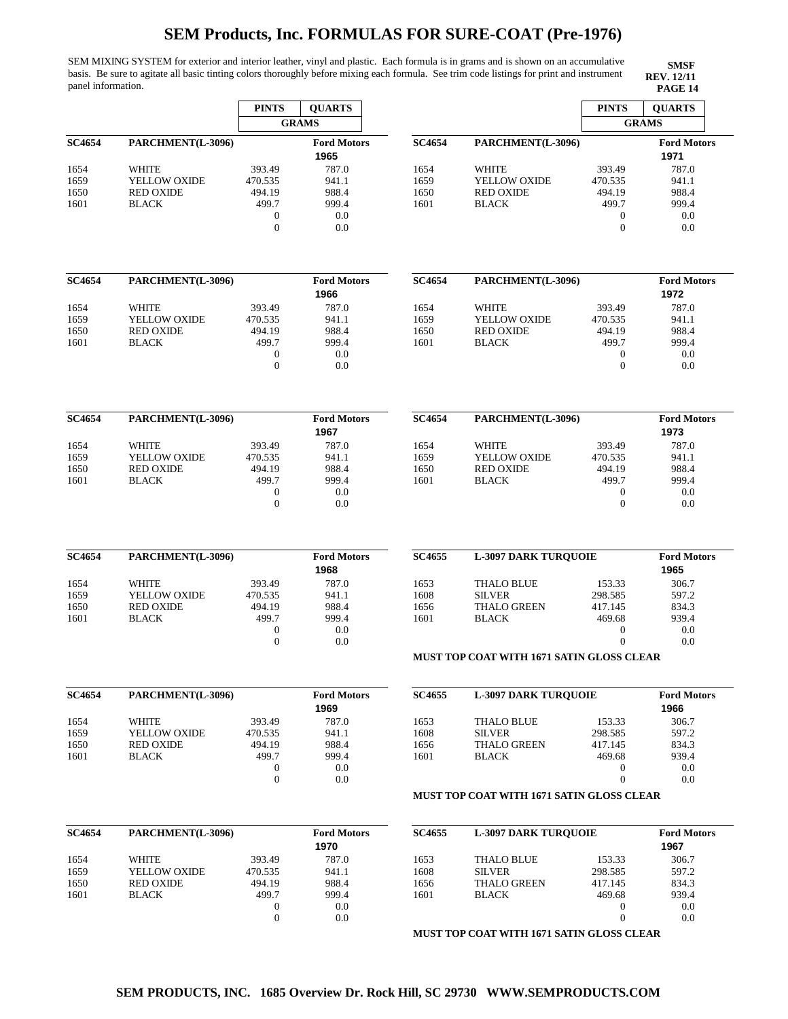SEM MIXING SYSTEM for exterior and interior leather, vinyl and plastic. Each formula is in grams and is shown on an accumulative basis. Be sure to agitate all basic tinting colors thoroughly before mixing each formula. See trim code listings for print and instrument panel information. **PAGE 14 PAGE 14** 

l,

|               |                   | <b>PINTS</b>     | <b>QUARTS</b>              |               |                                                  | <b>PINTS</b>     | <b>QUARTS</b>              |  |
|---------------|-------------------|------------------|----------------------------|---------------|--------------------------------------------------|------------------|----------------------------|--|
|               |                   |                  | <b>GRAMS</b>               |               |                                                  |                  | <b>GRAMS</b>               |  |
| <b>SC4654</b> | PARCHMENT(L-3096) |                  | <b>Ford Motors</b>         | <b>SC4654</b> | PARCHMENT(L-3096)                                |                  | <b>Ford Motors</b>         |  |
|               |                   |                  | 1965                       |               |                                                  |                  | 1971                       |  |
| 1654          | <b>WHITE</b>      | 393.49           | 787.0                      | 1654          | WHITE                                            | 393.49           | 787.0                      |  |
| 1659          | YELLOW OXIDE      | 470.535          | 941.1                      | 1659          | YELLOW OXIDE                                     | 470.535          | 941.1                      |  |
| 1650          | <b>RED OXIDE</b>  | 494.19           | 988.4                      | 1650          | <b>RED OXIDE</b>                                 | 494.19           | 988.4                      |  |
| 1601          | <b>BLACK</b>      | 499.7            | 999.4                      | 1601          | <b>BLACK</b>                                     | 499.7            | 999.4                      |  |
|               |                   | $\boldsymbol{0}$ | 0.0                        |               |                                                  | $\boldsymbol{0}$ | 0.0                        |  |
|               |                   | $\mathbf{0}$     | 0.0                        |               |                                                  | $\overline{0}$   | 0.0                        |  |
|               |                   |                  |                            |               |                                                  |                  |                            |  |
| SC4654        | PARCHMENT(L-3096) |                  | <b>Ford Motors</b><br>1966 | <b>SC4654</b> | PARCHMENT(L-3096)                                |                  | <b>Ford Motors</b><br>1972 |  |
| 1654          | <b>WHITE</b>      | 393.49           | 787.0                      | 1654          | WHITE                                            | 393.49           | 787.0                      |  |
| 1659          | YELLOW OXIDE      | 470.535          | 941.1                      | 1659          | YELLOW OXIDE                                     | 470.535          | 941.1                      |  |
| 1650          | <b>RED OXIDE</b>  | 494.19           | 988.4                      | 1650          | <b>RED OXIDE</b>                                 | 494.19           | 988.4                      |  |
| 1601          | <b>BLACK</b>      | 499.7            | 999.4                      | 1601          | <b>BLACK</b>                                     | 499.7            | 999.4                      |  |
|               |                   | $\boldsymbol{0}$ | 0.0                        |               |                                                  | $\boldsymbol{0}$ | 0.0                        |  |
|               |                   | $\boldsymbol{0}$ | 0.0                        |               |                                                  | $\boldsymbol{0}$ | 0.0                        |  |
|               |                   |                  |                            |               |                                                  |                  |                            |  |
| SC4654        | PARCHMENT(L-3096) |                  | <b>Ford Motors</b>         | <b>SC4654</b> | PARCHMENT(L-3096)                                |                  | <b>Ford Motors</b>         |  |
|               |                   |                  | 1967                       |               |                                                  |                  | 1973                       |  |
| 1654          | WHITE             | 393.49           | 787.0                      | 1654          | <b>WHITE</b>                                     | 393.49           | 787.0                      |  |
| 1659          | YELLOW OXIDE      | 470.535          | 941.1                      | 1659          | YELLOW OXIDE                                     | 470.535          | 941.1                      |  |
| 1650          | <b>RED OXIDE</b>  | 494.19           | 988.4                      | 1650          | <b>RED OXIDE</b>                                 | 494.19           | 988.4                      |  |
| 1601          | <b>BLACK</b>      | 499.7            | 999.4                      | 1601          | <b>BLACK</b>                                     | 499.7            | 999.4                      |  |
|               |                   | $\boldsymbol{0}$ | 0.0                        |               |                                                  | $\boldsymbol{0}$ | 0.0                        |  |
|               |                   | $\mathbf{0}$     | 0.0                        |               |                                                  | $\overline{0}$   | 0.0                        |  |
| SC4654        | PARCHMENT(L-3096) |                  | <b>Ford Motors</b>         | <b>SC4655</b> | <b>L-3097 DARK TURQUOIE</b>                      |                  | <b>Ford Motors</b>         |  |
|               |                   |                  | 1968                       |               |                                                  |                  | 1965                       |  |
| 1654          | WHITE             | 393.49           | 787.0                      | 1653          | <b>THALO BLUE</b>                                | 153.33           | 306.7                      |  |
| 1659          | YELLOW OXIDE      | 470.535          | 941.1                      | 1608          | <b>SILVER</b>                                    | 298.585          | 597.2                      |  |
| 1650          | <b>RED OXIDE</b>  | 494.19           | 988.4                      | 1656          | <b>THALO GREEN</b>                               | 417.145          | 834.3                      |  |
| 1601          | <b>BLACK</b>      | 499.7            | 999.4                      | 1601          | <b>BLACK</b>                                     | 469.68           | 939.4                      |  |
|               |                   | $\boldsymbol{0}$ | 0.0                        |               |                                                  | $\boldsymbol{0}$ | 0.0                        |  |
|               |                   | $\mathbf{0}$     | 0.0                        |               |                                                  | $\overline{0}$   | 0.0                        |  |
|               |                   |                  |                            |               | <b>MUST TOP COAT WITH 1671 SATIN GLOSS CLEAR</b> |                  |                            |  |
| SC4654        | PARCHMENT(L-3096) |                  | <b>Ford Motors</b>         | <b>SC4655</b> | <b>L-3097 DARK TURQUOIE</b>                      |                  | <b>Ford Motors</b>         |  |
|               |                   |                  | 1969                       |               |                                                  |                  | 1966                       |  |
| 1654          | WHITE             | 393.49           | 787.0                      | 1653          | <b>THALO BLUE</b>                                | 153.33           | 306.7                      |  |
| 1659          | YELLOW OXIDE      | 470.535          | 941.1                      | 1608          | <b>SILVER</b>                                    | 298.585          | 597.2                      |  |
| 1650          | <b>RED OXIDE</b>  | 494.19           | 988.4                      | 1656          | <b>THALO GREEN</b>                               | 417.145          | 834.3                      |  |
| 1601          | <b>BLACK</b>      | 499.7            | 999.4                      | 1601          | <b>BLACK</b>                                     | 469.68           | 939.4                      |  |
|               |                   | $\boldsymbol{0}$ | 0.0                        |               |                                                  | $\boldsymbol{0}$ | 0.0                        |  |
|               |                   | $\boldsymbol{0}$ | 0.0                        |               |                                                  | $\boldsymbol{0}$ | 0.0                        |  |
|               |                   |                  |                            |               | <b>MUST TOP COAT WITH 1671 SATIN GLOSS CLEAR</b> |                  |                            |  |
| SC4654        | PARCHMENT(L-3096) |                  | <b>Ford Motors</b>         | <b>SC4655</b> | <b>L-3097 DARK TURQUOIE</b>                      |                  | <b>Ford Motors</b>         |  |
|               |                   |                  | 1970                       |               |                                                  |                  | 1967                       |  |
| 1654          | WHITE             | 393.49           | 787.0                      | 1653          | <b>THALO BLUE</b>                                | 153.33           | 306.7                      |  |
| 1659          | YELLOW OXIDE      | 470.535          | 941.1                      | 1608          | <b>SILVER</b>                                    | 298.585          | 597.2                      |  |
| 1650          | <b>RED OXIDE</b>  | 494.19           | 988.4                      | 1656          | <b>THALO GREEN</b>                               | 417.145          | 834.3                      |  |
| 1601          | <b>BLACK</b>      | 499.7            | 999.4                      | 1601          | <b>BLACK</b>                                     | 469.68           | 939.4                      |  |
|               |                   | 0                | 0.0                        |               |                                                  | $\boldsymbol{0}$ | 0.0                        |  |
|               |                   | $\mathbf{0}$     | 0.0                        |               |                                                  | $\boldsymbol{0}$ | 0.0                        |  |
|               |                   |                  |                            |               |                                                  |                  |                            |  |
|               |                   |                  |                            |               | <b>MUST TOP COAT WITH 1671 SATIN GLOSS CLEAR</b> |                  |                            |  |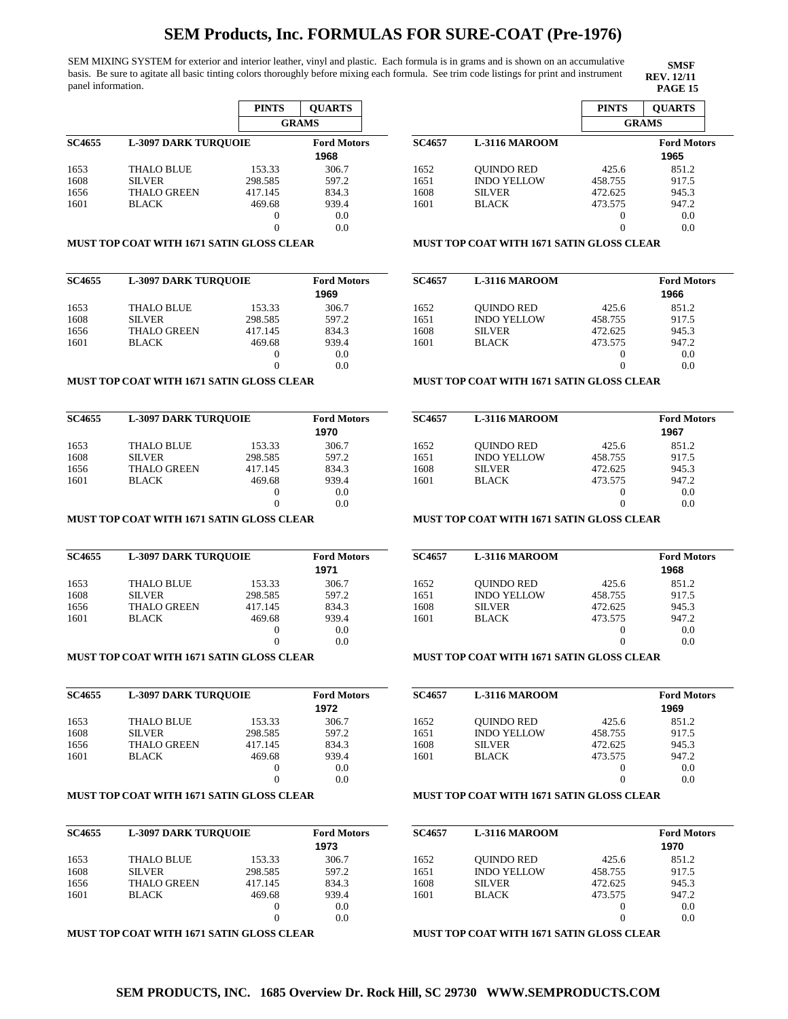SEM MIXING SYSTEM for exterior and interior leather, vinyl and plastic. Each formula is in grams and is shown on an accumulative basis. Be sure to agitate all basic tinting colors thoroughly before mixing each formula. See trim code listings for print and instrument panel information. **PAGE 15** 

|               |                             | <b>PINTS</b> | <b>OUARTS</b>              |
|---------------|-----------------------------|--------------|----------------------------|
|               |                             |              | <b>GRAMS</b>               |
| <b>SC4655</b> | <b>L-3097 DARK TUROUOIE</b> |              | <b>Ford Motors</b><br>1968 |
| 1653          | <b>THALO BLUE</b>           | 153.33       | 306.7                      |
| 1608          | <b>SILVER</b>               | 298.585      | 597.2                      |
| 1656          | <b>THALO GREEN</b>          | 417.145      | 834.3                      |
| 1601          | <b>BLACK</b>                | 469.68       | 939.4                      |
|               |                             | $\theta$     | 0.0                        |
|               |                             |              | 0.0                        |

## **MUST TOP COAT WITH 1671 SATIN GLOSS CLEAR**

| <b>SC4655</b> | <b>L-3097 DARK TUROUOIE</b> |          | <b>Ford Motors</b><br>1969 |
|---------------|-----------------------------|----------|----------------------------|
| 1653          | <b>THALO BLUE</b>           | 153.33   | 306.7                      |
| 1608          | <b>SILVER</b>               | 298.585  | 597.2                      |
| 1656          | <b>THALO GREEN</b>          | 417.145  | 834.3                      |
| 1601          | <b>BLACK</b>                | 469.68   | 939.4                      |
|               |                             | $\theta$ | 0.0                        |
|               |                             |          | 0.0                        |

### **MUST TOP COAT WITH 1671 SATIN GLOSS CLEAR**

| <b>SC4655</b> | <b>L-3097 DARK TUROUOIE</b> | <b>Ford Motors</b><br>1970 |       |
|---------------|-----------------------------|----------------------------|-------|
| 1653          | <b>THALO BLUE</b>           | 153.33                     | 306.7 |
| 1608          | <b>SILVER</b>               | 298.585                    | 597.2 |
| 1656          | <b>THALO GREEN</b>          | 417.145                    | 834.3 |
| 1601          | <b>BLACK</b>                | 469.68                     | 939.4 |
|               |                             |                            | 0.0   |
|               |                             |                            | 0.0   |

### **MUST TOP COAT WITH 1671 SATIN GLOSS CLEAR**

| <b>SC4655</b> | <b>L-3097 DARK TUROUOIE</b> | <b>Ford Motors</b> |       |
|---------------|-----------------------------|--------------------|-------|
|               |                             |                    | 1971  |
| 1653          | <b>THALO BLUE</b>           | 153.33             | 306.7 |
| 1608          | <b>SILVER</b>               | 298.585            | 597.2 |
| 1656          | <b>THALO GREEN</b>          | 417.145            | 834.3 |
| 1601          | <b>BLACK</b>                | 469.68             | 939.4 |
|               |                             |                    | 0.0   |
|               |                             |                    | 0.0   |

## **MUST TOP COAT WITH 1671 SATIN GLOSS CLEAR**

| <b>SC4655</b> | <b>L-3097 DARK TUROUOIE</b> |         | <b>Ford Motors</b><br>1972 |
|---------------|-----------------------------|---------|----------------------------|
| 1653          | <b>THALO BLUE</b>           | 153.33  | 306.7                      |
| 1608          | <b>SILVER</b>               | 298.585 | 597.2                      |
| 1656          | <b>THALO GREEN</b>          | 417.145 | 834.3                      |
| 1601          | <b>BLACK</b>                | 469.68  | 939.4                      |
|               |                             | $_{0}$  | 0.0                        |
|               |                             |         | 0.0                        |

### **MUST TOP COAT WITH 1671 SATIN GLOSS CLEAR**

| <b>SC4655</b> |                    | <b>L-3097 DARK TUROUOIE</b> |               |
|---------------|--------------------|-----------------------------|---------------|
| 1653          | <b>THALO BLUE</b>  | 153.33                      | 1973<br>306.7 |
| 1608          | <b>SILVER</b>      | 298.585                     | 597.2         |
| 1656          | <b>THALO GREEN</b> | 417.145                     | 834.3         |
| 1601          | <b>BLACK</b>       | 469.68                      | 939.4         |
|               |                    |                             | 0.0           |
|               |                    |                             | 0.0           |

#### **MUST TOP COAT WITH 1671 SATIN GLOSS CLEAR**

|               |                      | <b>PINTS</b> | <b>OUARTS</b>      |
|---------------|----------------------|--------------|--------------------|
|               |                      | <b>GRAMS</b> |                    |
| <b>SC4657</b> | <b>L-3116 MAROOM</b> |              | <b>Ford Motors</b> |
|               |                      |              | 1965               |
| 1652          | <b>OUINDO RED</b>    | 425.6        | 851.2              |
| 1651          | <b>INDO YELLOW</b>   | 458.755      | 917.5              |
| 1608          | <b>SILVER</b>        | 472.625      | 945.3              |
| 1601          | <b>BLACK</b>         | 473.575      | 947.2              |
|               |                      | $_{0}$       | 0.0                |
|               |                      |              | 0.0                |

**SMSF REV. 12/11**

### **MUST TOP COAT WITH 1671 SATIN GLOSS CLEAR**

| <b>SC4657</b> | <b>L-3116 MAROOM</b> |          | <b>Ford Motors</b> |
|---------------|----------------------|----------|--------------------|
|               |                      |          | 1966               |
| 1652          | <b>OUINDO RED</b>    | 425.6    | 851.2              |
| 1651          | <b>INDO YELLOW</b>   | 458.755  | 917.5              |
| 1608          | <b>SILVER</b>        | 472.625  | 945.3              |
| 1601          | <b>BLACK</b>         | 473.575  | 947.2              |
|               |                      | $_{0}$   | 0.0                |
|               |                      | $\theta$ | 0.0                |

### **MUST TOP COAT WITH 1671 SATIN GLOSS CLEAR**

| <b>SC4657</b> | <b>L-3116 MAROOM</b> |         | <b>Ford Motors</b> |
|---------------|----------------------|---------|--------------------|
|               |                      |         | 1967               |
| 1652          | <b>OUINDO RED</b>    | 425.6   | 851.2              |
| 1651          | <b>INDO YELLOW</b>   | 458.755 | 917.5              |
| 1608          | <b>SILVER</b>        | 472.625 | 945.3              |
| 1601          | <b>BLACK</b>         | 473.575 | 947.2              |
|               |                      |         | 0.0                |
|               |                      |         | 0.0                |

## **MUST TOP COAT WITH 1671 SATIN GLOSS CLEAR**

| <b>SC4657</b> | <b>L-3116 MAROOM</b> |         | <b>Ford Motors</b> |
|---------------|----------------------|---------|--------------------|
|               |                      |         | 1968               |
| 1652          | <b>OUINDO RED</b>    | 425.6   | 851.2              |
| 1651          | <b>INDO YELLOW</b>   | 458.755 | 917.5              |
| 1608          | <b>SILVER</b>        | 472.625 | 945.3              |
| 1601          | <b>BLACK</b>         | 473.575 | 947.2              |
|               |                      | $_{0}$  | 0.0                |
|               |                      |         | 0.0                |

### **MUST TOP COAT WITH 1671 SATIN GLOSS CLEAR**

| <b>SC4657</b> | <b>L-3116 MAROOM</b> |         | <b>Ford Motors</b> |  |  |
|---------------|----------------------|---------|--------------------|--|--|
|               |                      |         | 1969               |  |  |
| 1652          | <b>OUINDO RED</b>    | 425.6   | 851.2              |  |  |
| 1651          | <b>INDO YELLOW</b>   | 458.755 | 917.5              |  |  |
| 1608          | <b>SILVER</b>        | 472.625 | 945.3              |  |  |
| 1601          | <b>BLACK</b>         | 473.575 | 947.2              |  |  |
|               |                      |         | 0.0                |  |  |
|               |                      |         | 0.0                |  |  |

## **MUST TOP COAT WITH 1671 SATIN GLOSS CLEAR**

| <b>SC4657</b> | <b>L-3116 MAROOM</b> |         | <b>Ford Motors</b><br>1970 |
|---------------|----------------------|---------|----------------------------|
| 1652          | <b>OUINDO RED</b>    | 425.6   | 851.2                      |
| 1651          | <b>INDO YELLOW</b>   | 458.755 | 917.5                      |
| 1608          | <b>SILVER</b>        | 472.625 | 945.3                      |
| 1601          | <b>BLACK</b>         | 473.575 | 947.2                      |
|               |                      | $_{0}$  | 0.0                        |
|               |                      |         | 0.0                        |

**MUST TOP COAT WITH 1671 SATIN GLOSS CLEAR**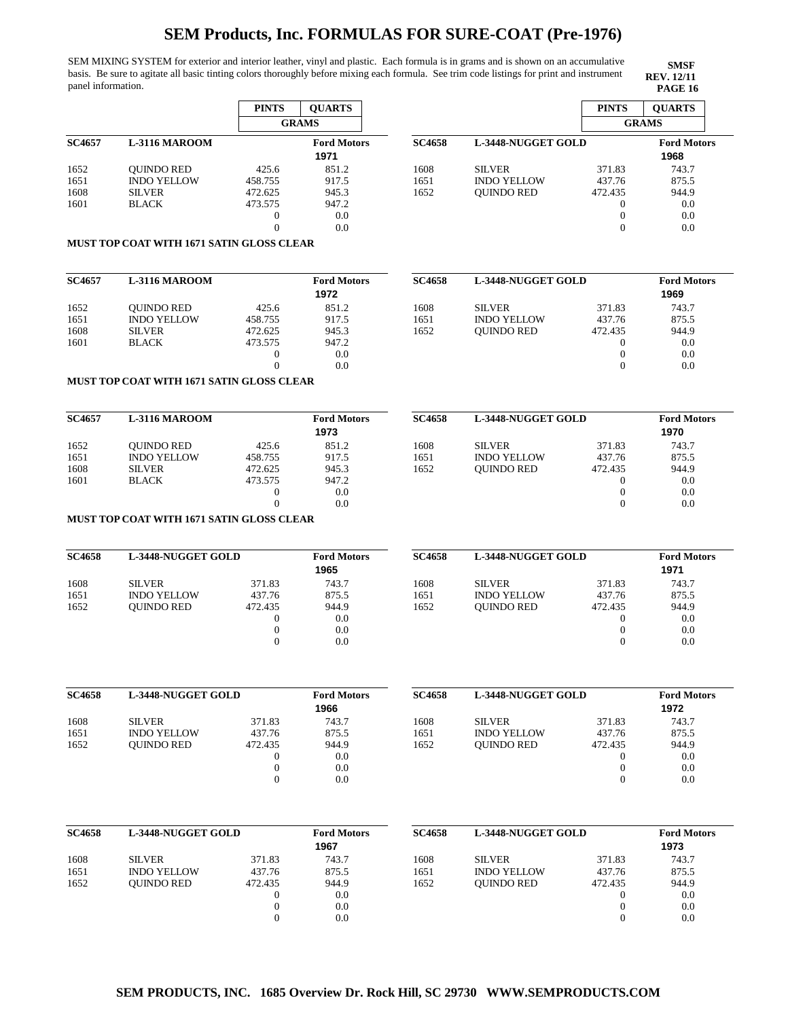SEM MIXING SYSTEM for exterior and interior leather, vinyl and plastic. Each formula is in grams and is shown on an accumulative basis. Be sure to agitate all basic tinting colors thoroughly before mixing each formula. See trim code listings for print and instrument panel information. **PAGE 16** 

**SMSF REV. 12/11**

|               |                      | <b>PINTS</b> | <b>OUARTS</b>      |
|---------------|----------------------|--------------|--------------------|
|               |                      |              | <b>GRAMS</b>       |
| <b>SC4657</b> | <b>L-3116 MAROOM</b> |              | <b>Ford Motors</b> |
|               |                      |              | 1971               |
| 1652          | <b>OUINDO RED</b>    | 425.6        | 851.2              |
| 1651          | <b>INDO YELLOW</b>   | 458.755      | 917.5              |
| 1608          | <b>SILVER</b>        | 472.625      | 945.3              |
| 1601          | <b>BLACK</b>         | 473.575      | 947.2              |
|               |                      | 0            | 0.0                |
|               |                      |              | 0.0                |

|                    | <b>PINTS</b>      | <b>OUARTS</b>      |                                    |
|--------------------|-------------------|--------------------|------------------------------------|
|                    |                   |                    |                                    |
|                    |                   |                    |                                    |
|                    |                   | 1968               |                                    |
| <b>SILVER</b>      | 371.83            | 743.7              |                                    |
| <b>INDO YELLOW</b> | 437.76            | 875.5              |                                    |
| <b>OUINDO RED</b>  | 472.435           | 944.9              |                                    |
|                    | $_{0}$            | 0.0                |                                    |
|                    | 0                 | 0.0                |                                    |
|                    | $\mathbf{\Omega}$ | 0.0                |                                    |
|                    |                   | L-3448-NUGGET GOLD | <b>GRAMS</b><br><b>Ford Motors</b> |

## **MUST TOP COAT WITH 1671 SATIN GLOSS CLEAR**

| <b>SC4657</b> | L-3116 MAROOM      |          | <b>Ford Motors</b> |
|---------------|--------------------|----------|--------------------|
|               |                    |          | 1972               |
| 1652          | <b>OUINDO RED</b>  | 425.6    | 851.2              |
| 1651          | <b>INDO YELLOW</b> | 458.755  | 917.5              |
| 1608          | <b>SILVER</b>      | 472.625  | 945.3              |
| 1601          | <b>BLACK</b>       | 473.575  | 947.2              |
|               |                    | $\theta$ | 0.0                |
|               |                    |          | 0.0                |

| <b>SC4658</b> | <b>L-3448-NUGGET GOLD</b> |          | <b>Ford Motors</b><br>1969 |
|---------------|---------------------------|----------|----------------------------|
| 1608          | <b>SILVER</b>             | 371.83   | 743.7                      |
| 1651          | <b>INDO YELLOW</b>        | 437.76   | 875.5                      |
| 1652          | <b>OUINDO RED</b>         | 472.435  | 944.9                      |
|               |                           | $\Omega$ | 0.0                        |
|               |                           | $\theta$ | 0.0                        |
|               |                           | 0        | 0.0                        |

## **MUST TOP COAT WITH 1671 SATIN GLOSS CLEAR**

| <b>SC4657</b> | L-3116 MAROOM      |         | <b>Ford Motors</b><br>1973 | <b>SC4658</b> | <b>L-3448-NUGGET GOLD</b> |         | <b>Ford Motors</b><br>1970 |
|---------------|--------------------|---------|----------------------------|---------------|---------------------------|---------|----------------------------|
| 1652          | <b>OUINDO RED</b>  | 425.6   | 851.2                      | 1608          | <b>SILVER</b>             | 371.83  | 743.7                      |
| 1651          | <b>INDO YELLOW</b> | 458.755 | 917.5                      | 1651          | <b>INDO YELLOW</b>        | 437.76  | 875.5                      |
| 1608          | <b>SILVER</b>      | 472.625 | 945.3                      | 1652          | <b>OUINDO RED</b>         | 472.435 | 944.9                      |
| 1601          | <b>BLACK</b>       | 473.575 | 947.2                      |               |                           |         | 0.0                        |
|               |                    |         | 0.0                        |               |                           |         | 0.0                        |
|               |                    |         | 0.0                        |               |                           |         | 0.0                        |

### **MUST TOP COAT WITH 1671 SATIN GLOSS CLEAR**

| <b>SC4658</b> | L-3448-NUGGET GOLD |         | <b>Ford Motors</b><br>1965 | <b>SC4658</b> | <b>L-3448-NUGGET GOLD</b> |         | <b>Ford Motors</b><br>1971 |
|---------------|--------------------|---------|----------------------------|---------------|---------------------------|---------|----------------------------|
| 1608          | <b>SILVER</b>      | 371.83  | 743.7                      | 1608          | <b>SILVER</b>             | 371.83  | 743.7                      |
| 1651          | <b>INDO YELLOW</b> | 437.76  | 875.5                      | 1651          | <b>INDO YELLOW</b>        | 437.76  | 875.5                      |
| 1652          | <b>OUINDO RED</b>  | 472.435 | 944.9                      | 1652          | <b>OUINDO RED</b>         | 472.435 | 944.9                      |
|               |                    |         | 0.0                        |               |                           |         | 0.0                        |
|               |                    |         | 0.0                        |               |                           |         | 0.0                        |
|               |                    |         | 0.0                        |               |                           |         | 0.0                        |

| <b>SC4658</b> | <b>L-3448-NUGGET GOLD</b> |         | <b>Ford Motors</b> |  |
|---------------|---------------------------|---------|--------------------|--|
|               |                           |         | 1966               |  |
| 1608          | <b>SILVER</b>             | 371.83  | 743.7              |  |
| 1651          | <b>INDO YELLOW</b>        | 437.76  | 875.5              |  |
| 1652          | <b>OUINDO RED</b>         | 472.435 | 944.9              |  |
|               |                           | 0       | 0.0                |  |
|               |                           | 0       | 0.0                |  |
|               |                           |         | 0.0                |  |

|                    |         | <b>Ford Motors</b>        |  |
|--------------------|---------|---------------------------|--|
|                    |         | 1972                      |  |
| <b>SILVER</b>      | 371.83  | 743.7                     |  |
| <b>INDO YELLOW</b> | 437.76  | 875.5                     |  |
| <b>OUINDO RED</b>  | 472.435 | 944.9                     |  |
|                    | $_{0}$  | 0.0                       |  |
|                    |         | 0.0                       |  |
|                    |         | 0.0                       |  |
|                    |         | <b>L-3448-NUGGET GOLD</b> |  |

| <b>SC4658</b> | <b>L-3448-NUGGET GOLD</b> |         | <b>Ford Motors</b><br>1967 | <b>SC4658</b> | <b>L-3448-NUGGET GOLD</b> |         | <b>Ford Motors</b><br>1973 |
|---------------|---------------------------|---------|----------------------------|---------------|---------------------------|---------|----------------------------|
| 1608          | <b>SILVER</b>             | 371.83  | 743.7                      | 1608          | <b>SILVER</b>             | 371.83  | 743.7                      |
| 1651          | <b>INDO YELLOW</b>        | 437.76  | 875.5                      | 1651          | <b>INDO YELLOW</b>        | 437.76  | 875.5                      |
| 1652          | <b>OUINDO RED</b>         | 472.435 | 944.9                      | 1652          | <b>OUINDO RED</b>         | 472.435 | 944.9                      |
|               |                           |         | 0.0                        |               |                           |         | 0.0                        |
|               |                           |         | 0.0                        |               |                           |         | 0.0                        |
|               |                           |         | 0.0                        |               |                           |         | 0.0                        |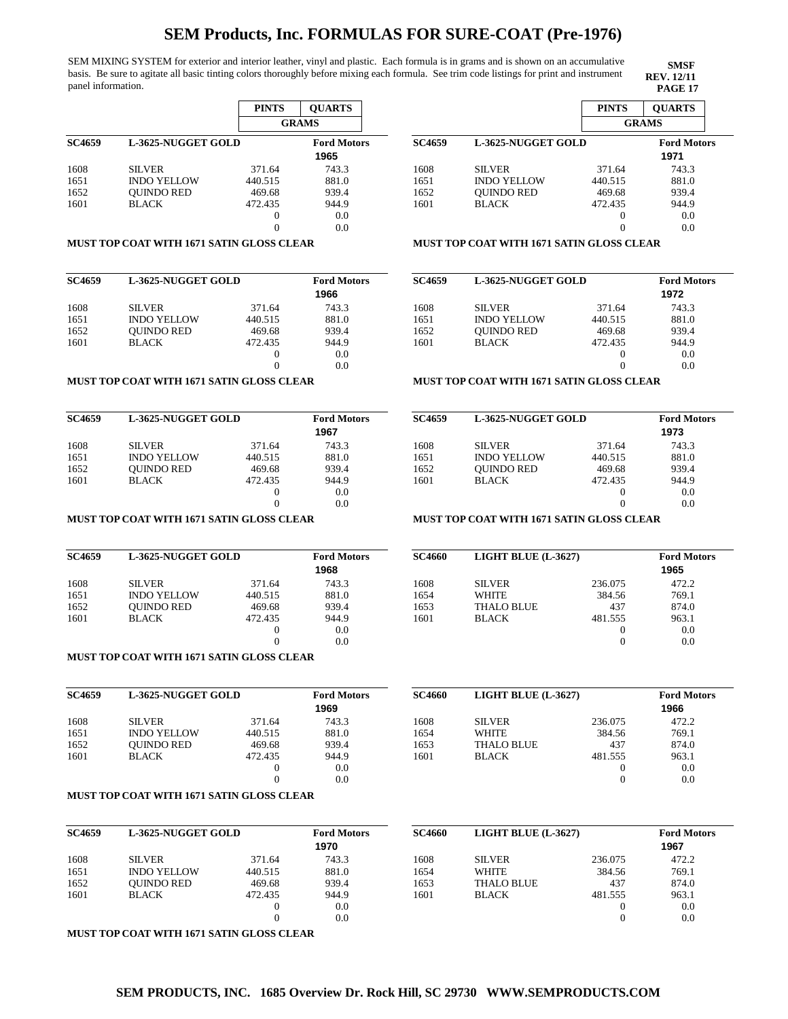1601

SEM MIXING SYSTEM for exterior and interior leather, vinyl and plastic. Each formula is in grams and is shown on an accumulative basis. Be sure to agitate all basic tinting colors thoroughly before mixing each formula. See trim code listings for print and instrument panel information. **PAGE 17 PAGE 17** 

|               |                    | <b>PINTS</b> | <b>OUARTS</b>              |
|---------------|--------------------|--------------|----------------------------|
|               |                    |              | <b>GRAMS</b>               |
| <b>SC4659</b> | L-3625-NUGGET GOLD |              | <b>Ford Motors</b><br>1965 |
| 1608          | <b>SILVER</b>      | 371.64       | 743.3                      |
| 1651          | <b>INDO YELLOW</b> | 440.515      | 881.0                      |
| 1652          | <b>OUINDO RED</b>  | 469.68       | 939.4                      |
| 1601          | <b>BLACK</b>       | 472.435      | 944.9                      |
|               |                    | 0            | 0.0                        |
|               |                    |              | 0.0                        |

#### **GRAMS SC4659 L-3625-NUGGET GOLD Ford Motors** 1608 1651 1652 1601 SILVER INDO YELLOW QUINDO RED BLACK 371.64 440.515 469.68 472.435  $\mathbf 0$  $\mathbf 0$ 743.3 881.0 939.4 944.9 0.0 0.0 **1971**

### **MUST TOP COAT WITH 1671 SATIN GLOSS CLEAR**

| <b>SC4659</b> | L-3625-NUGGET GOLD |         | <b>Ford Motors</b> |
|---------------|--------------------|---------|--------------------|
|               |                    |         | 1966               |
| 1608          | <b>SILVER</b>      | 371.64  | 743.3              |
| 1651          | <b>INDO YELLOW</b> | 440.515 | 881.0              |
| 1652          | <b>OUINDO RED</b>  | 469.68  | 939.4              |
| 1601          | <b>BLACK</b>       | 472.435 | 944.9              |
|               |                    | 0       | 0.0                |
|               |                    | 0       | 0.0                |

### **MUST TOP COAT WITH 1671 SATIN GLOSS CLEAR**

| <b>SC4659</b> | L-3625-NUGGET GOLD |         | <b>Ford Motors</b><br>1967 |
|---------------|--------------------|---------|----------------------------|
| 1608          | <b>SILVER</b>      | 371.64  | 743.3                      |
| 1651          | <b>INDO YELLOW</b> | 440.515 | 881.0                      |
| 1652          | <b>OUINDO RED</b>  | 469.68  | 939.4                      |
| 1601          | <b>BLACK</b>       | 472.435 | 944.9                      |
|               |                    | 0       | 0.0                        |
|               |                    |         | 0.0                        |

### **MUST TOP COAT WITH 1671 SATIN GLOSS CLEAR**

| <b>SC4659</b> | L-3625-NUGGET GOLD |         | <b>Ford Motors</b> |
|---------------|--------------------|---------|--------------------|
|               |                    |         | 1968               |
| 1608          | <b>SILVER</b>      | 371.64  | 743.3              |
| 1651          | <b>INDO YELLOW</b> | 440.515 | 881.0              |
| 1652          | <b>OUINDO RED</b>  | 469.68  | 939.4              |
| 1601          | <b>BLACK</b>       | 472.435 | 944.9              |
|               |                    | 0       | 0.0                |
|               |                    |         | 0.0                |

## **MUST TOP COAT WITH 1671 SATIN GLOSS CLEAR**

| <b>SC4659</b> | L-3625-NUGGET GOLD                              |         | <b>Ford Motors</b> | <b>SC4660</b> | LIGHT BLUE $(L-3627)$ |         | <b>Ford Motors</b> |
|---------------|-------------------------------------------------|---------|--------------------|---------------|-----------------------|---------|--------------------|
|               |                                                 |         | 1969               |               |                       |         | 1966               |
| 1608          | <b>SILVER</b>                                   | 371.64  | 743.3              | 1608          | <b>SILVER</b>         | 236.075 | 472.2              |
| 1651          | <b>INDO YELLOW</b>                              | 440.515 | 881.0              | 1654          | <b>WHITE</b>          | 384.56  | 769.1              |
| 1652          | <b>OUINDO RED</b>                               | 469.68  | 939.4              | 1653          | <b>THALO BLUE</b>     | 437     | 874.0              |
| 1601          | <b>BLACK</b>                                    | 472.435 | 944.9              | 1601          | <b>BLACK</b>          | 481.555 | 963.1              |
|               |                                                 |         | 0.0                |               |                       |         | 0.0                |
|               |                                                 |         | 0.0                |               |                       |         | 0.0                |
|               | MUAD DOD OO ID WADII 1751 A LON OL OAA OL D LD. |         |                    |               |                       |         |                    |

#### **MUST TOP COAT WITH 1671 SATIN GLOSS CLEAR**

| <b>SC4659</b> | L-3625-NUGGET GOLD |         | <b>Ford Motors</b><br>1970 | <b>SC4660</b> | LIGHT BLUE (L-3627) |         | <b>Ford Motors</b><br>1967 |
|---------------|--------------------|---------|----------------------------|---------------|---------------------|---------|----------------------------|
| 1608          | <b>SILVER</b>      | 371.64  | 743.3                      | 1608          | <b>SILVER</b>       | 236.075 | 472.2                      |
| 1651          | <b>INDO YELLOW</b> | 440.515 | 881.0                      | 1654          | WHITE               | 384.56  | 769.1                      |
| 1652          | <b>OUINDO RED</b>  | 469.68  | 939.4                      | 1653          | <b>THALO BLUE</b>   | 437     | 874.0                      |
| 1601          | <b>BLACK</b>       | 472.435 | 944.9                      | 1601          | <b>BLACK</b>        | 481.555 | 963.1                      |
|               |                    |         | 0.0                        |               |                     |         | 0.0                        |
|               |                    |         | 0.0                        |               |                     |         | 0.0                        |

**MUST TOP COAT WITH 1671 SATIN GLOSS CLEAR** 

|               |                                                  | $\Omega$<br>$\Omega$ | 0.0<br>0.0                 |
|---------------|--------------------------------------------------|----------------------|----------------------------|
|               | <b>MUST TOP COAT WITH 1671 SATIN GLOSS CLEAR</b> |                      |                            |
| <b>SC4659</b> | L-3625-NUGGET GOLD                               |                      | <b>Ford Motors</b><br>1972 |
| 1608          | <b>SILVER</b>                                    | 371.64               | 743.3                      |
|               |                                                  |                      |                            |
| 1651          | <b>INDO YELLOW</b>                               | 440.515              | 881.0                      |

472.435 0 0

#### **MUST TOP COAT WITH 1671 SATIN GLOSS CLEAR**

BLACK

| <b>SC4659</b> | L-3625-NUGGET GOLD |         | <b>Ford Motors</b><br>1973 |
|---------------|--------------------|---------|----------------------------|
| 1608          | <b>SILVER</b>      | 371.64  | 743.3                      |
| 1651          | <b>INDO YELLOW</b> | 440.515 | 881.0                      |
| 1652          | <b>OUINDO RED</b>  | 469.68  | 939.4                      |
| 1601          | <b>BLACK</b>       | 472.435 | 944.9                      |
|               |                    | $^{()}$ | 0.0                        |
|               |                    |         | 0.0                        |

### **MUST TOP COAT WITH 1671 SATIN GLOSS CLEAR**

| <b>SC4660</b> | LIGHT BLUE (L-3627) |         | <b>Ford Motors</b> |
|---------------|---------------------|---------|--------------------|
|               |                     |         | 1965               |
| 1608          | <b>SILVER</b>       | 236.075 | 472.2              |
| 1654          | WHITE               | 384.56  | 769.1              |
| 1653          | <b>THALO BLUE</b>   | 437     | 874.0              |
| 1601          | <b>BLACK</b>        | 481.555 | 963.1              |
|               |                     | 0       | 0.0                |
|               |                     |         | 0.0                |

**SMSF REV. 12/11**

> 944.9 0.0 0.0

**PINTS QUARTS**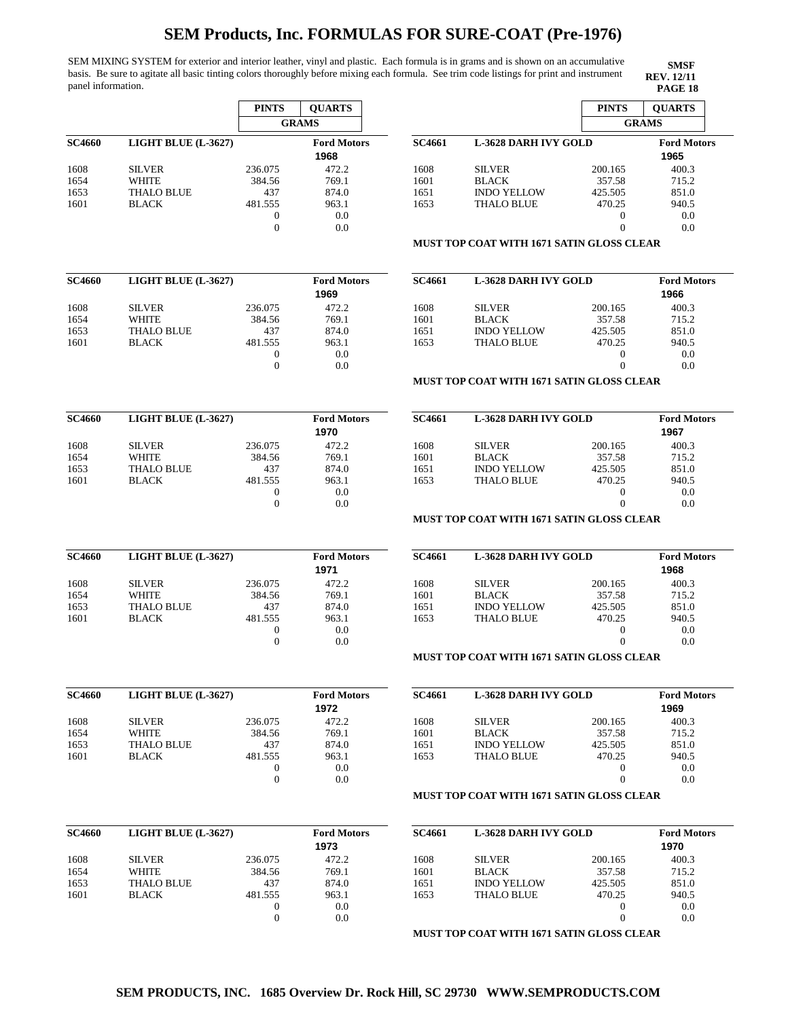SEM MIXING SYSTEM for exterior and interior leather, vinyl and plastic. Each formula is in grams and is shown on an accumulative basis. Be sure to agitate all basic tinting colors thoroughly before mixing each formula. See trim code listings for print and instrument panel information. **PAGE 18** 

 $\overline{SC4660}$ 

**SC4660 LIGHT BLUE (L-3627) Ford Motors**

| SMSF              |
|-------------------|
| <b>REV.</b> 12/11 |
| PACE 18           |

|                                      | <b>PINTS</b>     | <b>QUARTS</b>      |               |                                                  | <b>PINTS</b>     | <b>QUARTS</b>      |
|--------------------------------------|------------------|--------------------|---------------|--------------------------------------------------|------------------|--------------------|
|                                      |                  | <b>GRAMS</b>       |               |                                                  |                  | <b>GRAMS</b>       |
| LIGHT BLUE (L-3627)<br><b>SC4660</b> |                  | <b>Ford Motors</b> | <b>SC4661</b> | <b>L-3628 DARH IVY GOLD</b>                      |                  | <b>Ford Motors</b> |
|                                      |                  | 1968               |               |                                                  |                  | 1965               |
| 1608<br><b>SILVER</b>                | 236.075          | 472.2              | 1608          | <b>SILVER</b>                                    | 200.165          | 400.3              |
| WHITE<br>1654                        | 384.56           | 769.1              | 1601          | <b>BLACK</b>                                     | 357.58           | 715.2              |
| 1653<br><b>THALO BLUE</b>            | 437              | 874.0              | 1651          | <b>INDO YELLOW</b>                               | 425.505          | 851.0              |
| 1601<br><b>BLACK</b>                 | 481.555          | 963.1              | 1653          | <b>THALO BLUE</b>                                | 470.25           | 940.5              |
|                                      | $\boldsymbol{0}$ | 0.0                |               |                                                  | 0                | 0.0                |
|                                      | $\mathbf{0}$     | 0.0                |               |                                                  | $\Omega$         | 0.0                |
|                                      |                  |                    |               | <b>MUST TOP COAT WITH 1671 SATIN GLOSS CLEAR</b> |                  |                    |
| LIGHT BLUE (L-3627)<br>SC4660        |                  | <b>Ford Motors</b> | <b>SC4661</b> | <b>L-3628 DARH IVY GOLD</b>                      |                  | <b>Ford Motors</b> |
|                                      |                  | 1969               |               |                                                  |                  | 1966               |
| 1608<br><b>SILVER</b>                | 236.075          | 472.2              | 1608          | <b>SILVER</b>                                    | 200.165          | 400.3              |
| WHITE<br>1654                        | 384.56           | 769.1              | 1601          | <b>BLACK</b>                                     | 357.58           | 715.2              |
| 1653<br><b>THALO BLUE</b>            | 437              | 874.0              | 1651          | <b>INDO YELLOW</b>                               | 425.505          | 851.0              |
| 1601<br><b>BLACK</b>                 | 481.555          | 963.1              | 1653          | <b>THALO BLUE</b>                                | 470.25           | 940.5              |
|                                      | $\mathbf{0}$     | 0.0                |               |                                                  | 0                | 0.0                |
|                                      | $\theta$         | 0.0                |               |                                                  | $\Omega$         | 0.0                |
|                                      |                  |                    |               | <b>MUST TOP COAT WITH 1671 SATIN GLOSS CLEAR</b> |                  |                    |
| LIGHT BLUE (L-3627)<br>SC4660        |                  | <b>Ford Motors</b> | <b>SC4661</b> | <b>L-3628 DARH IVY GOLD</b>                      |                  | <b>Ford Motors</b> |
|                                      |                  | 1970               |               |                                                  |                  | 1967               |
| <b>SILVER</b><br>1608                | 236.075          | 472.2              | 1608          | <b>SILVER</b>                                    | 200.165          | 400.3              |
| WHITE<br>1654                        | 384.56           | 769.1              | 1601          | <b>BLACK</b>                                     | 357.58           | 715.2              |
| 1653<br><b>THALO BLUE</b>            | 437              | 874.0              | 1651          | <b>INDO YELLOW</b>                               | 425.505          | 851.0              |
| 1601<br><b>BLACK</b>                 | 481.555          | 963.1              | 1653          | <b>THALO BLUE</b>                                | 470.25           | 940.5              |
|                                      | $\mathbf{0}$     | 0.0                |               |                                                  | 0                | 0.0                |
|                                      | $\theta$         | 0.0                |               |                                                  | $\Omega$         | 0.0                |
|                                      |                  |                    |               | <b>MUST TOP COAT WITH 1671 SATIN GLOSS CLEAR</b> |                  |                    |
| LIGHT BLUE (L-3627)<br>SC4660        |                  | <b>Ford Motors</b> | <b>SC4661</b> | <b>L-3628 DARH IVY GOLD</b>                      |                  | <b>Ford Motors</b> |
|                                      |                  | 1971               |               |                                                  |                  | 1968               |
| 1608<br><b>SILVER</b>                | 236.075          | 472.2              | 1608          | <b>SILVER</b>                                    | 200.165          | 400.3              |
| WHITE<br>1654                        | 384.56           | 769.1              | 1601          | <b>BLACK</b>                                     | 357.58           | 715.2              |
| 1653<br><b>THALO BLUE</b>            | 437              | 874.0              | 1651          | <b>INDO YELLOW</b>                               | 425.505          | 851.0              |
| 1601<br><b>BLACK</b>                 | 481.555          | 963.1              | 1653          | <b>THALO BLUE</b>                                | 470.25           | 940.5              |
|                                      | $\mathbf{0}$     | 0.0                |               |                                                  | 0                | 0.0                |
|                                      | $\overline{0}$   | 0.0                |               |                                                  | $\Omega$         | 0.0                |
|                                      |                  |                    |               | <b>MUST TOP COAT WITH 1671 SATIN GLOSS CLEAR</b> |                  |                    |
|                                      |                  |                    |               |                                                  |                  |                    |
| LIGHT BLUE (L-3627)<br><b>SC4660</b> |                  | <b>Ford Motors</b> | <b>SC4661</b> | <b>L-3628 DARH IVY GOLD</b>                      |                  | <b>Ford Motors</b> |
|                                      |                  | 1972               |               |                                                  |                  | 1969               |
| 1608<br><b>SILVER</b>                | 236.075          | 472.2              | 1608          | <b>SILVER</b>                                    | 200.165          | 400.3              |
| 1654<br><b>WHITE</b>                 | 384.56           | 769.1              | 1601          | <b>BLACK</b>                                     | 357.58           | 715.2              |
| 1653<br><b>THALO BLUE</b>            | 437              | 874.0              | 1651          | <b>INDO YELLOW</b>                               | 425.505          | 851.0              |
| 1601<br><b>BLACK</b>                 | 481.555          | 963.1              | 1653          | THALO BLUE                                       | 470.25           | 940.5              |
|                                      | $\mathbf{0}$     | 0.0                |               |                                                  | 0                | 0.0                |
|                                      | $\mathbf{0}$     | 0.0                |               |                                                  | $\theta$         | 0.0                |
|                                      |                  |                    |               | <b>MUST TOP COAT WITH 1671 SATIN GLOSS CLEAR</b> |                  |                    |
| LIGHT BLUE (L-3627)<br>SC4660        |                  | <b>Ford Motors</b> | <b>SC4661</b> | <b>L-3628 DARH IVY GOLD</b>                      |                  | <b>Ford Motors</b> |
|                                      |                  | 1973               |               |                                                  |                  | 1970               |
| <b>SILVER</b><br>1608                | 236.075          | 472.2              | 1608          | <b>SILVER</b>                                    | 200.165          | 400.3              |
| WHITE<br>1654                        | 384.56           | 769.1              | 1601          | <b>BLACK</b>                                     | 357.58           | 715.2              |
| <b>THALO BLUE</b><br>1653            | 437              | 874.0              | 1651          | <b>INDO YELLOW</b>                               | 425.505          | 851.0              |
| 1601<br><b>BLACK</b>                 | 481.555          | 963.1              | 1653          | <b>THALO BLUE</b>                                | 470.25           | 940.5              |
|                                      | $\boldsymbol{0}$ | 0.0                |               |                                                  | $\boldsymbol{0}$ | 0.0                |
|                                      | $\mathbf{0}$     | 0.0                |               |                                                  | $\overline{0}$   | 0.0                |
|                                      |                  |                    |               | <b>MUST TOP COAT WITH 1671 SATIN GLOSS CLEAR</b> |                  |                    |

| 1651           | <b>INDO YELLOW</b>          | 425.505                                          | 851.0                       |
|----------------|-----------------------------|--------------------------------------------------|-----------------------------|
| 1653           | <b>THALO BLUE</b>           | 470.25                                           | 940.5                       |
|                |                             | $_{0}$                                           | 0.0                         |
|                |                             |                                                  | 0.0                         |
|                |                             | <b>MUST TOP COAT WITH 1671 SATIN GLOSS CLEAR</b> |                             |
|                |                             |                                                  |                             |
|                | <b>L-3628 DARH IVY GOLD</b> |                                                  | 1966                        |
| 1608           | <b>SILVER</b>               | 200.165                                          | <b>Ford Motors</b><br>400.3 |
| SC4661<br>1601 | BLACK.                      | 357.58                                           | 715.2                       |

#### **N GLOSS CLEAR**

| <b>SC4661</b> | <b>L-3628 DARH IVY GOLD</b> |         | <b>Ford Motors</b> |
|---------------|-----------------------------|---------|--------------------|
|               |                             |         | 1967               |
| 1608          | <b>SILVER</b>               | 200.165 | 400.3              |
| 1601          | <b>BLACK</b>                | 357.58  | 715.2              |
| 1651          | <b>INDO YELLOW</b>          | 425.505 | 851.0              |
| 1653          | <b>THALO BLUE</b>           | 470.25  | 940.5              |
|               |                             |         | 0.0                |
|               |                             |         | 0.0                |

### **N GLOSS CLEAR**

| <b>SC4661</b> | <b>L-3628 DARH IVY GOLD</b> |          | <b>Ford Motors</b><br>1968 |
|---------------|-----------------------------|----------|----------------------------|
| 1608          | <b>SILVER</b>               | 200.165  | 400.3                      |
| 1601          | <b>BLACK</b>                | 357.58   | 715.2                      |
| 1651          | <b>INDO YELLOW</b>          | 425.505  | 851.0                      |
| 1653          | <b>THALO BLUE</b>           | 470.25   | 940.5                      |
|               |                             | $\theta$ | 0.0                        |
|               |                             |          | 0.0                        |

### **N GLOSS CLEAR**

| <b>SC4661</b> | <b>L-3628 DARH IVY GOLD</b> | <b>Ford Motors</b> |       |
|---------------|-----------------------------|--------------------|-------|
|               |                             |                    | 1969  |
| 1608          | <b>SILVER</b>               | 200.165            | 400.3 |
| 1601          | <b>BLACK</b>                | 357.58             | 715.2 |
| 1651          | <b>INDO YELLOW</b>          | 425.505            | 851.0 |
| 1653          | <b>THALO BLUE</b>           | 470.25             | 940.5 |
|               |                             |                    | 0.0   |
|               |                             |                    | 0.0   |

## **N GLOSS CLEAR**

| SC4660 | LIGHT BLUE (L-3627) |         | <b>Ford Motors</b><br>1973 | <b>SC4661</b> | <b>L-3628 DARH IVY GOLD</b>                      |         | <b>Ford Motors</b><br>1970 |
|--------|---------------------|---------|----------------------------|---------------|--------------------------------------------------|---------|----------------------------|
| 1608   | <b>SILVER</b>       | 236.075 | 472.2                      | 1608          | <b>SILVER</b>                                    | 200.165 | 400.3                      |
| 1654   | <b>WHITE</b>        | 384.56  | 769.1                      | 1601          | <b>BLACK</b>                                     | 357.58  | 715.2                      |
| 1653   | <b>THALO BLUE</b>   | 437     | 874.0                      | 1651          | <b>INDO YELLOW</b>                               | 425.505 | 851.0                      |
| 1601   | <b>BLACK</b>        | 481.555 | 963.1                      | 1653          | <b>THALO BLUE</b>                                | 470.25  | 940.5                      |
|        |                     |         | 0.0                        |               |                                                  |         | 0.0                        |
|        |                     |         | 0.0                        |               |                                                  |         | 0.0                        |
|        |                     |         |                            |               | <b>MUST TOP COAT WITH 1671 SATIN GLOSS CLEAR</b> |         |                            |

**SEM PRODUCTS, INC. 1685 Overview Dr. Rock Hill, SC 29730 WWW.SEMPRODUCTS.COM**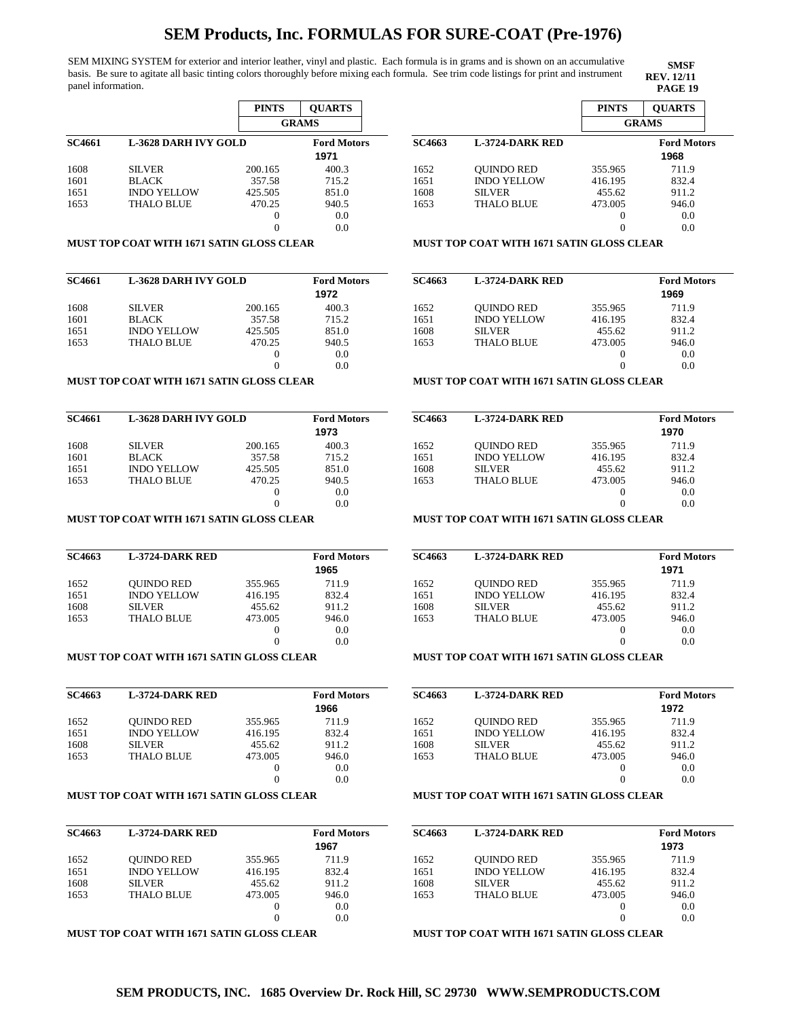SEM MIXING SYSTEM for exterior and interior leather, vinyl and plastic. Each formula is in grams and is shown on an accumulative basis. Be sure to agitate all basic tinting colors thoroughly before mixing each formula. See trim code listings for print and instrument panel information. **PAGE 19** 

|               |                      | <b>PINTS</b> | <b>OUARTS</b>              |
|---------------|----------------------|--------------|----------------------------|
|               |                      |              | <b>GRAMS</b>               |
| <b>SC4661</b> | L-3628 DARH IVY GOLD |              | <b>Ford Motors</b><br>1971 |
| 1608          | <b>SILVER</b>        | 200.165      | 400.3                      |
| 1601          | <b>BLACK</b>         | 357.58       | 715.2                      |
| 1651          | <b>INDO YELLOW</b>   | 425.505      | 851.0                      |
| 1653          | <b>THALO BLUE</b>    | 470.25       | 940.5                      |
|               |                      | 0            | 0.0                        |
|               |                      |              | 0.0                        |

#### **PINTS QUARTS GRAMS SC4663 L-3724-DARK RED Ford Motors** 1652 1651 1608 1653 QUINDO RED INDO YELLOW SILVER THALO BLUE 355.965 416.195 455.62 473.005 0 0 711.9 832.4 911.2 946.0 0.0 0.0 **1968**

**SMSF REV. 12/11**

### **MUST TOP COAT WITH 1671 SATIN GLOSS CLEAR**

| <b>SC4661</b> | <b>L-3628 DARH IVY GOLD</b> |         | <b>Ford Motors</b><br>1972 |
|---------------|-----------------------------|---------|----------------------------|
|               |                             |         |                            |
| 1608          | <b>SILVER</b>               | 200.165 | 400.3                      |
| 1601          | <b>BLACK</b>                | 357.58  | 715.2                      |
| 1651          | <b>INDO YELLOW</b>          | 425.505 | 851.0                      |
| 1653          | <b>THALO BLUE</b>           | 470.25  | 940.5                      |
|               |                             | 0       | 0.0                        |
|               |                             |         | 0.0                        |

### **MUST TOP COAT WITH 1671 SATIN GLOSS CLEAR**

| <b>SC4661</b> | <b>L-3628 DARH IVY GOLD</b> |         | <b>Ford Motors</b><br>1973 |
|---------------|-----------------------------|---------|----------------------------|
| 1608          | <b>SILVER</b>               | 200.165 | 400.3                      |
| 1601          | <b>BLACK</b>                | 357.58  | 715.2                      |
| 1651          | <b>INDO YELLOW</b>          | 425.505 | 851.0                      |
| 1653          | <b>THALO BLUE</b>           | 470.25  | 940.5                      |
|               |                             | 0       | 0.0                        |
|               |                             |         | 0.0                        |

### **MUST TOP COAT WITH 1671 SATIN GLOSS CLEAR**

| SC4663 | <b>L-3724-DARK RED</b> |          | <b>Ford Motors</b> |
|--------|------------------------|----------|--------------------|
|        |                        |          | 1965               |
| 1652   | <b>OUINDO RED</b>      | 355.965  | 711.9              |
| 1651   | <b>INDO YELLOW</b>     | 416.195  | 832.4              |
| 1608   | <b>SILVER</b>          | 455.62   | 911.2              |
| 1653   | <b>THALO BLUE</b>      | 473.005  | 946.0              |
|        |                        | $\theta$ | 0.0                |
|        |                        |          | 0.0                |

### **MUST TOP COAT WITH 1671 SATIN GLOSS CLEAR**

| <b>SC4663</b> | <b>L-3724-DARK RED</b> |          | <b>Ford Motors</b> |
|---------------|------------------------|----------|--------------------|
|               |                        |          | 1966               |
| 1652          | <b>OUINDO RED</b>      | 355.965  | 711.9              |
| 1651          | <b>INDO YELLOW</b>     | 416.195  | 832.4              |
| 1608          | <b>SILVER</b>          | 455.62   | 911.2              |
| 1653          | <b>THALO BLUE</b>      | 473.005  | 946.0              |
|               |                        | $\theta$ | 0.0                |
|               |                        | 0        | 0.0                |

## **MUST TOP COAT WITH 1671 SATIN GLOSS CLEAR**

| SC4663 | <b>L-3724-DARK RED</b> |         | <b>Ford Motors</b><br>1967 |
|--------|------------------------|---------|----------------------------|
| 1652   | <b>OUINDO RED</b>      | 355.965 | 711.9                      |
| 1651   | <b>INDO YELLOW</b>     | 416.195 | 832.4                      |
| 1608   | <b>SILVER</b>          | 455.62  | 911.2                      |
| 1653   | <b>THALO BLUE</b>      | 473.005 | 946.0                      |
|        |                        |         | 0.0                        |
|        |                        |         | 0.0                        |

#### **MUST TOP COAT WITH 1671 SATIN GLOSS CLEAR**

| <b>SC4663</b> | <b>L-3724-DARK RED</b> |         | <b>Ford Motors</b><br>1969 |
|---------------|------------------------|---------|----------------------------|
| 1652          | <b>OUINDO RED</b>      | 355.965 | 711.9                      |
| 1651          | <b>INDO YELLOW</b>     | 416.195 | 832.4                      |
| 1608          | <b>SILVER</b>          | 455.62  | 911.2                      |
| 1653          | <b>THALO BLUE</b>      | 473.005 | 946.0                      |
|               |                        | 0       | 0.0                        |

0

0.0

#### **MUST TOP COAT WITH 1671 SATIN GLOSS CLEAR**

**MUST TOP COAT WITH 1671 SATIN GLOSS CLEAR**

| SC4663 | <b>L-3724-DARK RED</b> |         | <b>Ford Motors</b><br>1970 |
|--------|------------------------|---------|----------------------------|
| 1652   | <b>OUINDO RED</b>      | 355.965 | 711.9                      |
| 1651   | <b>INDO YELLOW</b>     | 416.195 | 832.4                      |
| 1608   | <b>SILVER</b>          | 455.62  | 911.2                      |
| 1653   | <b>THALO BLUE</b>      | 473.005 | 946.0                      |
|        |                        |         | 0.0                        |
|        |                        |         | 0.0                        |

### **MUST TOP COAT WITH 1671 SATIN GLOSS CLEAR**

| <b>SC4663</b> | <b>L-3724-DARK RED</b> |         | <b>Ford Motors</b> |
|---------------|------------------------|---------|--------------------|
|               |                        |         | 1971               |
| 1652          | <b>OUINDO RED</b>      | 355.965 | 711.9              |
| 1651          | <b>INDO YELLOW</b>     | 416.195 | 832.4              |
| 1608          | <b>SILVER</b>          | 455.62  | 911.2              |
| 1653          | <b>THALO BLUE</b>      | 473.005 | 946.0              |
|               |                        | $_{0}$  | 0.0                |
|               |                        |         | 0.0                |

#### **MUST TOP COAT WITH 1671 SATIN GLOSS CLEAR**

| <b>SC4663</b> | <b>L-3724-DARK RED</b> |         | <b>Ford Motors</b> |
|---------------|------------------------|---------|--------------------|
|               |                        |         | 1972               |
| 1652          | <b>OUINDO RED</b>      | 355.965 | 711.9              |
| 1651          | <b>INDO YELLOW</b>     | 416.195 | 832.4              |
| 1608          | <b>SILVER</b>          | 455.62  | 911.2              |
| 1653          | THALO BLUE             | 473.005 | 946.0              |
|               |                        |         | 0.0                |
|               |                        |         | 0.0                |

## **MUST TOP COAT WITH 1671 SATIN GLOSS CLEAR**

| SC4663 | <b>L-3724-DARK RED</b> |         | <b>Ford Motors</b> |
|--------|------------------------|---------|--------------------|
|        |                        |         | 1973               |
| 1652   | <b>OUINDO RED</b>      | 355.965 | 711.9              |
| 1651   | <b>INDO YELLOW</b>     | 416.195 | 832.4              |
| 1608   | <b>SILVER</b>          | 455.62  | 911.2              |
| 1653   | <b>THALO BLUE</b>      | 473.005 | 946.0              |
|        |                        | 0       | 0.0                |
|        |                        | 0       | 0.0                |

**MUST TOP COAT WITH 1671 SATIN GLOSS CLEAR**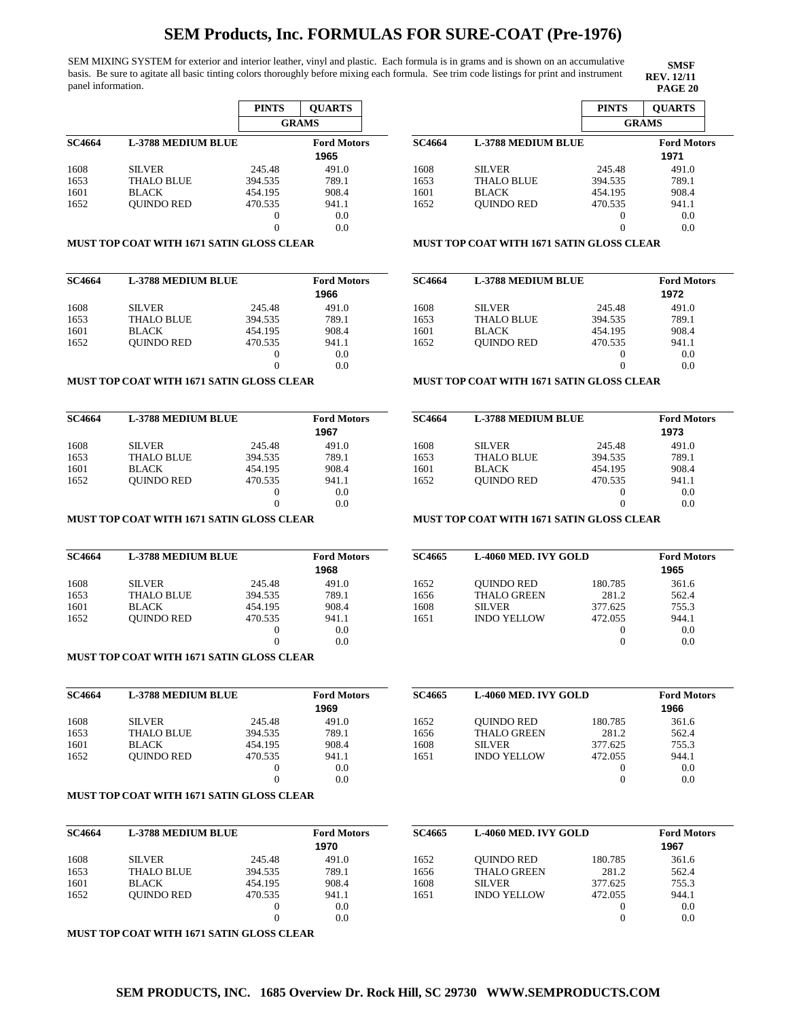SEM MIXING SYSTEM for exterior and interior leather, vinyl and plastic. Each formula is in grams and is shown on an accumulative basis. Be sure to agitate all basic tinting colors thoroughly before mixing each formula. See trim code listings for print and instrument panel information. **PAGE 20**

|               |                    | <b>PINTS</b> | <b>OUARTS</b>              |
|---------------|--------------------|--------------|----------------------------|
|               |                    |              | <b>GRAMS</b>               |
| <b>SC4664</b> | L-3788 MEDIUM BLUE |              | <b>Ford Motors</b><br>1965 |
| 1608          | <b>SILVER</b>      | 245.48       | 491.0                      |
| 1653          | <b>THALO BLUE</b>  | 394.535      | 789.1                      |
| 1601          | <b>BLACK</b>       | 454.195      | 908.4                      |
| 1652          | <b>OUINDO RED</b>  | 470.535      | 941.1                      |
|               |                    | 0            | 0.0                        |
|               |                    |              | 0.0                        |

#### 0.0 1601 1652 BLACK QUINDO RED

### **MUST TOP COAT WITH 1671 SATIN GLOSS CLEAR**

| <b>SC4664</b> | <b>L-3788 MEDIUM BLUE</b> |         | <b>Ford Motors</b><br>1966 |
|---------------|---------------------------|---------|----------------------------|
| 1608          | <b>SILVER</b>             | 245.48  | 491.0                      |
| 1653          | <b>THALO BLUE</b>         | 394.535 | 789.1                      |
| 1601          | <b>BLACK</b>              | 454.195 | 908.4                      |
| 1652          | <b>OUINDO RED</b>         | 470.535 | 941.1                      |
|               |                           | 0       | 0.0                        |
|               |                           | 0       | 0.0                        |

### **MUST TOP COAT WITH 1671 SATIN GLOSS CLEAR**

| <b>SC4664</b> | <b>L-3788 MEDIUM BLUE</b> | <b>Ford Motors</b><br>1967 |       |
|---------------|---------------------------|----------------------------|-------|
| 1608          | <b>SILVER</b>             | 245.48                     | 491.0 |
| 1653          | <b>THALO BLUE</b>         | 394.535                    | 789.1 |
| 1601          | <b>BLACK</b>              | 454.195                    | 908.4 |
| 1652          | <b>OUINDO RED</b>         | 470.535                    | 941.1 |
|               |                           | 0                          | 0.0   |
|               |                           |                            | 0.0   |

### **MUST TOP COAT WITH 1671 SATIN GLOSS CLEAR**

| <b>SC4664</b> | <b>L-3788 MEDIUM BLUE</b> | <b>Ford Motors</b><br>1968 |       |
|---------------|---------------------------|----------------------------|-------|
| 1608          | <b>SILVER</b>             | 245.48                     | 491.0 |
| 1653          | <b>THALO BLUE</b>         | 394.535                    | 789.1 |
| 1601          | <b>BLACK</b>              | 454.195                    | 908.4 |
| 1652          | <b>OUINDO RED</b>         | 470.535                    | 941.1 |
|               |                           | 0                          | 0.0   |
|               |                           | 0                          | 0.0   |

### **MUST TOP COAT WITH 1671 SATIN GLOSS CLEAR**

| <b>SC4664</b> | <b>L-3788 MEDIUM BLUE</b> | <b>Ford Motors</b><br>1969 |       |
|---------------|---------------------------|----------------------------|-------|
| 1608          | <b>SILVER</b>             | 245.48                     | 491.0 |
| 1653          | <b>THALO BLUE</b>         | 394.535                    | 789.1 |
| 1601          | <b>BLACK</b>              | 454.195                    | 908.4 |
| 1652          | <b>OUINDO RED</b>         | 470.535                    | 941.1 |
|               |                           | $\theta$                   | 0.0   |
|               |                           |                            | 0.0   |

### **MUST TOP COAT WITH 1671 SATIN GLOSS CLEAR**

| <b>SC4664</b> | <b>L-3788 MEDIUM BLUE</b> |         | <b>Ford Motors</b><br>1970 | SC4665 | <b>L-4060 MED. IVY GOLD</b> |         | <b>Ford Motors</b><br>1967 |
|---------------|---------------------------|---------|----------------------------|--------|-----------------------------|---------|----------------------------|
| 1608          | <b>SILVER</b>             | 245.48  | 491.0                      | 1652   | <b>OUINDO RED</b>           | 180.785 | 361.6                      |
| 1653          | <b>THALO BLUE</b>         | 394.535 | 789.1                      | 1656   | <b>THALO GREEN</b>          | 281.2   | 562.4                      |
| 1601          | <b>BLACK</b>              | 454.195 | 908.4                      | 1608   | <b>SILVER</b>               | 377.625 | 755.3                      |
| 1652          | <b>OUINDO RED</b>         | 470.535 | 941.1                      | 1651   | <b>INDO YELLOW</b>          | 472.055 | 944.1                      |
|               |                           |         | 0.0                        |        |                             |         | 0.0                        |
|               |                           |         | 0.0                        |        |                             |         | 0.0                        |

**MUST TOP COAT WITH 1671 SATIN GLOSS CLEAR** 

|               |                           | <b>PINTS</b>      | <b>OUARTS</b>              |
|---------------|---------------------------|-------------------|----------------------------|
|               |                           |                   | <b>GRAMS</b>               |
| <b>SC4664</b> | <b>L-3788 MEDIUM BLUE</b> |                   | <b>Ford Motors</b><br>1971 |
| 1608          | <b>SILVER</b>             | 245.48            | 491.0                      |
| 1653          | THALO BLUE                | 394.535           | 789.1                      |
| 1601          | BLACK                     | 454.195           | 908.4                      |
| 1652          | <b>OUINDO RED</b>         | 470.535           | 941.1                      |
|               |                           | $\mathbf{\Omega}$ | 0.0                        |
|               |                           |                   | 0.0                        |

**SMSF REV. 12/11**

### **MUST TOP COAT WITH 1671 SATIN GLOSS CLEAR**

| <b>SC4664</b> | <b>L-3788 MEDIUM BLUE</b> | <b>Ford Motors</b> |       |
|---------------|---------------------------|--------------------|-------|
|               |                           |                    | 1972  |
| 1608          | <b>SILVER</b>             | 245.48             | 491.0 |
| 1653          | <b>THALO BLUE</b>         | 394.535            | 789.1 |
| 1601          | <b>BLACK</b>              | 454.195            | 908.4 |
| 1652          | <b>OUINDO RED</b>         | 470.535            | 941.1 |
|               |                           | $\theta$           | 0.0   |
|               |                           |                    | 0.0   |
|               |                           |                    |       |

## **MUST TOP COAT WITH 1671 SATIN GLOSS CLEAR**

| <b>SC4664</b> | <b>L-3788 MEDIUM BLUE</b> | <b>Ford Motors</b><br>1973 |       |
|---------------|---------------------------|----------------------------|-------|
| 1608          | <b>SILVER</b>             | 245.48                     | 491.0 |
| 1653          | <b>THALO BLUE</b>         | 394.535                    | 789.1 |
| 1601          | <b>BLACK</b>              | 454.195                    | 908.4 |
| 1652          | <b>OUINDO RED</b>         | 470.535                    | 941.1 |
|               |                           | $_{0}$                     | 0.0   |
|               |                           |                            | 0.0   |

## **MUST TOP COAT WITH 1671 SATIN GLOSS CLEAR**

| <b>SC4665</b> | L-4060 MED. IVY GOLD | <b>Ford Motors</b><br>1965 |       |
|---------------|----------------------|----------------------------|-------|
| 1652          | <b>OUINDO RED</b>    | 180.785                    | 361.6 |
| 1656          | <b>THALO GREEN</b>   | 281.2                      | 562.4 |
| 1608          | <b>SILVER</b>        | 377.625                    | 755.3 |
| 1651          | <b>INDO YELLOW</b>   | 472.055                    | 944.1 |
|               |                      |                            | 0.0   |
|               |                      |                            | 0.0   |

**SC4665 L-4060 MED. IVY GOLD Ford Motors**

180.785 281.2 377.625 472.055 0 0 361.6 562.4 755.3 944.1 0.0 0.0

**1966**

QUINDO RED THALO GREEN SILVER INDO YELLOW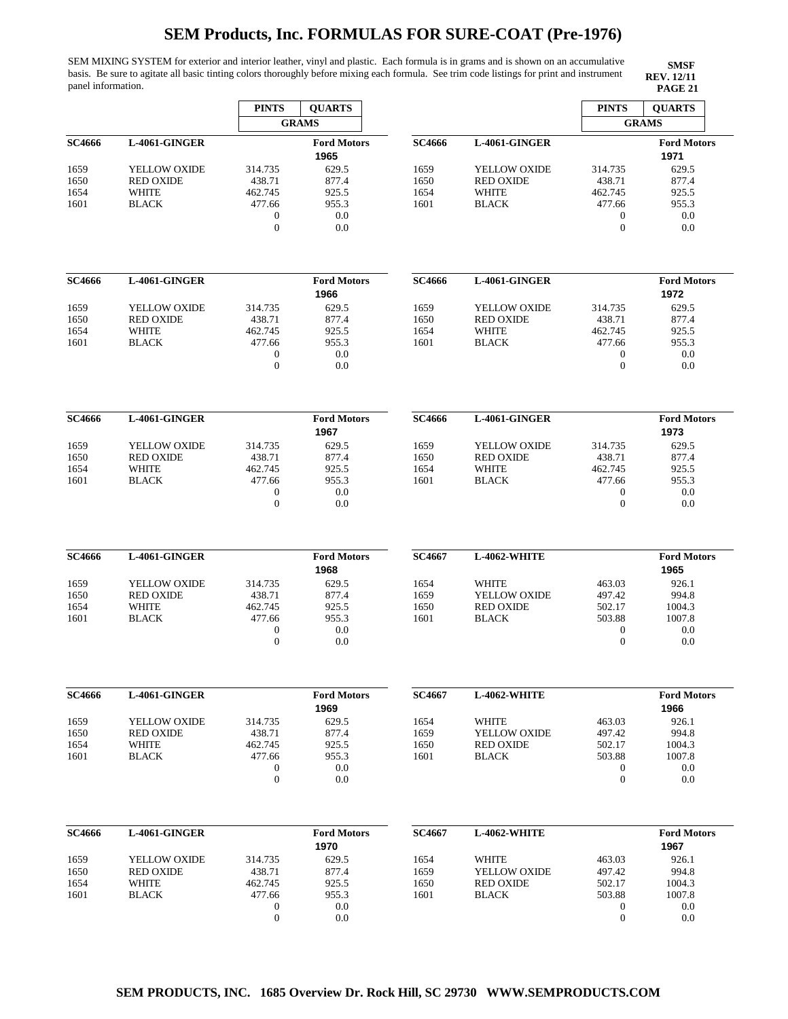SEM MIXING SYSTEM for exterior and interior leather, vinyl and plastic. Each formula is in grams and is shown on an accumulative basis. Be sure to agitate all basic tinting colors thoroughly before mixing each formula. See trim code listings for print and instrument panel information. **PAGE 21 PAGE 21** 

|               |                  | <b>PINTS</b>                     | <b>QUARTS</b>              |               |                  | <b>PINTS</b>                 | <b>OUARTS</b>              |
|---------------|------------------|----------------------------------|----------------------------|---------------|------------------|------------------------------|----------------------------|
|               |                  |                                  | <b>GRAMS</b>               |               |                  |                              | <b>GRAMS</b>               |
| SC4666        | L-4061-GINGER    |                                  | <b>Ford Motors</b><br>1965 | <b>SC4666</b> | L-4061-GINGER    |                              | <b>Ford Motors</b><br>1971 |
| 1659          | YELLOW OXIDE     | 314.735                          | 629.5                      | 1659          | YELLOW OXIDE     | 314.735                      | 629.5                      |
| 1650          | <b>RED OXIDE</b> | 438.71                           | 877.4                      | 1650          | <b>RED OXIDE</b> | 438.71                       | 877.4                      |
| 1654          | <b>WHITE</b>     | 462.745                          | 925.5                      | 1654          | <b>WHITE</b>     | 462.745                      | 925.5                      |
| 1601          | <b>BLACK</b>     | 477.66                           | 955.3                      | 1601          | <b>BLACK</b>     | 477.66                       | 955.3                      |
|               |                  | $\mathbf{0}$<br>$\mathbf{0}$     | 0.0<br>0.0                 |               |                  | $\boldsymbol{0}$<br>$\theta$ | 0.0<br>0.0                 |
| SC4666        | L-4061-GINGER    |                                  | <b>Ford Motors</b>         | <b>SC4666</b> | L-4061-GINGER    |                              | <b>Ford Motors</b>         |
|               |                  |                                  | 1966                       |               |                  |                              | 1972                       |
| 1659          | YELLOW OXIDE     | 314.735                          | 629.5                      | 1659          | YELLOW OXIDE     | 314.735                      | 629.5                      |
| 1650          | <b>RED OXIDE</b> | 438.71                           | 877.4                      | 1650          | <b>RED OXIDE</b> | 438.71                       | 877.4                      |
| 1654          | WHITE            | 462.745                          | 925.5                      | 1654          | WHITE            | 462.745                      | 925.5                      |
| 1601          | <b>BLACK</b>     | 477.66                           | 955.3                      | 1601          | <b>BLACK</b>     | 477.66                       | 955.3                      |
|               |                  | $\boldsymbol{0}$<br>$\mathbf{0}$ | 0.0<br>0.0                 |               |                  | $\boldsymbol{0}$<br>$\theta$ | 0.0<br>0.0                 |
|               |                  |                                  |                            |               |                  |                              |                            |
| SC4666        | L-4061-GINGER    |                                  | <b>Ford Motors</b><br>1967 | <b>SC4666</b> | L-4061-GINGER    |                              | <b>Ford Motors</b><br>1973 |
| 1659          | YELLOW OXIDE     | 314.735                          | 629.5                      | 1659          | YELLOW OXIDE     | 314.735                      | 629.5                      |
| 1650          | <b>RED OXIDE</b> | 438.71                           | 877.4                      | 1650          | <b>RED OXIDE</b> | 438.71                       | 877.4                      |
| 1654          | WHITE            | 462.745                          | 925.5                      | 1654          | WHITE            | 462.745                      | 925.5                      |
| 1601          | <b>BLACK</b>     | 477.66                           | 955.3                      | 1601          | <b>BLACK</b>     | 477.66                       | 955.3                      |
|               |                  | $\mathbf{0}$                     | 0.0                        |               |                  | $\boldsymbol{0}$             | 0.0                        |
|               |                  | $\mathbf{0}$                     | 0.0                        |               |                  | $\theta$                     | 0.0                        |
| <b>SC4666</b> | L-4061-GINGER    |                                  | <b>Ford Motors</b>         | <b>SC4667</b> | L-4062-WHITE     |                              | <b>Ford Motors</b>         |
|               |                  |                                  | 1968                       |               |                  |                              | 1965                       |
| 1659          | YELLOW OXIDE     | 314.735                          | 629.5                      | 1654          | <b>WHITE</b>     | 463.03                       | 926.1                      |
| 1650          | <b>RED OXIDE</b> | 438.71                           | 877.4                      | 1659          | YELLOW OXIDE     | 497.42                       | 994.8                      |
| 1654          | <b>WHITE</b>     | 462.745                          | 925.5                      | 1650          | <b>RED OXIDE</b> | 502.17                       | 1004.3                     |
| 1601          | <b>BLACK</b>     | 477.66                           | 955.3                      | 1601          | <b>BLACK</b>     | 503.88                       | 1007.8                     |
|               |                  | $\boldsymbol{0}$                 | 0.0                        |               |                  | $\mathbf{0}$                 | 0.0                        |
|               |                  | $\boldsymbol{0}$                 | 0.0                        |               |                  | $\theta$                     | 0.0                        |
| <b>SC4666</b> | L-4061-GINGER    |                                  | <b>Ford Motors</b>         | SC4667        | L-4062-WHITE     |                              | <b>Ford Motors</b>         |
|               |                  |                                  | 1969                       |               |                  |                              | 1966                       |
| 1659          | YELLOW OXIDE     | 314.735                          | 629.5                      | 1654          | <b>WHITE</b>     | 463.03                       | 926.1                      |
| 1650          | <b>RED OXIDE</b> | 438.71                           | 877.4                      | 1659          | YELLOW OXIDE     | 497.42                       | 994.8                      |
| 1654          | <b>WHITE</b>     | 462.745                          | 925.5                      | 1650          | <b>RED OXIDE</b> | 502.17                       | 1004.3                     |
| 1601          | <b>BLACK</b>     | 477.66                           | 955.3                      | 1601          | <b>BLACK</b>     | 503.88                       | 1007.8                     |
|               |                  | $\boldsymbol{0}$                 | 0.0                        |               |                  | $\boldsymbol{0}$             | 0.0                        |
|               |                  | $\mathbf{0}$                     | 0.0                        |               |                  | $\boldsymbol{0}$             | 0.0                        |
| <b>SC4666</b> | L-4061-GINGER    |                                  | <b>Ford Motors</b>         | SC4667        | L-4062-WHITE     |                              | <b>Ford Motors</b>         |
|               |                  |                                  | 1970                       |               |                  |                              | 1967                       |
| 1659          | YELLOW OXIDE     | 314.735                          | 629.5                      | 1654          | <b>WHITE</b>     | 463.03                       | 926.1                      |
| 1650          | <b>RED OXIDE</b> | 438.71                           | 877.4                      | 1659          | YELLOW OXIDE     | 497.42                       | 994.8                      |
| 1654          | WHITE            | 462.745                          | 925.5                      | 1650          | <b>RED OXIDE</b> | 502.17                       | 1004.3                     |
| 1601          | <b>BLACK</b>     | 477.66                           | 955.3                      | 1601          | <b>BLACK</b>     | 503.88                       | 1007.8                     |
|               |                  | $\boldsymbol{0}$                 | 0.0                        |               |                  | $\mathbf{0}$                 | 0.0                        |
|               |                  | $\boldsymbol{0}$                 | 0.0                        |               |                  | $\boldsymbol{0}$             | 0.0                        |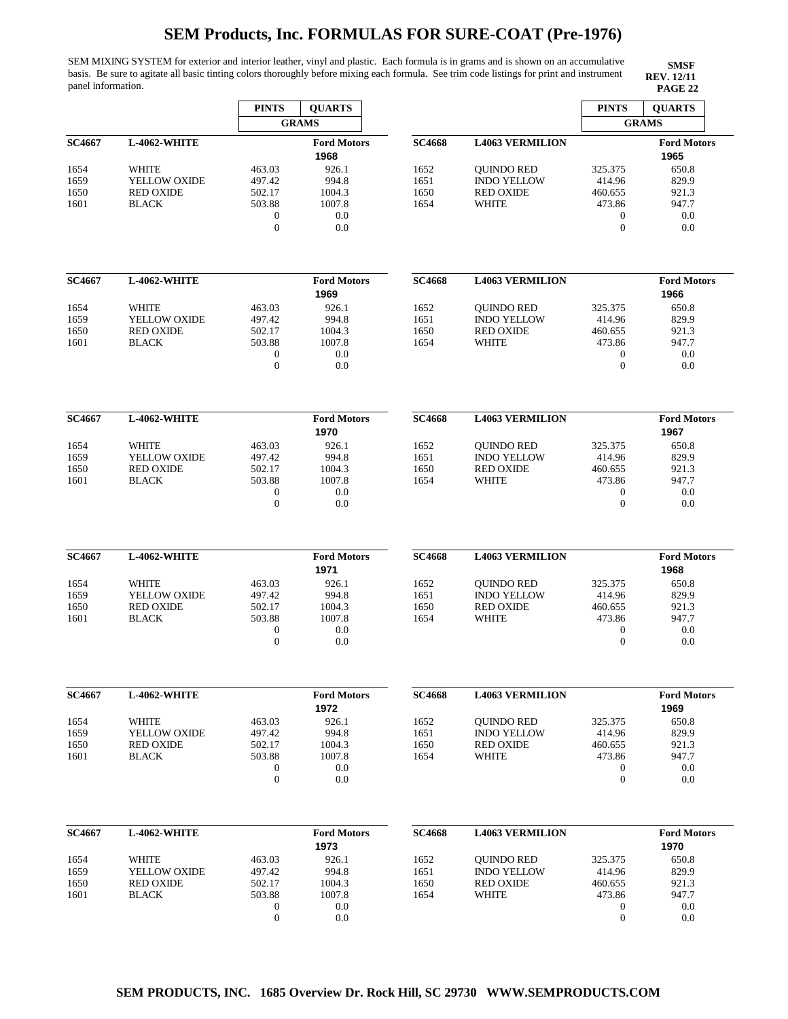SEM MIXING SYSTEM for exterior and interior leather, vinyl and plastic. Each formula is in grams and is shown on an accumulative basis. Be sure to agitate all basic tinting colors thoroughly before mixing each formula. See trim code listings for print and instrument panel information. **PAGE 22** 

|               |                                  | <b>PINTS</b>                         | <b>QUARTS</b>              |               |                                        | <b>PINTS</b>                         | <b>QUARTS</b>              |
|---------------|----------------------------------|--------------------------------------|----------------------------|---------------|----------------------------------------|--------------------------------------|----------------------------|
|               |                                  |                                      | <b>GRAMS</b>               |               |                                        |                                      | <b>GRAMS</b>               |
| <b>SC4667</b> | L-4062-WHITE                     |                                      | <b>Ford Motors</b><br>1968 | <b>SC4668</b> | <b>L4063 VERMILION</b>                 |                                      | <b>Ford Motors</b><br>1965 |
| 1654          | <b>WHITE</b>                     | 463.03                               | 926.1                      | 1652          | <b>QUINDO RED</b>                      | 325.375                              | 650.8                      |
| 1659          | YELLOW OXIDE                     | 497.42                               | 994.8                      | 1651          | <b>INDO YELLOW</b>                     | 414.96                               | 829.9                      |
| 1650          | <b>RED OXIDE</b>                 | 502.17                               | 1004.3                     | 1650          | <b>RED OXIDE</b>                       | 460.655                              | 921.3                      |
| 1601          | <b>BLACK</b>                     | 503.88                               | 1007.8                     | 1654          | <b>WHITE</b>                           | 473.86                               | 947.7                      |
|               |                                  | $\boldsymbol{0}$<br>$\overline{0}$   | 0.0<br>0.0                 |               |                                        | $\theta$<br>$\mathbf{0}$             | 0.0<br>0.0                 |
|               |                                  |                                      |                            |               |                                        |                                      |                            |
| <b>SC4667</b> | <b>L-4062-WHITE</b>              |                                      | <b>Ford Motors</b><br>1969 | <b>SC4668</b> | <b>L4063 VERMILION</b>                 |                                      | <b>Ford Motors</b><br>1966 |
| 1654          | <b>WHITE</b>                     | 463.03                               | 926.1                      | 1652          | <b>QUINDO RED</b>                      | 325.375                              | 650.8                      |
| 1659          | YELLOW OXIDE                     | 497.42                               | 994.8                      | 1651          | <b>INDO YELLOW</b>                     | 414.96                               | 829.9                      |
| 1650          | <b>RED OXIDE</b>                 | 502.17<br>503.88                     | 1004.3<br>1007.8           | 1650<br>1654  | <b>RED OXIDE</b><br><b>WHITE</b>       | 460.655<br>473.86                    | 921.3<br>947.7             |
| 1601          | <b>BLACK</b>                     | $\boldsymbol{0}$                     | 0.0                        |               |                                        | $\boldsymbol{0}$                     | 0.0                        |
|               |                                  | $\boldsymbol{0}$                     | 0.0                        |               |                                        | $\overline{0}$                       | 0.0                        |
|               |                                  |                                      |                            |               |                                        |                                      |                            |
| <b>SC4667</b> | <b>L-4062-WHITE</b>              |                                      | <b>Ford Motors</b><br>1970 | <b>SC4668</b> | <b>L4063 VERMILION</b>                 |                                      | <b>Ford Motors</b><br>1967 |
| 1654          | <b>WHITE</b>                     | 463.03                               | 926.1                      | 1652          | <b>QUINDO RED</b>                      | 325.375                              | 650.8                      |
| 1659          | YELLOW OXIDE                     | 497.42                               | 994.8                      | 1651          | <b>INDO YELLOW</b>                     | 414.96                               | 829.9                      |
| 1650<br>1601  | <b>RED OXIDE</b><br><b>BLACK</b> | 502.17<br>503.88                     | 1004.3<br>1007.8           | 1650<br>1654  | <b>RED OXIDE</b><br><b>WHITE</b>       | 460.655<br>473.86                    | 921.3<br>947.7             |
|               |                                  | $\boldsymbol{0}$                     | 0.0                        |               |                                        | $\boldsymbol{0}$                     | 0.0                        |
|               |                                  | $\mathbf{0}$                         | 0.0                        |               |                                        | $\overline{0}$                       | 0.0                        |
|               |                                  |                                      |                            |               |                                        |                                      |                            |
| <b>SC4667</b> | <b>L-4062-WHITE</b>              |                                      | <b>Ford Motors</b><br>1971 | <b>SC4668</b> | <b>L4063 VERMILION</b>                 |                                      | <b>Ford Motors</b><br>1968 |
| 1654          | WHITE                            | 463.03                               | 926.1                      | 1652          | <b>QUINDO RED</b>                      | 325.375                              | 650.8                      |
| 1659<br>1650  | YELLOW OXIDE<br><b>RED OXIDE</b> | 497.42<br>502.17                     | 994.8<br>1004.3            | 1651<br>1650  | <b>INDO YELLOW</b><br><b>RED OXIDE</b> | 414.96<br>460.655                    | 829.9<br>921.3             |
| 1601          | <b>BLACK</b>                     | 503.88                               | 1007.8                     | 1654          | WHITE                                  | 473.86                               | 947.7                      |
|               |                                  | $\boldsymbol{0}$                     | 0.0                        |               |                                        | 0                                    | 0.0                        |
|               |                                  | $\boldsymbol{0}$                     | 0.0                        |               |                                        | $\theta$                             | 0.0                        |
| <b>SC4667</b> | L-4062-WHITE                     |                                      | <b>Ford Motors</b>         | <b>SC4668</b> | <b>L4063 VERMILION</b>                 |                                      | <b>Ford Motors</b>         |
|               |                                  |                                      | 1972                       |               |                                        |                                      | 1969                       |
| 1654          | WHITE                            | 463.03                               | 926.1                      | 1652          | <b>OUINDO RED</b>                      | 325.375                              | 650.8                      |
| 1659          | YELLOW OXIDE                     | 497.42                               | 994.8                      | 1651          | <b>INDO YELLOW</b>                     | 414.96                               | 829.9                      |
| 1650          | <b>RED OXIDE</b>                 | 502.17                               | 1004.3                     | 1650          | <b>RED OXIDE</b>                       | 460.655                              | 921.3                      |
| 1601          | <b>BLACK</b>                     | 503.88                               | 1007.8                     | 1654          | WHITE                                  | 473.86                               | 947.7                      |
|               |                                  | $\boldsymbol{0}$                     | 0.0                        |               |                                        | $\bf{0}$                             | 0.0                        |
|               |                                  | $\boldsymbol{0}$                     | 0.0                        |               |                                        | $\boldsymbol{0}$                     | 0.0                        |
| <b>SC4667</b> | L-4062-WHITE                     |                                      | <b>Ford Motors</b>         | <b>SC4668</b> | <b>L4063 VERMILION</b>                 |                                      | <b>Ford Motors</b>         |
|               |                                  |                                      | 1973                       |               |                                        |                                      | 1970                       |
| 1654          | WHITE                            | 463.03                               | 926.1                      | 1652          | <b>QUINDO RED</b>                      | 325.375                              | 650.8                      |
| 1659          | YELLOW OXIDE                     | 497.42                               | 994.8                      | 1651          | <b>INDO YELLOW</b>                     | 414.96                               | 829.9                      |
| 1650          | <b>RED OXIDE</b>                 | 502.17                               | 1004.3                     | 1650          | <b>RED OXIDE</b>                       | 460.655                              | 921.3                      |
| 1601          | <b>BLACK</b>                     | 503.88                               | 1007.8                     | 1654          | WHITE                                  | 473.86                               | 947.7                      |
|               |                                  | $\boldsymbol{0}$<br>$\boldsymbol{0}$ | 0.0<br>0.0                 |               |                                        | $\boldsymbol{0}$<br>$\boldsymbol{0}$ | 0.0<br>0.0                 |
|               |                                  |                                      |                            |               |                                        |                                      |                            |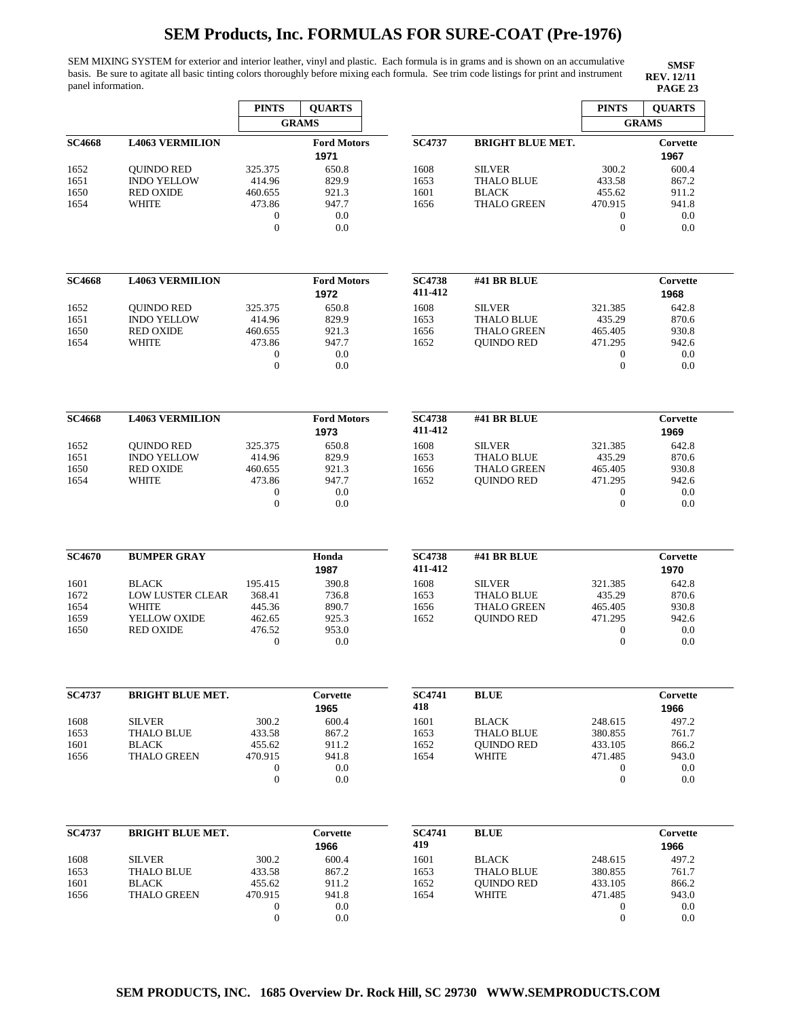SEM MIXING SYSTEM for exterior and interior leather, vinyl and plastic. Each formula is in grams and is shown on an accumulative basis. Be sure to agitate all basic tinting colors thoroughly before mixing each formula. See trim code listings for print and instrument panel information. **PAGE 23** 

**SMSF REV. 12/11<br>PAGE 23** 

|               |                                        | <b>PINTS</b>           | <b>QUARTS</b>              |                          |                                         | <b>PINTS</b>                | <b>QUARTS</b>    |
|---------------|----------------------------------------|------------------------|----------------------------|--------------------------|-----------------------------------------|-----------------------------|------------------|
|               |                                        |                        | <b>GRAMS</b>               |                          |                                         |                             | <b>GRAMS</b>     |
| <b>SC4668</b> | <b>L4063 VERMILION</b>                 |                        | <b>Ford Motors</b><br>1971 | <b>SC4737</b>            | <b>BRIGHT BLUE MET.</b>                 |                             | Corvette<br>1967 |
| 1652          | <b>OUINDO RED</b>                      | 325.375                | 650.8                      | 1608                     | <b>SILVER</b>                           | 300.2                       | 600.4            |
| 1651<br>1650  | <b>INDO YELLOW</b><br><b>RED OXIDE</b> | 414.96<br>460.655      | 829.9<br>921.3             | 1653<br>1601             | <b>THALO BLUE</b><br><b>BLACK</b>       | 433.58<br>455.62            | 867.2<br>911.2   |
| 1654          | <b>WHITE</b>                           | 473.86                 | 947.7                      | 1656                     | <b>THALO GREEN</b>                      | 470.915                     | 941.8            |
|               |                                        | $\boldsymbol{0}$       | $0.0\,$                    |                          |                                         | $\boldsymbol{0}$            | 0.0              |
|               |                                        | $\overline{0}$         | 0.0                        |                          |                                         | $\mathbf{0}$                | 0.0              |
| <b>SC4668</b> | <b>L4063 VERMILION</b>                 |                        | <b>Ford Motors</b>         | <b>SC4738</b>            | #41 BR BLUE                             |                             | Corvette         |
|               |                                        |                        | 1972                       | 411-412                  |                                         |                             | 1968             |
| 1652          | <b>QUINDO RED</b>                      | 325.375                | 650.8                      | 1608                     | <b>SILVER</b>                           | 321.385                     | 642.8            |
| 1651          | <b>INDO YELLOW</b><br><b>RED OXIDE</b> | 414.96<br>460.655      | 829.9<br>921.3             | 1653<br>1656             | <b>THALO BLUE</b><br><b>THALO GREEN</b> | 435.29<br>465.405           | 870.6<br>930.8   |
| 1650<br>1654  | <b>WHITE</b>                           | 473.86                 | 947.7                      | 1652                     | <b>QUINDO RED</b>                       | 471.295                     | 942.6            |
|               |                                        | $\mathbf 0$            | 0.0                        |                          |                                         | $\boldsymbol{0}$            | 0.0              |
|               |                                        | $\overline{0}$         | 0.0                        |                          |                                         | $\mathbf{0}$                | 0.0              |
| <b>SC4668</b> | <b>L4063 VERMILION</b>                 |                        | <b>Ford Motors</b>         | <b>SC4738</b>            | #41 BR BLUE                             |                             | Corvette         |
|               |                                        |                        | 1973                       | 411-412                  |                                         |                             | 1969             |
| 1652          | <b>OUINDO RED</b>                      | 325.375                | 650.8                      | 1608                     | <b>SILVER</b>                           | 321.385                     | 642.8            |
| 1651          | <b>INDO YELLOW</b>                     | 414.96                 | 829.9                      | 1653                     | <b>THALO BLUE</b>                       | 435.29                      | 870.6            |
| 1650          | <b>RED OXIDE</b>                       | 460.655                | 921.3                      | 1656                     | <b>THALO GREEN</b>                      | 465.405                     | 930.8            |
| 1654          | WHITE                                  | 473.86<br>$\mathbf{0}$ | 947.7<br>0.0               | 1652                     | <b>QUINDO RED</b>                       | 471.295<br>$\boldsymbol{0}$ | 942.6<br>0.0     |
|               |                                        | $\overline{0}$         | 0.0                        |                          |                                         | $\mathbf{0}$                | 0.0              |
|               |                                        |                        |                            |                          |                                         |                             |                  |
| <b>SC4670</b> | <b>BUMPER GRAY</b>                     |                        | Honda<br>1987              | <b>SC4738</b><br>411-412 | #41 BR BLUE                             |                             | Corvette<br>1970 |
| 1601          | <b>BLACK</b>                           | 195.415                | 390.8                      | 1608                     | <b>SILVER</b>                           | 321.385                     | 642.8            |
| 1672          | <b>LOW LUSTER CLEAR</b>                | 368.41                 | 736.8                      | 1653                     | <b>THALO BLUE</b>                       | 435.29                      | 870.6            |
| 1654          | WHITE                                  | 445.36                 | 890.7                      | 1656                     | <b>THALO GREEN</b>                      | 465.405                     | 930.8            |
| 1659<br>1650  | YELLOW OXIDE<br><b>RED OXIDE</b>       | 462.65<br>476.52       | 925.3<br>953.0             | 1652                     | <b>QUINDO RED</b>                       | 471.295<br>$\boldsymbol{0}$ | 942.6<br>0.0     |
|               |                                        | $\mathbf{0}$           | 0.0                        |                          |                                         | $\boldsymbol{0}$            | 0.0              |
|               |                                        |                        |                            |                          |                                         |                             |                  |
| <b>SC4737</b> | <b>BRIGHT BLUE MET.</b>                |                        | Corvette                   | <b>SC4741</b><br>418     | <b>BLUE</b>                             |                             | Corvette         |
|               |                                        |                        | 1965                       |                          |                                         |                             | 1966             |
| 1608<br>1653  | <b>SILVER</b><br><b>THALO BLUE</b>     | 300.2<br>433.58        | 600.4<br>867.2             | 1601<br>1653             | <b>BLACK</b><br><b>THALO BLUE</b>       | 248.615<br>380.855          | 497.2<br>761.7   |
| 1601          | <b>BLACK</b>                           | 455.62                 | 911.2                      | 1652                     | <b>QUINDO RED</b>                       | 433.105                     | 866.2            |
| 1656          | <b>THALO GREEN</b>                     | 470.915                | 941.8                      | 1654                     | <b>WHITE</b>                            | 471.485                     | 943.0            |
|               |                                        | $\mathbf{0}$           | 0.0                        |                          |                                         | $\mathbf{0}$                | 0.0              |
|               |                                        | $\mathbf{0}$           | 0.0                        |                          |                                         | $\mathbf{0}$                | 0.0              |
| <b>SC4737</b> | <b>BRIGHT BLUE MET.</b>                |                        | Corvette                   | <b>SC4741</b>            | <b>BLUE</b>                             |                             | Corvette         |
|               |                                        |                        | 1966                       | 419                      |                                         |                             | 1966             |
| 1608          | <b>SILVER</b>                          | 300.2                  | 600.4                      | 1601                     | <b>BLACK</b>                            | 248.615                     | 497.2            |
| 1653          | <b>THALO BLUE</b>                      | 433.58                 | 867.2                      | 1653                     | <b>THALO BLUE</b>                       | 380.855                     | 761.7            |
| 1601          | <b>BLACK</b>                           | 455.62                 | 911.2                      | 1652                     | <b>QUINDO RED</b>                       | 433.105                     | 866.2            |
| 1656          | <b>THALO GREEN</b>                     | 470.915                | 941.8                      | 1654                     | WHITE                                   | 471.485                     | 943.0            |
|               |                                        | $\mathbf{0}$           | 0.0                        |                          |                                         | $\boldsymbol{0}$            | 0.0              |
|               |                                        | $\mathbf{0}$           | 0.0                        |                          |                                         | $\boldsymbol{0}$            | 0.0              |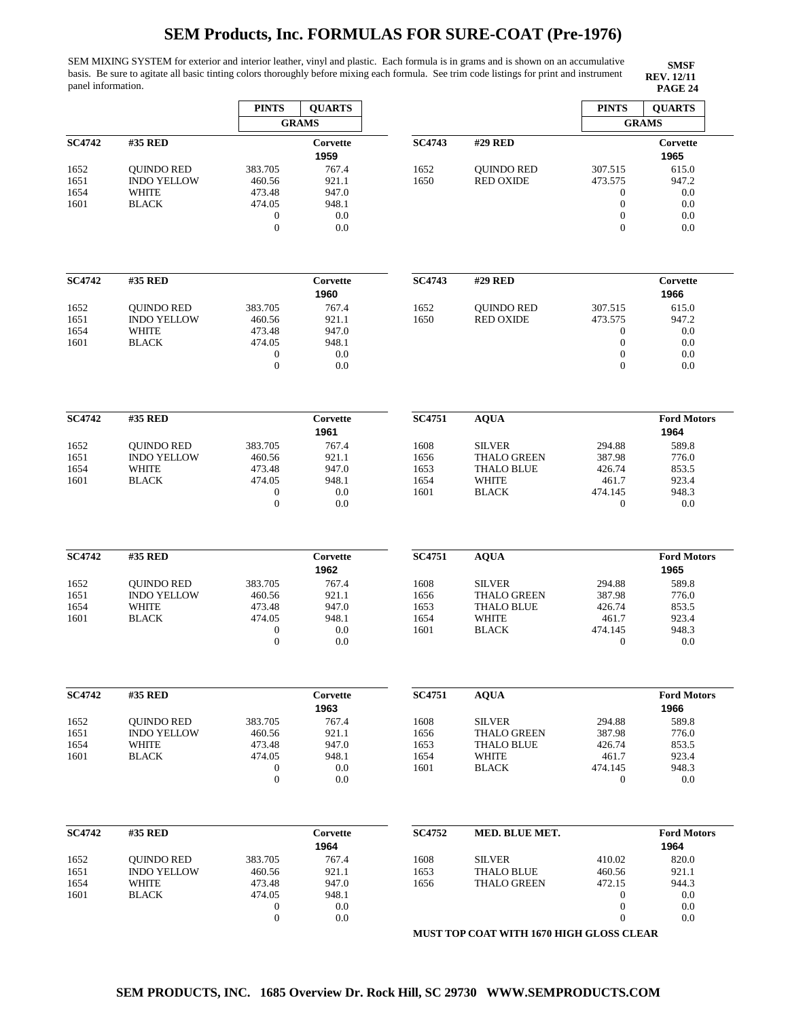SEM MIXING SYSTEM for exterior and interior leather, vinyl and plastic. Each formula is in grams and is shown on an accumulative basis. Be sure to agitate all basic tinting colors thoroughly before mixing each formula. See trim code listings for print and instrument panel information. **PAGE 24 PAGE 24** 

**SMSF REV. 12/11**

|                              |                                                                         | <b>PINTS</b>                                                                | <b>QUARTS</b>                                  |                                      |                                                                                          | <b>PINTS</b>                                                                               | <b>QUARTS</b>                                        |
|------------------------------|-------------------------------------------------------------------------|-----------------------------------------------------------------------------|------------------------------------------------|--------------------------------------|------------------------------------------------------------------------------------------|--------------------------------------------------------------------------------------------|------------------------------------------------------|
|                              |                                                                         |                                                                             | <b>GRAMS</b>                                   |                                      |                                                                                          |                                                                                            | <b>GRAMS</b>                                         |
| <b>SC4742</b>                | #35 RED                                                                 |                                                                             | Corvette<br>1959                               | <b>SC4743</b>                        | #29 RED                                                                                  |                                                                                            | Corvette<br>1965                                     |
| 1652<br>1651<br>1654<br>1601 | <b>OUINDO RED</b><br><b>INDO YELLOW</b><br><b>WHITE</b><br><b>BLACK</b> | 383.705<br>460.56<br>473.48<br>474.05<br>$\mathbf{0}$<br>$\overline{0}$     | 767.4<br>921.1<br>947.0<br>948.1<br>0.0<br>0.0 | 1652<br>1650                         | <b>OUINDO RED</b><br><b>RED OXIDE</b>                                                    | 307.515<br>473.575<br>$\boldsymbol{0}$<br>$\mathbf{0}$<br>$\boldsymbol{0}$<br>$\theta$     | 615.0<br>947.2<br>0.0<br>0.0<br>0.0<br>0.0           |
| <b>SC4742</b>                | #35 RED                                                                 |                                                                             | Corvette                                       | <b>SC4743</b>                        | #29 RED                                                                                  |                                                                                            | Corvette                                             |
|                              |                                                                         |                                                                             | 1960                                           |                                      |                                                                                          |                                                                                            | 1966                                                 |
| 1652<br>1651<br>1654<br>1601 | <b>QUINDO RED</b><br><b>INDO YELLOW</b><br><b>WHITE</b><br><b>BLACK</b> | 383.705<br>460.56<br>473.48<br>474.05<br>$\boldsymbol{0}$<br>$\overline{0}$ | 767.4<br>921.1<br>947.0<br>948.1<br>0.0<br>0.0 | 1652<br>1650                         | <b>QUINDO RED</b><br><b>RED OXIDE</b>                                                    | 307.515<br>473.575<br>$\boldsymbol{0}$<br>$\boldsymbol{0}$<br>$\boldsymbol{0}$<br>$\Omega$ | 615.0<br>947.2<br>0.0<br>0.0<br>0.0<br>0.0           |
| <b>SC4742</b>                | #35 RED                                                                 |                                                                             | Corvette                                       | <b>SC4751</b>                        | <b>AQUA</b>                                                                              |                                                                                            | <b>Ford Motors</b>                                   |
|                              |                                                                         |                                                                             | 1961                                           |                                      |                                                                                          |                                                                                            | 1964                                                 |
| 1652<br>1651<br>1654<br>1601 | <b>QUINDO RED</b><br><b>INDO YELLOW</b><br><b>WHITE</b><br><b>BLACK</b> | 383.705<br>460.56<br>473.48<br>474.05<br>$\boldsymbol{0}$<br>$\mathbf{0}$   | 767.4<br>921.1<br>947.0<br>948.1<br>0.0<br>0.0 | 1608<br>1656<br>1653<br>1654<br>1601 | <b>SILVER</b><br>THALO GREEN<br><b>THALO BLUE</b><br><b>WHITE</b><br><b>BLACK</b>        | 294.88<br>387.98<br>426.74<br>461.7<br>474.145<br>$\mathbf{0}$                             | 589.8<br>776.0<br>853.5<br>923.4<br>948.3<br>0.0     |
|                              |                                                                         |                                                                             |                                                |                                      |                                                                                          |                                                                                            |                                                      |
| <b>SC4742</b>                | #35 RED                                                                 |                                                                             | Corvette<br>1962                               | <b>SC4751</b>                        | <b>AQUA</b>                                                                              |                                                                                            | <b>Ford Motors</b><br>1965                           |
| 1652<br>1651<br>1654<br>1601 | <b>QUINDO RED</b><br><b>INDO YELLOW</b><br><b>WHITE</b><br><b>BLACK</b> | 383.705<br>460.56<br>473.48<br>474.05<br>$\boldsymbol{0}$<br>$\mathbf{0}$   | 767.4<br>921.1<br>947.0<br>948.1<br>0.0<br>0.0 | 1608<br>1656<br>1653<br>1654<br>1601 | <b>SILVER</b><br>THALO GREEN<br><b>THALO BLUE</b><br><b>WHITE</b><br><b>BLACK</b>        | 294.88<br>387.98<br>426.74<br>461.7<br>474.145<br>$\mathbf{0}$                             | 589.8<br>776.0<br>853.5<br>923.4<br>948.3<br>$0.0\,$ |
| <b>SC4742</b>                | #35 RED                                                                 |                                                                             | Corvette<br>1963                               | <b>SC4751</b>                        | <b>AQUA</b>                                                                              |                                                                                            | <b>Ford Motors</b><br>1966                           |
| 1652<br>1651<br>1654<br>1601 | <b>QUINDO RED</b><br><b>INDO YELLOW</b><br><b>WHITE</b><br><b>BLACK</b> | 383.705<br>460.56<br>473.48<br>474.05<br>$\mathbf{0}$<br>$\mathbf{0}$       | 767.4<br>921.1<br>947.0<br>948.1<br>0.0<br>0.0 | 1608<br>1656<br>1653<br>1654<br>1601 | <b>SILVER</b><br><b>THALO GREEN</b><br><b>THALO BLUE</b><br><b>WHITE</b><br><b>BLACK</b> | 294.88<br>387.98<br>426.74<br>461.7<br>474.145<br>$\mathbf{0}$                             | 589.8<br>776.0<br>853.5<br>923.4<br>948.3<br>0.0     |
| <b>SC4742</b>                | #35 RED                                                                 |                                                                             | Corvette<br>1964                               | <b>SC4752</b>                        | MED. BLUE MET.                                                                           |                                                                                            | <b>Ford Motors</b><br>1964                           |
| 1652<br>1651<br>1654<br>1601 | <b>QUINDO RED</b><br><b>INDO YELLOW</b><br><b>WHITE</b><br><b>BLACK</b> | 383.705<br>460.56<br>473.48<br>474.05<br>$\mathbf{0}$<br>$\boldsymbol{0}$   | 767.4<br>921.1<br>947.0<br>948.1<br>0.0<br>0.0 | 1608<br>1653<br>1656                 | <b>SILVER</b><br><b>THALO BLUE</b><br><b>THALO GREEN</b>                                 | 410.02<br>460.56<br>472.15<br>$\boldsymbol{0}$<br>$\boldsymbol{0}$<br>$\boldsymbol{0}$     | 820.0<br>921.1<br>944.3<br>0.0<br>0.0<br>0.0         |

**MUST TOP COAT WITH 1670 HIGH GLOSS CLEAR**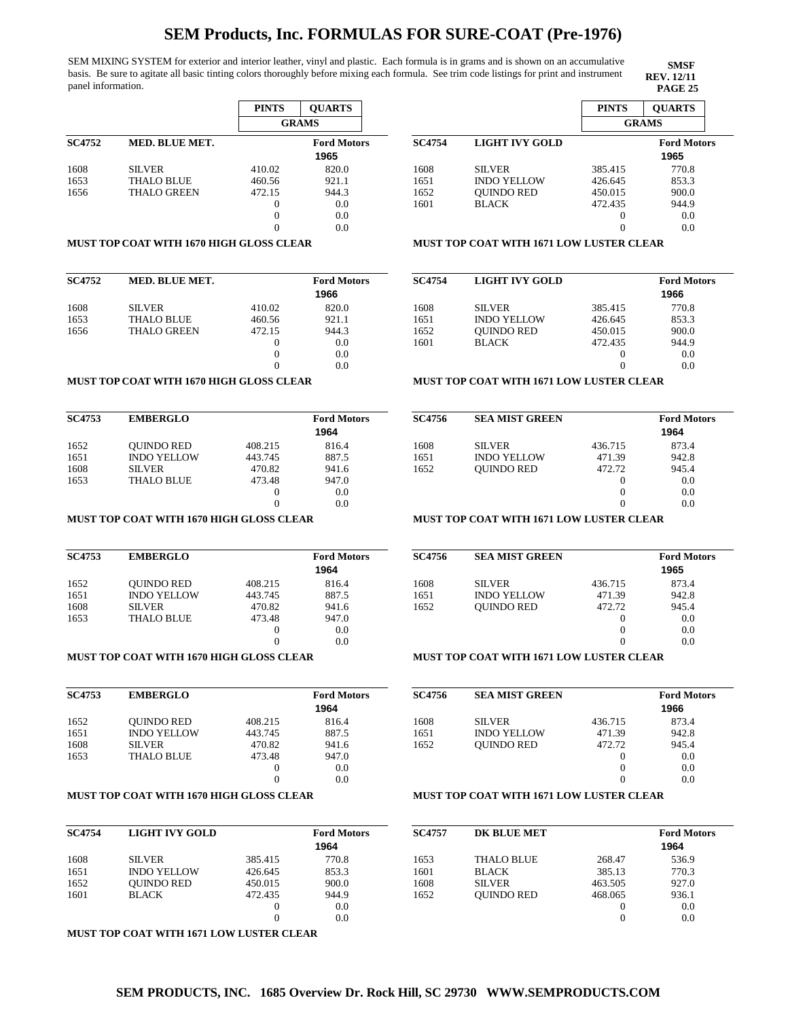SEM MIXING SYSTEM for exterior and interior leather, vinyl and plastic. Each formula is in grams and is shown on an accumulative basis. Be sure to agitate all basic tinting colors thoroughly before mixing each formula. See trim code listings for print and instrument panel information. **PAGE 25 PAGE 25** 

|               |                    | <b>PINTS</b> | <b>OUARTS</b>              |
|---------------|--------------------|--------------|----------------------------|
|               |                    |              | <b>GRAMS</b>               |
| <b>SC4752</b> | MED. BLUE MET.     |              | <b>Ford Motors</b><br>1965 |
| 1608          | <b>SILVER</b>      | 410.02       | 820.0                      |
| 1653          | <b>THALO BLUE</b>  | 460.56       | 921.1                      |
| 1656          | <b>THALO GREEN</b> | 472.15       | 944.3                      |
|               |                    | $\theta$     | 0.0                        |
|               |                    | $\theta$     | 0.0                        |
|               |                    |              | 0.0                        |

### **MUST TOP COAT WITH 1670 HIGH GLOSS CLEAR**

| <b>SC4752</b> | <b>MED. BLUE MET.</b> |          | <b>Ford Motors</b><br>1966 |
|---------------|-----------------------|----------|----------------------------|
| 1608          | <b>SILVER</b>         | 410.02   | 820.0                      |
| 1653          | <b>THALO BLUE</b>     | 460.56   | 921.1                      |
| 1656          | <b>THALO GREEN</b>    | 472.15   | 944.3                      |
|               |                       | $\theta$ | 0.0                        |
|               |                       | 0        | 0.0                        |
|               |                       | 0        | 0.0                        |

### **MUST TOP COAT WITH 1670 HIGH GLOSS CLEAR**

| <b>SC4753</b> | <b>EMBERGLO</b>    |         | <b>Ford Motors</b><br>1964 |
|---------------|--------------------|---------|----------------------------|
| 1652          | <b>OUINDO RED</b>  | 408.215 | 816.4                      |
| 1651          | <b>INDO YELLOW</b> | 443.745 | 887.5                      |
| 1608          | <b>SILVER</b>      | 470.82  | 941.6                      |
| 1653          | <b>THALO BLUE</b>  | 473.48  | 947.0                      |
|               |                    | 0       | 0.0                        |
|               |                    | 0       | 0.0                        |

### **MUST TOP COAT WITH 1670 HIGH GLOSS CLEAR**

| <b>SC4753</b> | <b>EMBERGLO</b>    |          | <b>Ford Motors</b> |
|---------------|--------------------|----------|--------------------|
|               |                    |          | 1964               |
| 1652          | <b>OUINDO RED</b>  | 408.215  | 816.4              |
| 1651          | <b>INDO YELLOW</b> | 443.745  | 887.5              |
| 1608          | <b>SILVER</b>      | 470.82   | 941.6              |
| 1653          | <b>THALO BLUE</b>  | 473.48   | 947.0              |
|               |                    | $\theta$ | 0.0                |
|               |                    |          | 0.0                |

## **MUST TOP COAT WITH 1670 HIGH GLOSS CLEAR**

| <b>SC4753</b> | <b>EMBERGLO</b>    |          | <b>Ford Motors</b> |
|---------------|--------------------|----------|--------------------|
|               |                    |          | 1964               |
| 1652          | <b>OUINDO RED</b>  | 408.215  | 816.4              |
| 1651          | <b>INDO YELLOW</b> | 443.745  | 887.5              |
| 1608          | <b>SILVER</b>      | 470.82   | 941.6              |
| 1653          | <b>THALO BLUE</b>  | 473.48   | 947.0              |
|               |                    | $\theta$ | 0.0                |
|               |                    | 0        | 0.0                |

### **MUST TOP COAT WITH 1670 HIGH GLOSS CLEAR**

| <b>SC4754</b> | LIGHT IVY GOLD     |          | <b>Ford Motors</b> |
|---------------|--------------------|----------|--------------------|
|               |                    |          | 1964               |
| 1608          | <b>SILVER</b>      | 385.415  | 770.8              |
| 1651          | <b>INDO YELLOW</b> | 426.645  | 853.3              |
| 1652          | <b>OUINDO RED</b>  | 450.015  | 900.0              |
| 1601          | <b>BLACK</b>       | 472.435  | 944.9              |
|               |                    | $\theta$ | 0.0                |
|               |                    | 0        | 0.0                |

**MUST TOP COAT WITH 1671 LOW LUSTER CLEAR**

|               |                    | <b>PINTS</b>      | <b>OUARTS</b>      |  |
|---------------|--------------------|-------------------|--------------------|--|
|               |                    | <b>GRAMS</b>      |                    |  |
| <b>SC4754</b> | LIGHT IVY GOLD     |                   | <b>Ford Motors</b> |  |
|               |                    |                   | 1965               |  |
| 1608          | <b>SILVER</b>      | 385.415           | 770.8              |  |
| 1651          | <b>INDO YELLOW</b> | 426.645           | 853.3              |  |
| 1652          | <b>QUINDO RED</b>  | 450.015           | 900.0              |  |
| 1601          | <b>BLACK</b>       | 472.435           | 944.9              |  |
|               |                    | $\mathbf{\Omega}$ | 0.0                |  |
|               |                    |                   | 0.0                |  |

**SMSF REV. 12/11<br>PAGE 25** 

### **MUST TOP COAT WITH 1671 LOW LUSTER CLEAR**

| <b>SC4754</b> | <b>LIGHT IVY GOLD</b> |          | <b>Ford Motors</b> |
|---------------|-----------------------|----------|--------------------|
|               |                       |          | 1966               |
| 1608          | <b>SILVER</b>         | 385.415  | 770.8              |
| 1651          | <b>INDO YELLOW</b>    | 426.645  | 853.3              |
| 1652          | <b>OUINDO RED</b>     | 450.015  | 900.0              |
| 1601          | <b>BLACK</b>          | 472.435  | 944.9              |
|               |                       | $_{0}$   | 0.0                |
|               |                       | $\theta$ | 0.0                |
|               |                       |          |                    |

### **MUST TOP COAT WITH 1671 LOW LUSTER CLEAR**

| <b>SC4756</b> | <b>SEA MIST GREEN</b> |         | <b>Ford Motors</b> |
|---------------|-----------------------|---------|--------------------|
|               |                       |         | 1964               |
| 1608          | <b>SILVER</b>         | 436.715 | 873.4              |
| 1651          | <b>INDO YELLOW</b>    | 471.39  | 942.8              |
| 1652          | <b>OUINDO RED</b>     | 472.72  | 945.4              |
|               |                       |         | 0.0                |
|               |                       |         | 0.0                |
|               |                       |         | 0.0                |

## **MUST TOP COAT WITH 1671 LOW LUSTER CLEAR**

| <b>SC4756</b> | <b>SEA MIST GREEN</b> |          | <b>Ford Motors</b><br>1965 |
|---------------|-----------------------|----------|----------------------------|
| 1608          | <b>SILVER</b>         | 436.715  | 873.4                      |
| 1651          | <b>INDO YELLOW</b>    | 471.39   | 942.8                      |
| 1652          | <b>OUINDO RED</b>     | 472.72   | 945.4                      |
|               |                       | $\theta$ | 0.0                        |
|               |                       | $\theta$ | 0.0                        |
|               |                       | $\theta$ | 0.0                        |
|               |                       |          |                            |

## **MUST TOP COAT WITH 1671 LOW LUSTER CLEAR**

| <b>SC4756</b> | <b>SEA MIST GREEN</b> |         | <b>Ford Motors</b> |
|---------------|-----------------------|---------|--------------------|
|               |                       |         | 1966               |
| 1608          | <b>SILVER</b>         | 436.715 | 873.4              |
| 1651          | <b>INDO YELLOW</b>    | 471.39  | 942.8              |
| 1652          | <b>OUINDO RED</b>     | 472.72  | 945.4              |
|               |                       | 0       | 0.0                |
|               |                       |         | 0.0                |
|               |                       |         | 0.0                |
|               |                       |         |                    |

## **MUST TOP COAT WITH 1671 LOW LUSTER CLEAR**

| <b>SC4757</b> | <b>DK BLUE MET</b> |         | <b>Ford Motors</b> |
|---------------|--------------------|---------|--------------------|
|               |                    |         | 1964               |
| 1653          | <b>THALO BLUE</b>  | 268.47  | 536.9              |
| 1601          | <b>BLACK</b>       | 385.13  | 770.3              |
| 1608          | <b>SILVER</b>      | 463.505 | 927.0              |
| 1652          | <b>OUINDO RED</b>  | 468.065 | 936.1              |
|               |                    | 0       | 0.0                |
|               |                    |         | 0.0                |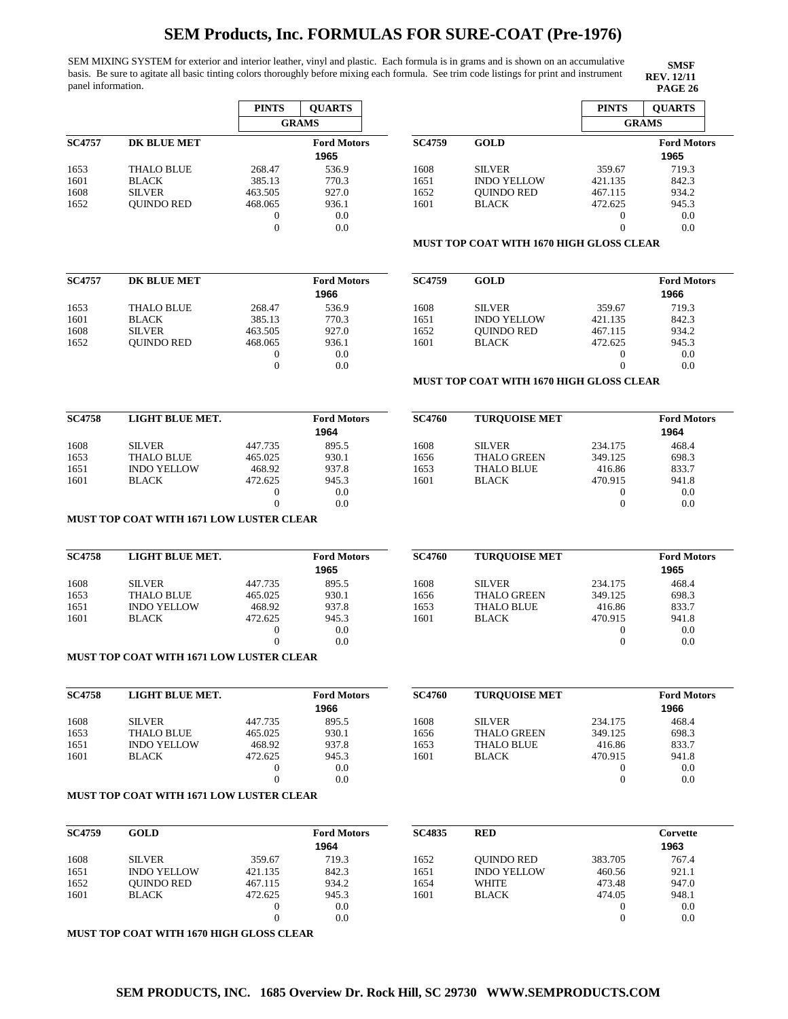SEM MIXING SYSTEM for exterior and interior leather, vinyl and plastic. Each formula is in grams and is shown on an accumulative basis. Be sure to agitate all basic tinting colors thoroughly before mixing each formula. See trim code listings for print and instrument panel information. **PAGE 26 PAGE 26** 

**SMSF REV. 12/11**

|                   | <b>PINTS</b> | <b>OUARTS</b>      |
|-------------------|--------------|--------------------|
|                   |              | <b>GRAMS</b>       |
| DK BLUE MET       |              | <b>Ford Motors</b> |
|                   |              | 1965               |
| <b>THALO BLUE</b> | 268.47       | 536.9              |
| <b>BLACK</b>      | 385.13       | 770.3              |
| <b>SILVER</b>     | 463.505      | 927.0              |
| <b>OUINDO RED</b> | 468.065      | 936.1              |
|                   | 0            | 0.0                |
|                   | 0            | 0.0                |
|                   |              |                    |

|               |                    | <b>PINTS</b> | <b>OUARTS</b>      |  |
|---------------|--------------------|--------------|--------------------|--|
|               |                    | <b>GRAMS</b> |                    |  |
| <b>SC4759</b> | <b>GOLD</b>        |              | <b>Ford Motors</b> |  |
|               |                    |              | 1965               |  |
| 1608          | <b>SILVER</b>      | 359.67       | 719.3              |  |
| 1651          | <b>INDO YELLOW</b> | 421.135      | 842.3              |  |
| 1652          | <b>OUINDO RED</b>  | 467.115      | 934.2              |  |
| 1601          | <b>BLACK</b>       | 472.625      | 945.3              |  |
|               |                    | $_{0}$       | 0.0                |  |
|               |                    | $_{0}$       | 0.0                |  |

**MUST TOP COAT WITH 1670 HIGH GLOSS CLEAR**

| <b>SC4757</b> | DK BLUE MET       |         | <b>Ford Motors</b><br>1966 |
|---------------|-------------------|---------|----------------------------|
| 1653          | <b>THALO BLUE</b> | 268.47  | 536.9                      |
| 1601          | <b>BLACK</b>      | 385.13  | 770.3                      |
| 1608          | <b>SILVER</b>     | 463.505 | 927.0                      |
| 1652          | <b>OUINDO RED</b> | 468.065 | 936.1                      |
|               |                   | 0       | 0.0                        |
|               |                   |         | 0.0                        |

| <b>SC4759</b> | <b>GOLD</b>        |          | <b>Ford Motors</b><br>1966 |
|---------------|--------------------|----------|----------------------------|
| 1608          | <b>SILVER</b>      | 359.67   | 719.3                      |
| 1651          | <b>INDO YELLOW</b> | 421.135  | 842.3                      |
| 1652          | <b>OUINDO RED</b>  | 467.115  | 934.2                      |
| 1601          | <b>BLACK</b>       | 472.625  | 945.3                      |
|               |                    | $_{0}$   | 0.0                        |
|               |                    | $\theta$ | 0.0                        |

### **MUST TOP COAT WITH 1670 HIGH GLOSS CLEAR**

| <b>SC4758</b> | LIGHT BLUE MET.    |         | <b>Ford Motors</b><br>1964 | <b>SC4760</b> | <b>TUROUOISE MET</b> |         | <b>Ford Motors</b><br>1964 |
|---------------|--------------------|---------|----------------------------|---------------|----------------------|---------|----------------------------|
| 1608          | <b>SILVER</b>      | 447.735 | 895.5                      | 1608          | <b>SILVER</b>        | 234.175 | 468.4                      |
| 1653          | <b>THALO BLUE</b>  | 465.025 | 930.1                      | 1656          | <b>THALO GREEN</b>   | 349.125 | 698.3                      |
| 1651          | <b>INDO YELLOW</b> | 468.92  | 937.8                      | 1653          | <b>THALO BLUE</b>    | 416.86  | 833.7                      |
| 1601          | <b>BLACK</b>       | 472.625 | 945.3                      | 1601          | <b>BLACK</b>         | 470.915 | 941.8                      |
|               |                    |         | 0.0                        |               |                      |         | 0.0                        |
|               |                    |         | 0.0                        |               |                      |         | 0.0                        |
|               |                    |         |                            |               |                      |         |                            |

### **MUST TOP COAT WITH 1671 LOW LUSTER CLEAR**

| <b>SC4758</b> | LIGHT BLUE MET.    |         | <b>Ford Motors</b><br>1965 | <b>SC4760</b> | <b>TUROUOISE MET</b> |         | <b>Ford Motors</b><br>1965 |
|---------------|--------------------|---------|----------------------------|---------------|----------------------|---------|----------------------------|
| 1608          | <b>SILVER</b>      | 447.735 | 895.5                      | 1608          | <b>SILVER</b>        | 234.175 | 468.4                      |
| 1653          | <b>THALO BLUE</b>  | 465.025 | 930.1                      | 1656          | <b>THALO GREEN</b>   | 349.125 | 698.3                      |
| 1651          | <b>INDO YELLOW</b> | 468.92  | 937.8                      | 1653          | <b>THALO BLUE</b>    | 416.86  | 833.7                      |
| 1601          | <b>BLACK</b>       | 472.625 | 945.3                      | 1601          | <b>BLACK</b>         | 470.915 | 941.8                      |
|               |                    |         | 0.0                        |               |                      |         | 0.0                        |
|               |                    |         | 0.0                        |               |                      |         | 0.0                        |

## **MUST TOP COAT WITH 1671 LOW LUSTER CLEAR**

| <b>SC4758</b> | LIGHT BLUE MET.    |         | <b>Ford Motors</b> | <b>SC4760</b> | <b>TUROUOISE MET</b> |         | <b>Ford Motors</b> |
|---------------|--------------------|---------|--------------------|---------------|----------------------|---------|--------------------|
|               |                    |         | 1966               |               |                      |         | 1966               |
| 1608          | <b>SILVER</b>      | 447.735 | 895.5              | 1608          | <b>SILVER</b>        | 234.175 | 468.4              |
| 1653          | <b>THALO BLUE</b>  | 465.025 | 930.1              | 1656          | <b>THALO GREEN</b>   | 349.125 | 698.3              |
| 1651          | <b>INDO YELLOW</b> | 468.92  | 937.8              | 1653          | <b>THALO BLUE</b>    | 416.86  | 833.7              |
| 1601          | <b>BLACK</b>       | 472.625 | 945.3              | 1601          | <b>BLACK</b>         | 470.915 | 941.8              |
|               |                    |         | 0.0                |               |                      |         | 0.0                |
|               |                    |         | 0.0                |               |                      |         | 0.0                |
|               |                    |         |                    |               |                      |         |                    |

#### **MUST TOP COAT WITH 1671 LOW LUSTER CLEAR**

| <b>SC4759</b> | <b>GOLD</b>        |         | <b>Ford Motors</b><br>1964 | <b>SC4835</b> | <b>RED</b>         |         | Corvette<br>1963 |
|---------------|--------------------|---------|----------------------------|---------------|--------------------|---------|------------------|
| 1608          | <b>SILVER</b>      | 359.67  | 719.3                      | 1652          | <b>OUINDO RED</b>  | 383.705 | 767.4            |
| 1651          | <b>INDO YELLOW</b> | 421.135 | 842.3                      | 1651          | <b>INDO YELLOW</b> | 460.56  | 921.1            |
| 1652          | <b>OUINDO RED</b>  | 467.115 | 934.2                      | 1654          | WHITE              | 473.48  | 947.0            |
| 1601          | <b>BLACK</b>       | 472.625 | 945.3                      | 1601          | <b>BLACK</b>       | 474.05  | 948.1            |
|               |                    |         | 0.0                        |               |                    |         | 0.0              |
|               |                    |         | 0.0                        |               |                    |         | 0.0              |

**MUST TOP COAT WITH 1670 HIGH GLOSS CLEAR**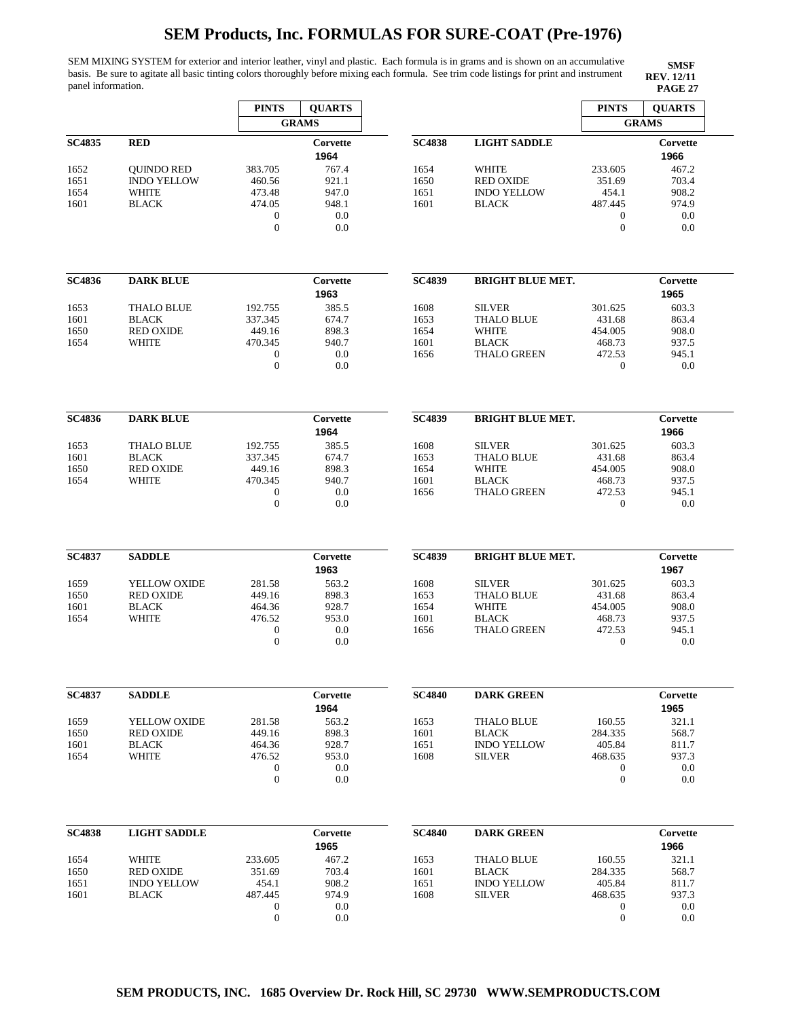SEM MIXING SYSTEM for exterior and interior leather, vinyl and plastic. Each formula is in grams and is shown on an accumulative basis. Be sure to agitate all basic tinting colors thoroughly before mixing each formula. See trim code listings for print and instrument panel information. **PAGE 27 PAGE 27** 

|               |                              | <b>PINTS</b>                     | <b>QUARTS</b>    |               |                                    | <b>PINTS</b>                | <b>QUARTS</b>    |
|---------------|------------------------------|----------------------------------|------------------|---------------|------------------------------------|-----------------------------|------------------|
|               |                              |                                  | <b>GRAMS</b>     |               |                                    |                             | <b>GRAMS</b>     |
| <b>SC4835</b> | <b>RED</b>                   |                                  | Corvette<br>1964 | <b>SC4838</b> | <b>LIGHT SADDLE</b>                |                             | Corvette<br>1966 |
| 1652          | <b>QUINDO RED</b>            | 383.705                          | 767.4            | 1654          | <b>WHITE</b>                       | 233.605                     | 467.2            |
| 1651          | <b>INDO YELLOW</b>           | 460.56                           | 921.1            | 1650          | <b>RED OXIDE</b>                   | 351.69                      | 703.4            |
| 1654          | WHITE                        | 473.48                           | 947.0            | 1651          | <b>INDO YELLOW</b>                 | 454.1                       | 908.2            |
| 1601          | <b>BLACK</b>                 | 474.05<br>$\boldsymbol{0}$       | 948.1<br>0.0     | 1601          | <b>BLACK</b>                       | 487.445<br>$\boldsymbol{0}$ | 974.9<br>0.0     |
|               |                              | $\overline{0}$                   | 0.0              |               |                                    | $\theta$                    | 0.0              |
|               |                              |                                  |                  |               |                                    |                             |                  |
| <b>SC4836</b> | <b>DARK BLUE</b>             |                                  | Corvette<br>1963 | <b>SC4839</b> | <b>BRIGHT BLUE MET.</b>            |                             | Corvette<br>1965 |
| 1653          | <b>THALO BLUE</b>            | 192.755                          | 385.5            | 1608          | <b>SILVER</b>                      | 301.625                     | 603.3            |
| 1601          | <b>BLACK</b>                 | 337.345                          | 674.7            | 1653          | <b>THALO BLUE</b>                  | 431.68                      | 863.4            |
| 1650          | <b>RED OXIDE</b>             | 449.16                           | 898.3            | 1654          | <b>WHITE</b>                       | 454.005                     | 908.0            |
| 1654          | <b>WHITE</b>                 | 470.345                          | 940.7            | 1601          | <b>BLACK</b><br><b>THALO GREEN</b> | 468.73<br>472.53            | 937.5<br>945.1   |
|               |                              | $\boldsymbol{0}$<br>$\mathbf{0}$ | 0.0<br>0.0       | 1656          |                                    | $\boldsymbol{0}$            | 0.0              |
|               |                              |                                  |                  |               |                                    |                             |                  |
| <b>SC4836</b> | <b>DARK BLUE</b>             |                                  | Corvette<br>1964 | <b>SC4839</b> | <b>BRIGHT BLUE MET.</b>            |                             | Corvette<br>1966 |
| 1653          | <b>THALO BLUE</b>            | 192.755                          | 385.5            | 1608          | <b>SILVER</b>                      | 301.625                     | 603.3            |
| 1601          | <b>BLACK</b>                 | 337.345                          | 674.7            | 1653          | <b>THALO BLUE</b>                  | 431.68                      | 863.4            |
| 1650          | <b>RED OXIDE</b>             | 449.16                           | 898.3            | 1654          | <b>WHITE</b>                       | 454.005                     | 908.0            |
| 1654          | WHITE                        | 470.345                          | 940.7            | 1601          | <b>BLACK</b>                       | 468.73                      | 937.5            |
|               |                              | $\boldsymbol{0}$                 | 0.0              | 1656          | <b>THALO GREEN</b>                 | 472.53                      | 945.1            |
|               |                              | $\mathbf{0}$                     | 0.0              |               |                                    | $\mathbf{0}$                | 0.0              |
|               |                              |                                  |                  |               |                                    |                             |                  |
| <b>SC4837</b> | <b>SADDLE</b>                |                                  | Corvette<br>1963 | <b>SC4839</b> | <b>BRIGHT BLUE MET.</b>            |                             | Corvette<br>1967 |
| 1659          | YELLOW OXIDE                 | 281.58                           | 563.2            | 1608          | <b>SILVER</b>                      | 301.625                     | 603.3            |
| 1650          | <b>RED OXIDE</b>             | 449.16                           | 898.3            | 1653<br>1654  | <b>THALO BLUE</b><br><b>WHITE</b>  | 431.68                      | 863.4<br>908.0   |
| 1601<br>1654  | <b>BLACK</b><br><b>WHITE</b> | 464.36<br>476.52                 | 928.7<br>953.0   | 1601          | <b>BLACK</b>                       | 454.005<br>468.73           | 937.5            |
|               |                              | $\boldsymbol{0}$                 | 0.0              | 1656          | <b>THALO GREEN</b>                 | 472.53                      | 945.1            |
|               |                              | $\mathbf{0}$                     | 0.0              |               |                                    | $\boldsymbol{0}$            | 0.0              |
|               |                              |                                  |                  |               |                                    |                             |                  |
| <b>SC4837</b> | <b>SADDLE</b>                |                                  | Corvette         | <b>SC4840</b> | <b>DARK GREEN</b>                  |                             | Corvette         |
|               |                              |                                  | 1964             |               |                                    |                             | 1965             |
| 1659          | YELLOW OXIDE                 | 281.58                           | 563.2            | 1653          | <b>THALO BLUE</b>                  | 160.55                      | 321.1            |
| 1650          | <b>RED OXIDE</b>             | 449.16                           | 898.3            | 1601          | <b>BLACK</b>                       | 284.335                     | 568.7            |
| 1601          | <b>BLACK</b>                 | 464.36                           | 928.7            | 1651          | <b>INDO YELLOW</b>                 | 405.84                      | 811.7            |
| 1654          | <b>WHITE</b>                 | 476.52<br>$\boldsymbol{0}$       | 953.0<br>0.0     | 1608          | <b>SILVER</b>                      | 468.635<br>$\boldsymbol{0}$ | 937.3<br>0.0     |
|               |                              | $\mathbf{0}$                     | 0.0              |               |                                    | $\boldsymbol{0}$            | 0.0              |
|               |                              |                                  |                  |               |                                    |                             |                  |
| <b>SC4838</b> | <b>LIGHT SADDLE</b>          |                                  | Corvette<br>1965 | <b>SC4840</b> | <b>DARK GREEN</b>                  |                             | Corvette<br>1966 |
| 1654          | WHITE                        | 233.605                          | 467.2            | 1653          | <b>THALO BLUE</b>                  | 160.55                      | 321.1            |
| 1650          | <b>RED OXIDE</b>             | 351.69                           | 703.4            | 1601          | <b>BLACK</b>                       | 284.335                     | 568.7            |
| 1651          | <b>INDO YELLOW</b>           | 454.1                            | 908.2            | 1651          | <b>INDO YELLOW</b>                 | 405.84                      | 811.7            |
| 1601          | <b>BLACK</b>                 | 487.445                          | 974.9            | 1608          | <b>SILVER</b>                      | 468.635                     | 937.3            |
|               |                              | $\mathbf{0}$                     | 0.0              |               |                                    | $\boldsymbol{0}$            | 0.0              |
|               |                              | $\boldsymbol{0}$                 | 0.0              |               |                                    | $\boldsymbol{0}$            | 0.0              |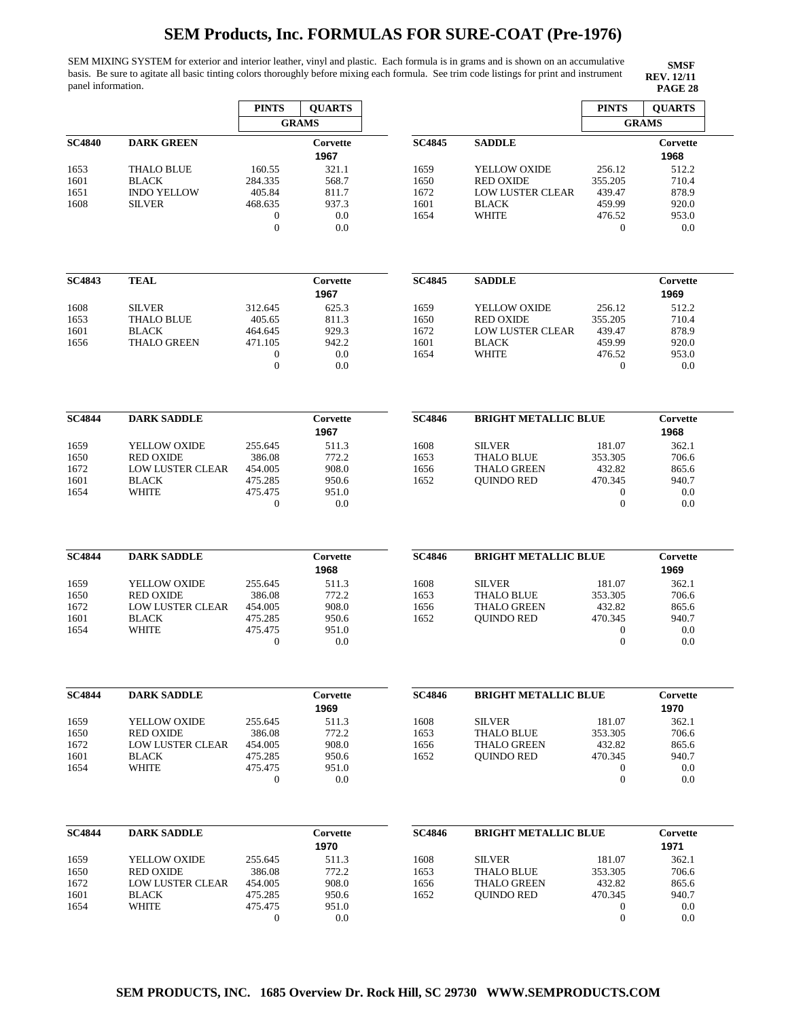SEM MIXING SYSTEM for exterior and interior leather, vinyl and plastic. Each formula is in grams and is shown on an accumulative basis. Be sure to agitate all basic tinting colors thoroughly before mixing each formula. See trim code listings for print and instrument panel information. **PAGE 28**

|               |                         | <b>PINTS</b>     | <b>QUARTS</b>    |               |                             | <b>PINTS</b>                         | <b>QUARTS</b>    |
|---------------|-------------------------|------------------|------------------|---------------|-----------------------------|--------------------------------------|------------------|
|               |                         |                  | <b>GRAMS</b>     |               |                             |                                      | <b>GRAMS</b>     |
| <b>SC4840</b> | <b>DARK GREEN</b>       |                  | Corvette<br>1967 | <b>SC4845</b> | <b>SADDLE</b>               |                                      | Corvette<br>1968 |
| 1653          | <b>THALO BLUE</b>       | 160.55           | 321.1            | 1659          | YELLOW OXIDE                | 256.12                               | 512.2            |
| 1601          | <b>BLACK</b>            | 284.335          | 568.7            | 1650          | <b>RED OXIDE</b>            | 355.205                              | 710.4            |
| 1651          | <b>INDO YELLOW</b>      | 405.84           | 811.7            | 1672          | <b>LOW LUSTER CLEAR</b>     | 439.47                               | 878.9            |
| 1608          | <b>SILVER</b>           | 468.635          | 937.3            | 1601          | <b>BLACK</b>                | 459.99                               | 920.0            |
|               |                         | $\mathbf{0}$     | 0.0              | 1654          | <b>WHITE</b>                | 476.52                               | 953.0            |
|               |                         | $\mathbf{0}$     | 0.0              |               |                             | $\overline{0}$                       | 0.0              |
|               |                         |                  |                  |               |                             |                                      |                  |
| <b>SC4843</b> | <b>TEAL</b>             |                  | Corvette         | <b>SC4845</b> | <b>SADDLE</b>               |                                      | Corvette         |
|               |                         |                  | 1967             |               |                             |                                      | 1969             |
| 1608          | <b>SILVER</b>           | 312.645          | 625.3            | 1659          | YELLOW OXIDE                | 256.12                               | 512.2            |
| 1653          | <b>THALO BLUE</b>       | 405.65           | 811.3            | 1650          | <b>RED OXIDE</b>            | 355.205                              | 710.4            |
| 1601          | <b>BLACK</b>            | 464.645          | 929.3            | 1672          | <b>LOW LUSTER CLEAR</b>     | 439.47                               | 878.9            |
| 1656          | <b>THALO GREEN</b>      | 471.105          | 942.2            | 1601          | <b>BLACK</b>                | 459.99                               | 920.0            |
|               |                         | $\mathbf{0}$     | 0.0              | 1654          | <b>WHITE</b>                | 476.52                               | 953.0            |
|               |                         | $\mathbf{0}$     | 0.0              |               |                             | $\overline{0}$                       | 0.0              |
| <b>SC4844</b> | <b>DARK SADDLE</b>      |                  | Corvette         | <b>SC4846</b> | <b>BRIGHT METALLIC BLUE</b> |                                      | Corvette         |
|               |                         |                  | 1967             |               |                             |                                      | 1968             |
| 1659          | YELLOW OXIDE            | 255.645          | 511.3            | 1608          | <b>SILVER</b>               | 181.07                               | 362.1            |
| 1650          | <b>RED OXIDE</b>        | 386.08           | 772.2            | 1653          | <b>THALO BLUE</b>           | 353.305                              | 706.6            |
|               | <b>LOW LUSTER CLEAR</b> | 454.005          |                  |               |                             |                                      |                  |
| 1672          |                         |                  | 908.0            | 1656          | <b>THALO GREEN</b>          | 432.82                               | 865.6            |
| 1601          | <b>BLACK</b>            | 475.285          | 950.6            | 1652          | <b>QUINDO RED</b>           | 470.345                              | 940.7            |
| 1654          | <b>WHITE</b>            | 475.475          | 951.0            |               |                             | $\mathbf{0}$                         | 0.0              |
|               |                         | $\theta$         | 0.0              |               |                             | $\theta$                             | 0.0              |
| <b>SC4844</b> | <b>DARK SADDLE</b>      |                  | Corvette         | <b>SC4846</b> | <b>BRIGHT METALLIC BLUE</b> |                                      | Corvette         |
|               |                         |                  | 1968             |               |                             |                                      | 1969             |
| 1659          | YELLOW OXIDE            | 255.645          | 511.3            | 1608          | <b>SILVER</b>               | 181.07                               | 362.1            |
| 1650          | <b>RED OXIDE</b>        | 386.08           | 772.2            | 1653          | <b>THALO BLUE</b>           | 353.305                              | 706.6            |
| 1672          | <b>LOW LUSTER CLEAR</b> | 454.005          | 908.0            | 1656          | <b>THALO GREEN</b>          | 432.82                               | 865.6            |
| 1601          | <b>BLACK</b>            | 475.285          | 950.6            | 1652          | <b>QUINDO RED</b>           | 470.345                              | 940.7            |
| 1654          | <b>WHITE</b>            | 475.475          | 951.0            |               |                             | $\boldsymbol{0}$                     | 0.0              |
|               |                         | $\theta$         | 0.0              |               |                             | $\mathbf{0}$                         | 0.0              |
|               |                         |                  |                  |               |                             |                                      |                  |
| <b>SC4844</b> | <b>DARK SADDLE</b>      |                  | Corvette         | <b>SC4846</b> | <b>BRIGHT METALLIC BLUE</b> |                                      | Corvette         |
|               |                         |                  | 1969             |               |                             |                                      | 1970             |
| 1659          | YELLOW OXIDE            | 255.645          | 511.3            | 1608          | <b>SILVER</b>               | 181.07                               | 362.1            |
| 1650          | <b>RED OXIDE</b>        | 386.08           | 772.2            | 1653          | <b>THALO BLUE</b>           | 353.305                              | 706.6            |
| 1672          | <b>LOW LUSTER CLEAR</b> | 454.005          | 908.0            | 1656          | <b>THALO GREEN</b>          | 432.82                               | 865.6            |
| 1601          | <b>BLACK</b>            | 475.285          | 950.6            | 1652          | <b>QUINDO RED</b>           | 470.345                              | 940.7            |
|               |                         | 475.475          |                  |               |                             |                                      |                  |
| 1654          | <b>WHITE</b>            | $\boldsymbol{0}$ | 951.0<br>0.0     |               |                             | $\boldsymbol{0}$<br>$\boldsymbol{0}$ | 0.0<br>0.0       |
|               |                         |                  |                  |               |                             |                                      |                  |
| <b>SC4844</b> | <b>DARK SADDLE</b>      |                  | Corvette         | <b>SC4846</b> | <b>BRIGHT METALLIC BLUE</b> |                                      | Corvette         |
|               |                         |                  | 1970             |               |                             |                                      | 1971             |
| 1659          | YELLOW OXIDE            | 255.645          | 511.3            | 1608          | <b>SILVER</b>               | 181.07                               | 362.1            |
| 1650          | <b>RED OXIDE</b>        | 386.08           | 772.2            | 1653          | <b>THALO BLUE</b>           | 353.305                              | 706.6            |
| 1672          | LOW LUSTER CLEAR        | 454.005          | 908.0            | 1656          | <b>THALO GREEN</b>          | 432.82                               | 865.6            |
| 1601          | <b>BLACK</b>            | 475.285          | 950.6            | 1652          | <b>QUINDO RED</b>           | 470.345                              | 940.7            |
|               | <b>WHITE</b>            |                  |                  |               |                             |                                      | 0.0              |
| 1654          |                         | 475.475          | 951.0            |               |                             | $\boldsymbol{0}$                     |                  |
|               |                         | $\boldsymbol{0}$ | 0.0              |               |                             | $\mathbf{0}$                         | 0.0              |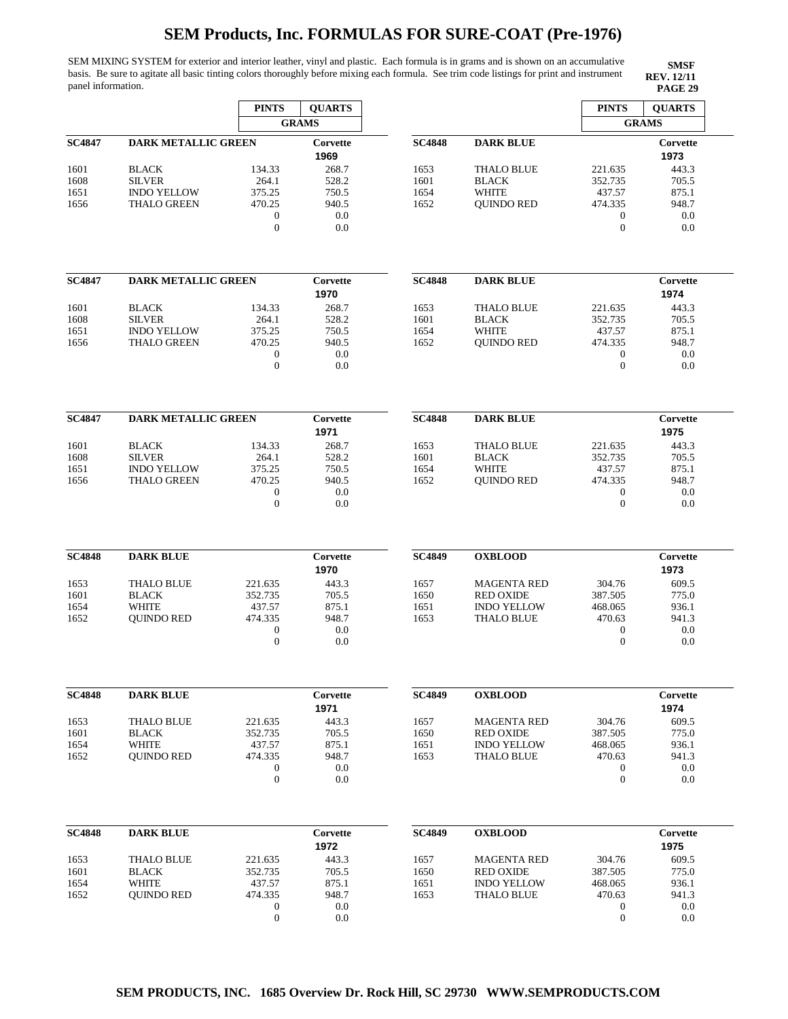SEM MIXING SYSTEM for exterior and interior leather, vinyl and plastic. Each formula is in grams and is shown on an accumulative basis. Be sure to agitate all basic tinting colors thoroughly before mixing each formula. See trim code listings for print and instrument panel information. **PAGE 29**

|               |                                          | <b>PINTS</b>                | <b>QUARTS</b>    |               |                                         | <b>PINTS</b>       | <b>QUARTS</b>    |
|---------------|------------------------------------------|-----------------------------|------------------|---------------|-----------------------------------------|--------------------|------------------|
|               |                                          |                             | <b>GRAMS</b>     |               |                                         |                    | <b>GRAMS</b>     |
| <b>SC4847</b> | <b>DARK METALLIC GREEN</b>               |                             | Corvette<br>1969 | <b>SC4848</b> | <b>DARK BLUE</b>                        |                    | Corvette<br>1973 |
| 1601          | <b>BLACK</b>                             | 134.33                      | 268.7            | 1653          | <b>THALO BLUE</b>                       | 221.635            | 443.3            |
| 1608<br>1651  | <b>SILVER</b><br><b>INDO YELLOW</b>      | 264.1<br>375.25             | 528.2<br>750.5   | 1601<br>1654  | <b>BLACK</b><br><b>WHITE</b>            | 352.735<br>437.57  | 705.5<br>875.1   |
| 1656          | <b>THALO GREEN</b>                       | 470.25                      | 940.5            | 1652          | <b>QUINDO RED</b>                       | 474.335            | 948.7            |
|               |                                          | $\mathbf{0}$                | 0.0              |               |                                         | $\boldsymbol{0}$   | 0.0              |
|               |                                          | $\mathbf{0}$                | 0.0              |               |                                         | $\mathbf{0}$       | 0.0              |
| <b>SC4847</b> | <b>DARK METALLIC GREEN</b>               |                             | Corvette         | <b>SC4848</b> | <b>DARK BLUE</b>                        |                    | Corvette         |
|               |                                          |                             | 1970             |               |                                         |                    | 1974             |
| 1601          | <b>BLACK</b>                             | 134.33                      | 268.7            | 1653          | <b>THALO BLUE</b>                       | 221.635            | 443.3            |
| 1608          | <b>SILVER</b>                            | 264.1                       | 528.2            | 1601          | <b>BLACK</b>                            | 352.735            | 705.5            |
| 1651<br>1656  | <b>INDO YELLOW</b><br><b>THALO GREEN</b> | 375.25<br>470.25            | 750.5<br>940.5   | 1654<br>1652  | <b>WHITE</b><br><b>OUINDO RED</b>       | 437.57<br>474.335  | 875.1<br>948.7   |
|               |                                          | $\boldsymbol{0}$            | 0.0              |               |                                         | $\boldsymbol{0}$   | 0.0              |
|               |                                          | $\mathbf{0}$                | 0.0              |               |                                         | $\boldsymbol{0}$   | 0.0              |
| <b>SC4847</b> | <b>DARK METALLIC GREEN</b>               |                             | Corvette         | <b>SC4848</b> | <b>DARK BLUE</b>                        |                    | Corvette         |
|               |                                          |                             | 1971             |               |                                         |                    | 1975             |
| 1601          | <b>BLACK</b>                             | 134.33                      | 268.7            | 1653          | <b>THALO BLUE</b>                       | 221.635            | 443.3            |
| 1608          | <b>SILVER</b>                            | 264.1                       | 528.2            | 1601          | <b>BLACK</b>                            | 352.735            | 705.5            |
| 1651<br>1656  | <b>INDO YELLOW</b><br><b>THALO GREEN</b> | 375.25<br>470.25            | 750.5<br>940.5   | 1654<br>1652  | <b>WHITE</b><br><b>OUINDO RED</b>       | 437.57<br>474.335  | 875.1<br>948.7   |
|               |                                          | $\boldsymbol{0}$            | 0.0              |               |                                         | $\boldsymbol{0}$   | 0.0              |
|               |                                          | $\mathbf{0}$                | 0.0              |               |                                         | $\boldsymbol{0}$   | 0.0              |
| <b>SC4848</b> | <b>DARK BLUE</b>                         |                             | Corvette         | <b>SC4849</b> | <b>OXBLOOD</b>                          |                    | Corvette         |
|               |                                          |                             | 1970             |               |                                         |                    | 1973             |
| 1653          | <b>THALO BLUE</b>                        | 221.635                     | 443.3            | 1657          | <b>MAGENTA RED</b>                      | 304.76             | 609.5            |
| 1601          | <b>BLACK</b>                             | 352.735                     | 705.5            | 1650          | <b>RED OXIDE</b><br><b>INDO YELLOW</b>  | 387.505<br>468.065 | 775.0            |
| 1654<br>1652  | WHITE<br><b>OUINDO RED</b>               | 437.57<br>474.335           | 875.1<br>948.7   | 1651<br>1653  | <b>THALO BLUE</b>                       | 470.63             | 936.1<br>941.3   |
|               |                                          | $\boldsymbol{0}$            | 0.0              |               |                                         | $\bf{0}$           | 0.0              |
|               |                                          | $\mathbf{0}$                | 0.0              |               |                                         | $\mathbf{0}$       | 0.0              |
| <b>SC4848</b> | <b>DARK BLUE</b>                         |                             | Corvette         | <b>SC4849</b> | <b>OXBLOOD</b>                          |                    | Corvette         |
|               |                                          |                             | 1971             |               |                                         |                    | 1974             |
| 1653          | <b>THALO BLUE</b>                        | 221.635                     | 443.3            | 1657          | <b>MAGENTA RED</b>                      | 304.76             | 609.5            |
| 1601          | <b>BLACK</b>                             | 352.735                     | 705.5            | 1650          | <b>RED OXIDE</b>                        | 387.505            | 775.0            |
| 1654          | <b>WHITE</b>                             | 437.57                      | 875.1            | 1651          | <b>INDO YELLOW</b>                      | 468.065<br>470.63  | 936.1            |
| 1652          | <b>QUINDO RED</b>                        | 474.335<br>$\boldsymbol{0}$ | 948.7<br>0.0     | 1653          | <b>THALO BLUE</b>                       | $\boldsymbol{0}$   | 941.3<br>0.0     |
|               |                                          | $\boldsymbol{0}$            | 0.0              |               |                                         | $\boldsymbol{0}$   | 0.0              |
| <b>SC4848</b> | <b>DARK BLUE</b>                         |                             | Corvette         | <b>SC4849</b> | <b>OXBLOOD</b>                          |                    | Corvette         |
|               |                                          |                             | 1972             |               |                                         |                    | 1975             |
| 1653          | <b>THALO BLUE</b>                        | 221.635                     | 443.3            | 1657          | <b>MAGENTA RED</b>                      | 304.76             | 609.5            |
| 1601          | <b>BLACK</b>                             | 352.735                     | 705.5            | 1650          | <b>RED OXIDE</b>                        | 387.505            | 775.0            |
| 1654<br>1652  | <b>WHITE</b><br><b>QUINDO RED</b>        | 437.57<br>474.335           | 875.1<br>948.7   | 1651<br>1653  | <b>INDO YELLOW</b><br><b>THALO BLUE</b> | 468.065<br>470.63  | 936.1<br>941.3   |
|               |                                          | 0                           | 0.0              |               |                                         | $\boldsymbol{0}$   | 0.0              |
|               |                                          | $\boldsymbol{0}$            | 0.0              |               |                                         | $\boldsymbol{0}$   | 0.0              |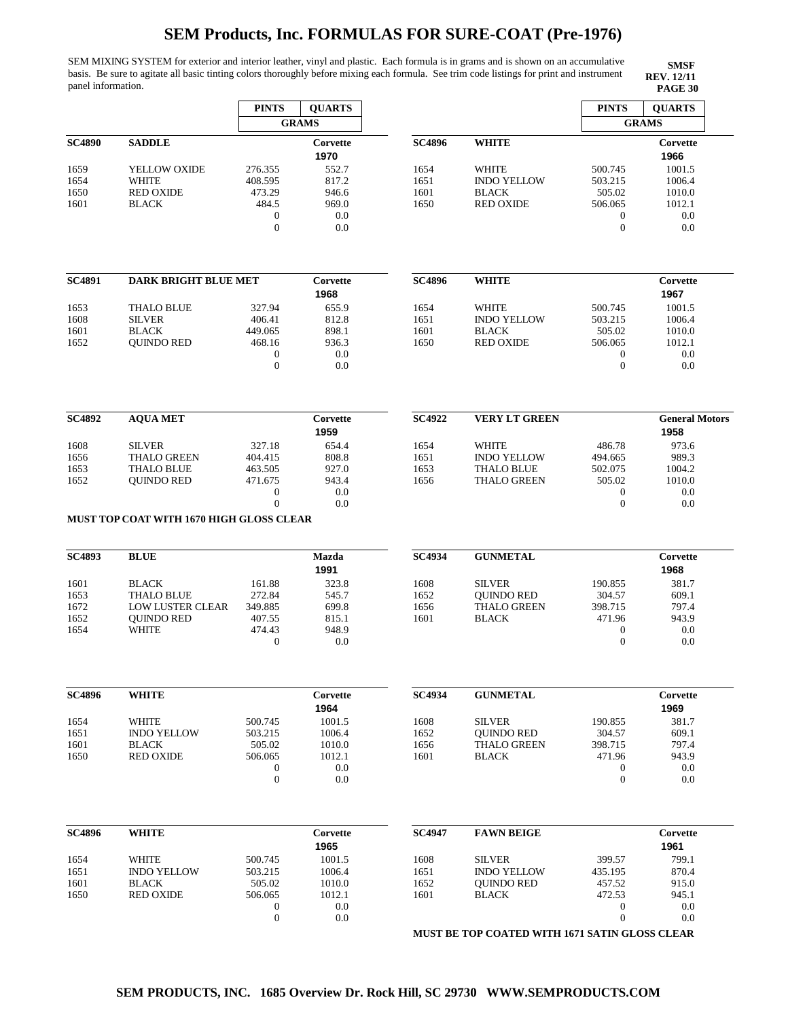SEM MIXING SYSTEM for exterior and interior leather, vinyl and plastic. Each formula is in grams and is shown on an accumulative basis. Be sure to agitate all basic tinting colors thoroughly before mixing each formula. See trim code listings for print and instrument panel information. **PAGE 30**

**SMSF REV. 12/11<br>PAGE 30** 

|               |                                          | <b>PINTS</b>                     | <b>QUARTS</b> |               |                      | <b>PINTS</b>          | <b>QUARTS</b>         |
|---------------|------------------------------------------|----------------------------------|---------------|---------------|----------------------|-----------------------|-----------------------|
|               |                                          |                                  | <b>GRAMS</b>  |               |                      |                       | <b>GRAMS</b>          |
| <b>SC4890</b> | <b>SADDLE</b>                            |                                  | Corvette      | <b>SC4896</b> | <b>WHITE</b>         |                       | Corvette              |
|               |                                          |                                  | 1970          |               |                      |                       | 1966                  |
| 1659          | YELLOW OXIDE                             | 276.355                          | 552.7         | 1654          | <b>WHITE</b>         | 500.745               | 1001.5                |
| 1654          | <b>WHITE</b>                             | 408.595                          | 817.2         | 1651          | <b>INDO YELLOW</b>   | 503.215               | 1006.4                |
| 1650          | <b>RED OXIDE</b>                         | 473.29                           | 946.6         | 1601          | <b>BLACK</b>         | 505.02                | 1010.0                |
| 1601          | <b>BLACK</b>                             | 484.5                            | 969.0         | 1650          | <b>RED OXIDE</b>     | 506.065               | 1012.1                |
|               |                                          | $\mathbf{0}$                     | 0.0           |               |                      | $\mathbf{0}$          | 0.0                   |
|               |                                          | $\mathbf{0}$                     | 0.0           |               |                      | $\boldsymbol{0}$      | 0.0                   |
|               |                                          |                                  |               |               |                      |                       |                       |
| <b>SC4891</b> | <b>DARK BRIGHT BLUE MET</b>              |                                  | Corvette      | <b>SC4896</b> | <b>WHITE</b>         |                       | Corvette              |
|               |                                          |                                  | 1968          |               |                      |                       | 1967                  |
| 1653          | <b>THALO BLUE</b>                        | 327.94                           | 655.9         | 1654          | <b>WHITE</b>         | 500.745               | 1001.5                |
| 1608          | <b>SILVER</b>                            | 406.41                           | 812.8         | 1651          | <b>INDO YELLOW</b>   | 503.215               | 1006.4                |
| 1601          | <b>BLACK</b>                             | 449.065                          | 898.1         | 1601          | <b>BLACK</b>         | 505.02                | 1010.0                |
|               |                                          | 468.16                           | 936.3         | 1650          | <b>RED OXIDE</b>     | 506.065               | 1012.1                |
| 1652          | <b>QUINDO RED</b>                        | $\mathbf{0}$                     | 0.0           |               |                      |                       | 0.0                   |
|               |                                          | $\mathbf{0}$                     | 0.0           |               |                      | 0<br>$\boldsymbol{0}$ | 0.0                   |
|               |                                          |                                  |               |               |                      |                       |                       |
| <b>SC4892</b> | <b>AQUA MET</b>                          |                                  | Corvette      | <b>SC4922</b> | <b>VERY LT GREEN</b> |                       | <b>General Motors</b> |
|               |                                          |                                  | 1959          |               |                      |                       | 1958                  |
| 1608          | <b>SILVER</b>                            | 327.18                           | 654.4         | 1654          | <b>WHITE</b>         | 486.78                | 973.6                 |
| 1656          | <b>THALO GREEN</b>                       | 404.415                          | 808.8         | 1651          | <b>INDO YELLOW</b>   | 494.665               | 989.3                 |
| 1653          | <b>THALO BLUE</b>                        | 463.505                          | 927.0         | 1653          | <b>THALO BLUE</b>    | 502.075               | 1004.2                |
| 1652          | <b>QUINDO RED</b>                        | 471.675                          | 943.4         | 1656          | <b>THALO GREEN</b>   | 505.02                | 1010.0                |
|               |                                          | $\mathbf{0}$                     | 0.0           |               |                      | 0                     | 0.0                   |
|               |                                          | $\overline{0}$                   | 0.0           |               |                      | $\boldsymbol{0}$      | 0.0                   |
|               | MUST TOP COAT WITH 1670 HIGH GLOSS CLEAR |                                  |               |               |                      |                       |                       |
| <b>SC4893</b> | <b>BLUE</b>                              |                                  | Mazda         | SC4934        | <b>GUNMETAL</b>      |                       | Corvette              |
|               |                                          |                                  | 1991          |               |                      |                       | 1968                  |
| 1601          | <b>BLACK</b>                             | 161.88                           | 323.8         | 1608          | <b>SILVER</b>        | 190.855               | 381.7                 |
| 1653          | <b>THALO BLUE</b>                        | 272.84                           | 545.7         | 1652          | <b>OUINDO RED</b>    | 304.57                | 609.1                 |
| 1672          | <b>LOW LUSTER CLEAR</b>                  | 349.885                          | 699.8         | 1656          | THALO GREEN          | 398.715               | 797.4                 |
| 1652          | <b>QUINDO RED</b>                        | 407.55                           | 815.1         | 1601          | <b>BLACK</b>         | 471.96                | 943.9                 |
| 1654          | WHITE                                    | 474.43                           | 948.9         |               |                      | $\boldsymbol{0}$      | 0.0                   |
|               |                                          | $\mathbf{0}$                     | 0.0           |               |                      | $\mathbf{0}$          | 0.0                   |
| <b>SC4896</b> | <b>WHITE</b>                             |                                  | Corvette      | <b>SC4934</b> | <b>GUNMETAL</b>      |                       | Corvette              |
|               |                                          |                                  | 1964          |               |                      |                       | 1969                  |
| 1654          | WHITE                                    | 500.745                          | 1001.5        | 1608          | <b>SILVER</b>        | 190.855               | 381.7                 |
|               | <b>INDO YELLOW</b>                       |                                  | 1006.4        |               |                      | 304.57                |                       |
| 1651          | <b>BLACK</b>                             | 503.215<br>505.02                |               | 1652<br>1656  | <b>QUINDO RED</b>    |                       | 609.1<br>797.4        |
| 1601          |                                          | 506.065                          | 1010.0        | 1601          | <b>THALO GREEN</b>   | 398.715               |                       |
| 1650          | <b>RED OXIDE</b>                         |                                  | 1012.1<br>0.0 |               | <b>BLACK</b>         | 471.96                | 943.9                 |
|               |                                          | $\boldsymbol{0}$<br>$\mathbf{0}$ | 0.0           |               |                      | 0<br>$\boldsymbol{0}$ | 0.0<br>0.0            |
|               |                                          |                                  |               |               |                      |                       |                       |
| <b>SC4896</b> | <b>WHITE</b>                             |                                  | Corvette      | <b>SC4947</b> | <b>FAWN BEIGE</b>    |                       | Corvette              |
|               |                                          |                                  | 1965          |               |                      |                       | 1961                  |
| 1654          | WHITE                                    | 500.745                          | 1001.5        | 1608          | <b>SILVER</b>        | 399.57                | 799.1                 |
| 1651          | <b>INDO YELLOW</b>                       | 503.215                          | 1006.4        | 1651          | <b>INDO YELLOW</b>   | 435.195               | 870.4                 |
| 1601          | <b>BLACK</b>                             | 505.02                           | 1010.0        | 1652          | <b>QUINDO RED</b>    | 457.52                | 915.0                 |
| 1650          | <b>RED OXIDE</b>                         | 506.065                          | 1012.1        | 1601          | <b>BLACK</b>         | 472.53                | 945.1                 |
|               |                                          | $\boldsymbol{0}$                 | 0.0           |               |                      | $\boldsymbol{0}$      | 0.0                   |
|               |                                          | $\mathbf{0}$                     | 0.0           |               |                      | $\boldsymbol{0}$      | 0.0                   |
|               |                                          |                                  |               |               |                      |                       |                       |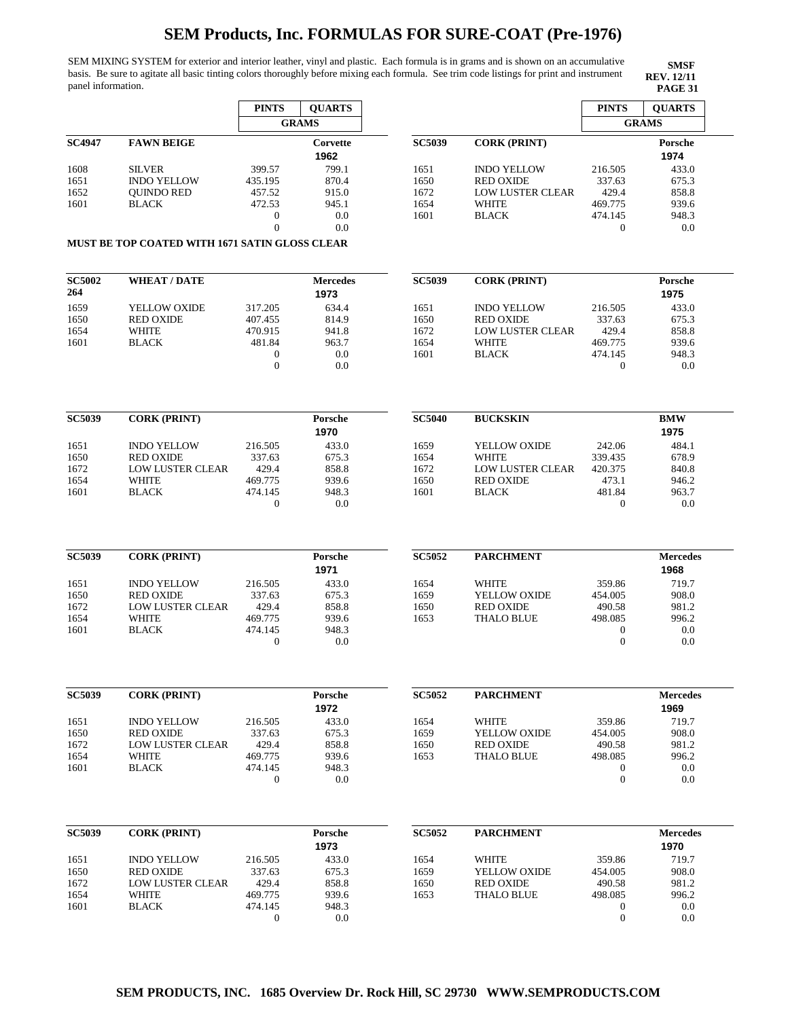SEM MIXING SYSTEM for exterior and interior leather, vinyl and plastic. Each formula is in grams and is shown on an accumulative basis. Be sure to agitate all basic tinting colors thoroughly before mixing each formula. See trim code listings for print and instrument panel information. **PAGE 31** 

|               |                                                       | <b>PINTS</b>                     | <b>QUARTS</b>   |               |                         | <b>PINTS</b>                | <b>QUARTS</b>           |
|---------------|-------------------------------------------------------|----------------------------------|-----------------|---------------|-------------------------|-----------------------------|-------------------------|
|               |                                                       |                                  | <b>GRAMS</b>    |               |                         |                             | <b>GRAMS</b>            |
| <b>SC4947</b> | <b>FAWN BEIGE</b>                                     |                                  | Corvette        | <b>SC5039</b> | <b>CORK (PRINT)</b>     |                             | Porsche                 |
|               |                                                       |                                  | 1962            |               |                         |                             | 1974                    |
| 1608          | <b>SILVER</b>                                         | 399.57                           | 799.1           | 1651          | <b>INDO YELLOW</b>      | 216.505                     | 433.0                   |
| 1651          | <b>INDO YELLOW</b>                                    | 435.195                          | 870.4           | 1650          | <b>RED OXIDE</b>        | 337.63                      | 675.3                   |
| 1652          | <b>QUINDO RED</b>                                     | 457.52                           | 915.0           | 1672          | <b>LOW LUSTER CLEAR</b> | 429.4                       | 858.8                   |
| 1601          | <b>BLACK</b>                                          | 472.53                           | 945.1           | 1654          | <b>WHITE</b>            | 469.775                     | 939.6                   |
|               |                                                       | $\boldsymbol{0}$                 | 0.0             | 1601          | <b>BLACK</b>            | 474.145                     | 948.3                   |
|               |                                                       | $\overline{0}$                   | 0.0             |               |                         | 0                           | 0.0                     |
|               | <b>MUST BE TOP COATED WITH 1671 SATIN GLOSS CLEAR</b> |                                  |                 |               |                         |                             |                         |
| <b>SC5002</b> | <b>WHEAT / DATE</b>                                   |                                  | <b>Mercedes</b> | <b>SC5039</b> | <b>CORK (PRINT)</b>     |                             | Porsche                 |
| 264           |                                                       |                                  | 1973            |               |                         |                             | 1975                    |
| 1659          | YELLOW OXIDE                                          | 317.205                          | 634.4           | 1651          | <b>INDO YELLOW</b>      | 216.505                     | 433.0                   |
| 1650          | <b>RED OXIDE</b>                                      | 407.455                          | 814.9           | 1650          | <b>RED OXIDE</b>        | 337.63                      | 675.3                   |
| 1654          | WHITE                                                 | 470.915                          | 941.8           | 1672          | <b>LOW LUSTER CLEAR</b> | 429.4                       | 858.8                   |
| 1601          | <b>BLACK</b>                                          | 481.84                           | 963.7           | 1654          | <b>WHITE</b>            | 469.775                     | 939.6                   |
|               |                                                       | $\boldsymbol{0}$<br>$\mathbf{0}$ | 0.0<br>0.0      | 1601          | <b>BLACK</b>            | 474.145<br>$\boldsymbol{0}$ | 948.3<br>0.0            |
|               |                                                       |                                  |                 |               |                         |                             |                         |
| <b>SC5039</b> | <b>CORK (PRINT)</b>                                   |                                  | Porsche         | <b>SC5040</b> | <b>BUCKSKIN</b>         |                             | <b>BMW</b>              |
|               |                                                       |                                  | 1970            |               |                         |                             | 1975                    |
| 1651          | <b>INDO YELLOW</b>                                    | 216.505                          | 433.0           | 1659          | YELLOW OXIDE            | 242.06                      | 484.1                   |
| 1650          | <b>RED OXIDE</b>                                      | 337.63                           | 675.3           | 1654          | WHITE                   | 339.435                     | 678.9                   |
| 1672          | <b>LOW LUSTER CLEAR</b>                               | 429.4                            | 858.8           | 1672          | <b>LOW LUSTER CLEAR</b> | 420.375                     | 840.8                   |
| 1654          | WHITE                                                 | 469.775                          | 939.6           | 1650          | <b>RED OXIDE</b>        | 473.1                       | 946.2                   |
| 1601          | <b>BLACK</b>                                          | 474.145<br>$\mathbf{0}$          | 948.3<br>0.0    | 1601          | <b>BLACK</b>            | 481.84<br>$\boldsymbol{0}$  | 963.7<br>0.0            |
|               |                                                       |                                  |                 |               |                         |                             |                         |
| <b>SC5039</b> | <b>CORK (PRINT)</b>                                   |                                  | Porsche<br>1971 | <b>SC5052</b> | <b>PARCHMENT</b>        |                             | <b>Mercedes</b><br>1968 |
| 1651          | <b>INDO YELLOW</b>                                    | 216.505                          | 433.0           | 1654          | <b>WHITE</b>            | 359.86                      | 719.7                   |
| 1650          | <b>RED OXIDE</b>                                      | 337.63                           | 675.3           | 1659          | YELLOW OXIDE            | 454.005                     | 908.0                   |
| 1672          | <b>LOW LUSTER CLEAR</b>                               | 429.4                            | 858.8           | 1650          | <b>RED OXIDE</b>        | 490.58                      | 981.2                   |
| 1654          | <b>WHITE</b>                                          | 469.775                          | 939.6           | 1653          | THALO BLUE              | 498.085                     | 996.2                   |
| 1601          | <b>BLACK</b>                                          | 474.145                          | 948.3           |               |                         | $\mathbf{0}$                | 0.0                     |
|               |                                                       | $\boldsymbol{0}$                 | 0.0             |               |                         | $\boldsymbol{0}$            | 0.0                     |
| <b>SC5039</b> | <b>CORK (PRINT)</b>                                   |                                  | Porsche         | <b>SC5052</b> | <b>PARCHMENT</b>        |                             | <b>Mercedes</b>         |
|               |                                                       |                                  | 1972            |               |                         |                             | 1969                    |
| 1651          | <b>INDO YELLOW</b>                                    | 216.505                          | 433.0           | 1654          | WHITE                   | 359.86                      | 719.7                   |
| 1650          | <b>RED OXIDE</b>                                      | 337.63                           | 675.3           | 1659          | YELLOW OXIDE            | 454.005                     | 908.0                   |
| 1672          | <b>LOW LUSTER CLEAR</b>                               | 429.4                            | 858.8           | 1650          | <b>RED OXIDE</b>        | 490.58                      | 981.2                   |
| 1654          | WHITE                                                 | 469.775                          | 939.6           | 1653          | <b>THALO BLUE</b>       | 498.085                     | 996.2                   |
| 1601          | <b>BLACK</b>                                          | 474.145                          | 948.3           |               |                         | 0                           | 0.0                     |
|               |                                                       | $\boldsymbol{0}$                 | 0.0             |               |                         | $\boldsymbol{0}$            | 0.0                     |
| <b>SC5039</b> | <b>CORK (PRINT)</b>                                   |                                  | Porsche         | <b>SC5052</b> | <b>PARCHMENT</b>        |                             | <b>Mercedes</b>         |
|               |                                                       |                                  | 1973            |               |                         |                             | 1970                    |
| 1651          | <b>INDO YELLOW</b>                                    | 216.505                          | 433.0           | 1654          | <b>WHITE</b>            | 359.86                      | 719.7                   |
| 1650          | <b>RED OXIDE</b>                                      | 337.63                           | 675.3           | 1659          | YELLOW OXIDE            | 454.005                     | 908.0                   |
|               | <b>LOW LUSTER CLEAR</b>                               | 429.4                            | 858.8           | 1650          | <b>RED OXIDE</b>        | 490.58                      | 981.2                   |
| 1672          |                                                       |                                  |                 |               |                         | 498.085                     | 996.2                   |
| 1654          | WHITE                                                 | 469.775                          | 939.6           | 1653          | <b>THALO BLUE</b>       |                             |                         |
| 1601          | <b>BLACK</b>                                          | 474.145<br>$\boldsymbol{0}$      | 948.3<br>0.0    |               |                         | 0<br>$\boldsymbol{0}$       | 0.0<br>0.0              |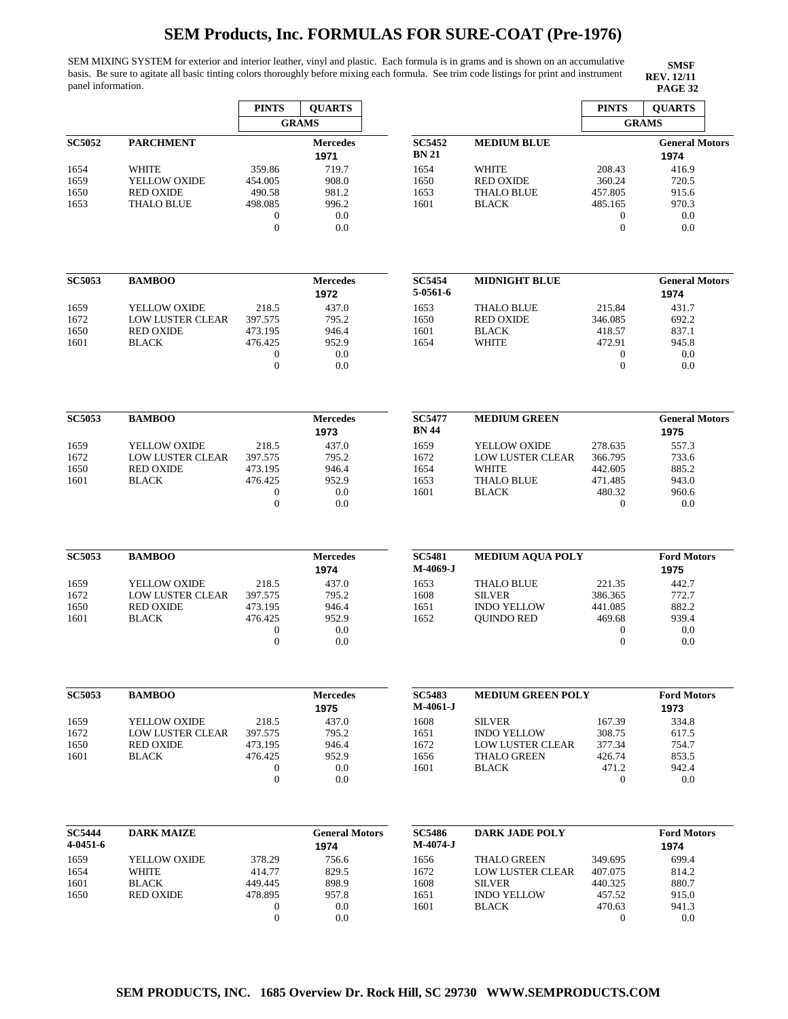SEM MIXING SYSTEM for exterior and interior leather, vinyl and plastic. Each formula is in grams and is shown on an accumulative basis. Be sure to agitate all basic tinting colors thoroughly before mixing each formula. See trim code listings for print and instrument panel information. **PAGE 32 PAGE 32** 

|                           |                                  | <b>PINTS</b>                       | <b>QUARTS</b>                 |                               |                                        | <b>PINTS</b>                         | <b>QUARTS</b>                 |
|---------------------------|----------------------------------|------------------------------------|-------------------------------|-------------------------------|----------------------------------------|--------------------------------------|-------------------------------|
|                           |                                  |                                    | <b>GRAMS</b>                  |                               |                                        |                                      | <b>GRAMS</b>                  |
| <b>SC5052</b>             | <b>PARCHMENT</b>                 |                                    | <b>Mercedes</b><br>1971       | <b>SC5452</b><br><b>BN 21</b> | <b>MEDIUM BLUE</b>                     |                                      | <b>General Motors</b><br>1974 |
| 1654                      | WHITE                            | 359.86                             | 719.7                         | 1654                          | <b>WHITE</b>                           | 208.43                               | 416.9                         |
| 1659                      | YELLOW OXIDE                     | 454.005                            | 908.0                         | 1650                          | <b>RED OXIDE</b>                       | 360.24                               | 720.5                         |
| 1650                      | <b>RED OXIDE</b>                 | 490.58                             | 981.2                         | 1653                          | <b>THALO BLUE</b>                      | 457.805                              | 915.6                         |
| 1653                      | <b>THALO BLUE</b>                | 498.085                            | 996.2                         | 1601                          | <b>BLACK</b>                           | 485.165                              | 970.3                         |
|                           |                                  | $\mathbf{0}$<br>$\mathbf{0}$       | 0.0<br>0.0                    |                               |                                        | $\boldsymbol{0}$<br>$\boldsymbol{0}$ | 0.0<br>0.0                    |
| <b>SC5053</b>             | <b>BAMBOO</b>                    |                                    | <b>Mercedes</b>               | <b>SC5454</b>                 | <b>MIDNIGHT BLUE</b>                   |                                      | <b>General Motors</b>         |
|                           |                                  |                                    | 1972                          | 5-0561-6                      |                                        |                                      | 1974                          |
| 1659                      | YELLOW OXIDE                     | 218.5                              | 437.0                         | 1653                          | <b>THALO BLUE</b>                      | 215.84                               | 431.7                         |
| 1672                      | <b>LOW LUSTER CLEAR</b>          | 397.575                            | 795.2                         | 1650                          | <b>RED OXIDE</b>                       | 346.085                              | 692.2                         |
| 1650                      | <b>RED OXIDE</b>                 | 473.195                            | 946.4                         | 1601                          | <b>BLACK</b>                           | 418.57                               | 837.1                         |
| 1601                      | <b>BLACK</b>                     | 476.425                            | 952.9                         | 1654                          | <b>WHITE</b>                           | 472.91                               | 945.8                         |
|                           |                                  | $\mathbf{0}$<br>$\overline{0}$     | 0.0<br>0.0                    |                               |                                        | 0<br>$\boldsymbol{0}$                | 0.0<br>0.0                    |
|                           |                                  |                                    |                               |                               |                                        |                                      |                               |
| <b>SC5053</b>             | <b>BAMBOO</b>                    |                                    | <b>Mercedes</b><br>1973       | <b>SC5477</b><br><b>BN</b> 44 | <b>MEDIUM GREEN</b>                    |                                      | <b>General Motors</b><br>1975 |
| 1659                      | YELLOW OXIDE                     | 218.5                              | 437.0                         | 1659                          | YELLOW OXIDE                           | 278.635                              | 557.3                         |
| 1672                      | <b>LOW LUSTER CLEAR</b>          | 397.575                            | 795.2                         | 1672                          | <b>LOW LUSTER CLEAR</b>                | 366.795                              | 733.6                         |
| 1650                      | <b>RED OXIDE</b>                 | 473.195                            | 946.4                         | 1654                          | WHITE                                  | 442.605                              | 885.2                         |
| 1601                      | <b>BLACK</b>                     | 476.425                            | 952.9                         | 1653                          | <b>THALO BLUE</b>                      | 471.485                              | 943.0                         |
|                           |                                  | $\boldsymbol{0}$                   | 0.0                           | 1601                          | <b>BLACK</b>                           | 480.32                               | 960.6                         |
|                           |                                  | $\mathbf{0}$                       | 0.0                           |                               |                                        | $\mathbf{0}$                         | 0.0                           |
| <b>SC5053</b>             | <b>BAMBOO</b>                    |                                    | <b>Mercedes</b>               | <b>SC5481</b>                 | <b>MEDIUM AQUA POLY</b>                |                                      | <b>Ford Motors</b>            |
|                           |                                  |                                    | 1974                          | M-4069-J                      |                                        |                                      | 1975                          |
| 1659                      | YELLOW OXIDE                     | 218.5                              | 437.0                         | 1653                          | <b>THALO BLUE</b>                      | 221.35                               | 442.7                         |
| 1672                      | <b>LOW LUSTER CLEAR</b>          | 397.575                            | 795.2                         | 1608                          | <b>SILVER</b>                          | 386.365                              | 772.7                         |
| 1650                      | <b>RED OXIDE</b>                 | 473.195                            | 946.4                         | 1651                          | <b>INDO YELLOW</b>                     | 441.085                              | 882.2                         |
| 1601                      | <b>BLACK</b>                     | 476.425                            | 952.9                         | 1652                          | <b>QUINDO RED</b>                      | 469.68                               | 939.4                         |
|                           |                                  | $\boldsymbol{0}$<br>$\overline{0}$ | 0.0<br>0.0                    |                               |                                        | 0<br>$\mathbf{0}$                    | 0.0<br>0.0                    |
|                           |                                  |                                    |                               |                               |                                        |                                      |                               |
| <b>SC5053</b>             | <b>BAMBOO</b>                    |                                    | <b>Mercedes</b>               | <b>SC5483</b><br>M-4061-J     | <b>MEDIUM GREEN POLY</b>               |                                      | <b>Ford Motors</b>            |
|                           |                                  |                                    | 1975                          |                               |                                        |                                      | 1973                          |
| 1659                      | YELLOW OXIDE                     | 218.5                              | 437.0                         | 1608                          | <b>SILVER</b>                          | 167.39                               | 334.8                         |
| 1672                      | <b>LOW LUSTER CLEAR</b>          | 397.575                            | 795.2                         | 1651                          | <b>INDO YELLOW</b>                     | 308.75                               | 617.5                         |
| 1650<br>1601              | <b>RED OXIDE</b><br><b>BLACK</b> | 473.195<br>476.425                 | 946.4<br>952.9                | 1672<br>1656                  | LOW LUSTER CLEAR<br><b>THALO GREEN</b> | 377.34<br>426.74                     | 754.7<br>853.5                |
|                           |                                  | $\boldsymbol{0}$                   | 0.0                           | 1601                          | <b>BLACK</b>                           | 471.2                                | 942.4                         |
|                           |                                  | $\overline{0}$                     | 0.0                           |                               |                                        | $\mathbf{0}$                         | 0.0                           |
| <b>SC5444</b><br>4-0451-6 | <b>DARK MAIZE</b>                |                                    | <b>General Motors</b><br>1974 | <b>SC5486</b><br>M-4074-J     | <b>DARK JADE POLY</b>                  |                                      | <b>Ford Motors</b><br>1974    |
|                           |                                  |                                    |                               |                               |                                        |                                      |                               |
| 1659                      | YELLOW OXIDE                     | 378.29                             | 756.6                         | 1656                          | <b>THALO GREEN</b>                     | 349.695                              | 699.4                         |
| 1654<br>1601              | WHITE<br><b>BLACK</b>            | 414.77<br>449.445                  | 829.5<br>898.9                | 1672<br>1608                  | LOW LUSTER CLEAR<br><b>SILVER</b>      | 407.075<br>440.325                   | 814.2<br>880.7                |
| 1650                      | <b>RED OXIDE</b>                 | 478.895                            | 957.8                         | 1651                          | <b>INDO YELLOW</b>                     | 457.52                               | 915.0                         |
|                           |                                  | $\boldsymbol{0}$                   | 0.0                           | 1601                          | <b>BLACK</b>                           | 470.63                               | 941.3                         |
|                           |                                  | $\mathbf{0}$                       | 0.0                           |                               |                                        | 0                                    | 0.0                           |
|                           |                                  |                                    |                               |                               |                                        |                                      |                               |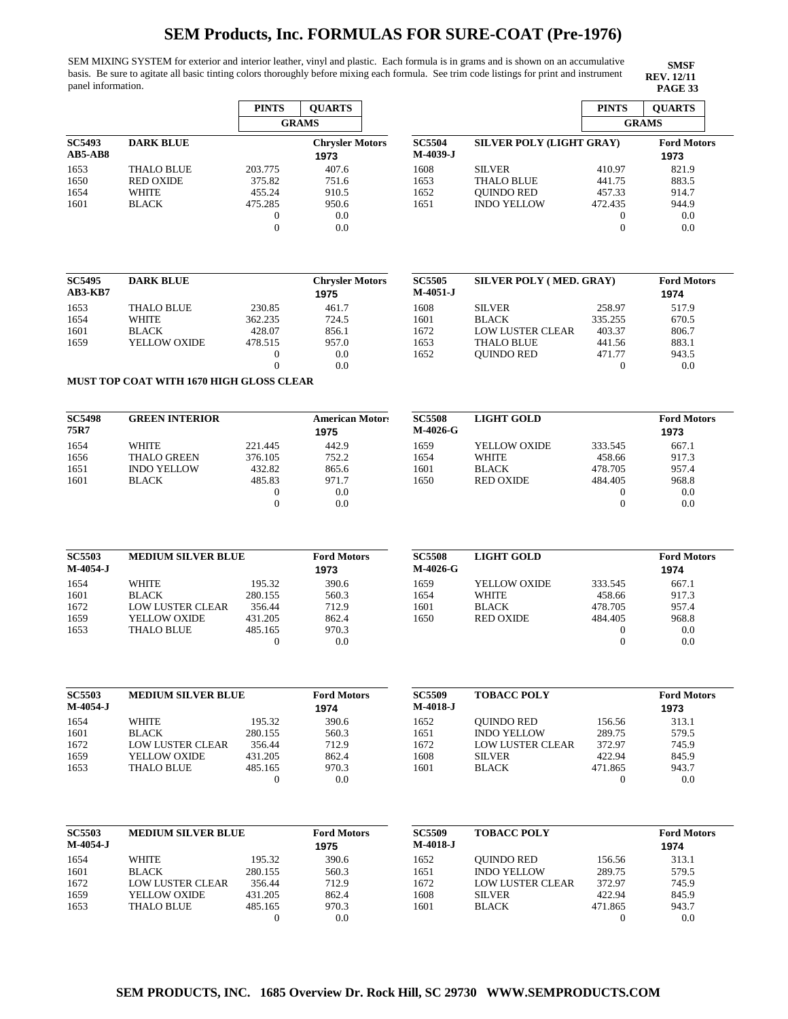SEM MIXING SYSTEM for exterior and interior leather, vinyl and plastic. Each formula is in grams and is shown on an accumulative basis. Be sure to agitate all basic tinting colors thoroughly before mixing each formula. See trim code listings for print and instrument panel information. **PAGE 33** 

**SMSF REV. 12/11**

**Motors** 

**Motors** 

**Motors** 

**Motors** 

|                             |                                          | <b>PINTS</b>     | <b>QUARTS</b>              |                           |                          | <b>PINTS</b>     | <b>QUARTS</b>              |
|-----------------------------|------------------------------------------|------------------|----------------------------|---------------------------|--------------------------|------------------|----------------------------|
|                             |                                          |                  | <b>GRAMS</b>               |                           |                          |                  | <b>GRAMS</b>               |
|                             |                                          |                  |                            |                           |                          |                  |                            |
| <b>SC5493</b>               | <b>DARK BLUE</b>                         |                  | <b>Chrysler Motors</b>     | <b>SC5504</b>             | SILVER POLY (LIGHT GRAY) |                  | <b>Ford Motors</b>         |
| <b>AB5-AB8</b>              |                                          |                  | 1973                       | M-4039-J                  |                          |                  | 1973                       |
| 1653                        | <b>THALO BLUE</b>                        | 203.775          | 407.6                      | 1608                      | <b>SILVER</b>            | 410.97           | 821.9                      |
| 1650                        | <b>RED OXIDE</b>                         | 375.82           | 751.6                      | 1653                      | <b>THALO BLUE</b>        | 441.75           | 883.5                      |
| 1654                        | <b>WHITE</b>                             | 455.24           | 910.5                      | 1652                      | <b>QUINDO RED</b>        | 457.33           | 914.7                      |
| 1601                        | <b>BLACK</b>                             | 475.285          | 950.6                      | 1651                      | <b>INDO YELLOW</b>       | 472.435          | 944.9                      |
|                             |                                          | $\mathbf{0}$     | 0.0                        |                           |                          | $\boldsymbol{0}$ | 0.0                        |
|                             |                                          | $\overline{0}$   | 0.0                        |                           |                          | $\mathbf{0}$     | 0.0                        |
|                             |                                          |                  |                            |                           |                          |                  |                            |
| <b>SC5495</b>               | <b>DARK BLUE</b>                         |                  | <b>Chrysler Motors</b>     | <b>SC5505</b>             | SILVER POLY (MED. GRAY)  |                  | <b>Ford Motors</b>         |
| <b>AB3-KB7</b>              |                                          |                  | 1975                       | $M-4051-J$                |                          |                  | 1974                       |
| 1653                        | <b>THALO BLUE</b>                        | 230.85           | 461.7                      | 1608                      | <b>SILVER</b>            | 258.97           | 517.9                      |
| 1654                        | WHITE                                    | 362.235          | 724.5                      | 1601                      | <b>BLACK</b>             | 335.255          | 670.5                      |
| 1601                        | <b>BLACK</b>                             | 428.07           | 856.1                      | 1672                      | <b>LOW LUSTER CLEAR</b>  | 403.37           | 806.7                      |
| 1659                        | YELLOW OXIDE                             | 478.515          | 957.0                      | 1653                      | <b>THALO BLUE</b>        | 441.56           | 883.1                      |
|                             |                                          | $\boldsymbol{0}$ | 0.0                        | 1652                      | <b>QUINDO RED</b>        | 471.77           | 943.5                      |
|                             |                                          | $\overline{0}$   | 0.0                        |                           |                          | $\boldsymbol{0}$ | 0.0                        |
|                             | MUST TOP COAT WITH 1670 HIGH GLOSS CLEAR |                  |                            |                           |                          |                  |                            |
| <b>SC5498</b>               | <b>GREEN INTERIOR</b>                    |                  | <b>American Motor:</b>     | <b>SC5508</b>             | <b>LIGHT GOLD</b>        |                  | <b>Ford Motors</b>         |
| 75R7                        |                                          |                  | 1975                       | M-4026-G                  |                          |                  | 1973                       |
| 1654                        | <b>WHITE</b>                             | 221.445          | 442.9                      | 1659                      | YELLOW OXIDE             | 333.545          | 667.1                      |
| 1656                        | <b>THALO GREEN</b>                       | 376.105          | 752.2                      | 1654                      | WHITE                    | 458.66           | 917.3                      |
| 1651                        | <b>INDO YELLOW</b>                       | 432.82           | 865.6                      | 1601                      | <b>BLACK</b>             | 478.705          | 957.4                      |
| 1601                        | <b>BLACK</b>                             | 485.83           | 971.7                      | 1650                      | <b>RED OXIDE</b>         | 484.405          | 968.8                      |
|                             |                                          | $\boldsymbol{0}$ | 0.0                        |                           |                          | $\boldsymbol{0}$ | 0.0                        |
|                             |                                          | $\overline{0}$   | 0.0                        |                           |                          | $\overline{0}$   | 0.0                        |
| <b>SC5503</b>               | <b>MEDIUM SILVER BLUE</b>                |                  | <b>Ford Motors</b>         | <b>SC5508</b>             | <b>LIGHT GOLD</b>        |                  | <b>Ford Motors</b>         |
| $M-4054-J$                  |                                          |                  | 1973                       | M-4026-G                  |                          |                  | 1974                       |
| 1654                        | <b>WHITE</b>                             | 195.32           | 390.6                      | 1659                      | YELLOW OXIDE             | 333.545          | 667.1                      |
| 1601                        | <b>BLACK</b>                             | 280.155          | 560.3                      | 1654                      | <b>WHITE</b>             | 458.66           | 917.3                      |
| 1672                        | <b>LOW LUSTER CLEAR</b>                  | 356.44           | 712.9                      | 1601                      | <b>BLACK</b>             | 478.705          | 957.4                      |
| 1659                        | YELLOW OXIDE                             | 431.205          | 862.4                      | 1650                      | <b>RED OXIDE</b>         | 484.405          | 968.8                      |
| 1653                        | <b>THALO BLUE</b>                        | 485.165          | 970.3                      |                           |                          | $\overline{0}$   | 0.0                        |
|                             |                                          | $\boldsymbol{0}$ | 0.0                        |                           |                          | $\boldsymbol{0}$ | 0.0                        |
|                             |                                          |                  |                            |                           |                          |                  |                            |
| <b>SC5503</b><br>$M-4054-J$ | <b>MEDIUM SILVER BLUE</b>                |                  | <b>Ford Motors</b><br>1974 | <b>SC5509</b><br>M-4018-J | <b>TOBACC POLY</b>       |                  | <b>Ford Motors</b><br>1973 |
| 1654                        | <b>WHITE</b>                             | 195.32           | 390.6                      | 1652                      | <b>QUINDO RED</b>        | 156.56           | 313.1                      |
| 1601                        | <b>BLACK</b>                             | 280.155          | 560.3                      | 1651                      | <b>INDO YELLOW</b>       | 289.75           | 579.5                      |
| 1672                        | LOW LUSTER CLEAR                         | 356.44           | 712.9                      | 1672                      | <b>LOW LUSTER CLEAR</b>  | 372.97           | 745.9                      |
| 1659                        | YELLOW OXIDE                             | 431.205          | 862.4                      | 1608                      | <b>SILVER</b>            | 422.94           | 845.9                      |
| 1653                        | THALO BLUE                               | 485.165          | 970.3                      | 1601                      | <b>BLACK</b>             | 471.865          | 943.7                      |
|                             |                                          | $\boldsymbol{0}$ | 0.0                        |                           |                          | $\overline{0}$   | 0.0                        |
|                             |                                          |                  |                            |                           |                          |                  |                            |
| <b>SC5503</b><br>M-4054-J   | <b>MEDIUM SILVER BLUE</b>                |                  | <b>Ford Motors</b>         | <b>SC5509</b><br>M-4018-J | <b>TOBACC POLY</b>       |                  | <b>Ford Motors</b>         |
|                             |                                          |                  | 1975                       |                           |                          |                  | 1974                       |
| 1654                        | <b>WHITE</b>                             | 195.32           | 390.6                      | 1652                      | <b>QUINDO RED</b>        | 156.56           | 313.1                      |
| 1601                        | <b>BLACK</b>                             | 280.155          | 560.3                      | 1651                      | <b>INDO YELLOW</b>       | 289.75           | 579.5                      |
| 1672                        | LOW LUSTER CLEAR                         | 356.44           | 712.9                      | 1672                      | <b>LOW LUSTER CLEAR</b>  | 372.97           | 745.9                      |
| 1659                        | YELLOW OXIDE                             | 431.205          | 862.4                      | 1608                      | <b>SILVER</b>            | 422.94           | 845.9                      |
| 1653                        | <b>THALO BLUE</b>                        | 485.165          | 970.3                      | 1601                      | <b>BLACK</b>             | 471.865          | 943.7                      |
|                             |                                          | $\boldsymbol{0}$ | 0.0                        |                           |                          | $\overline{0}$   | 0.0                        |